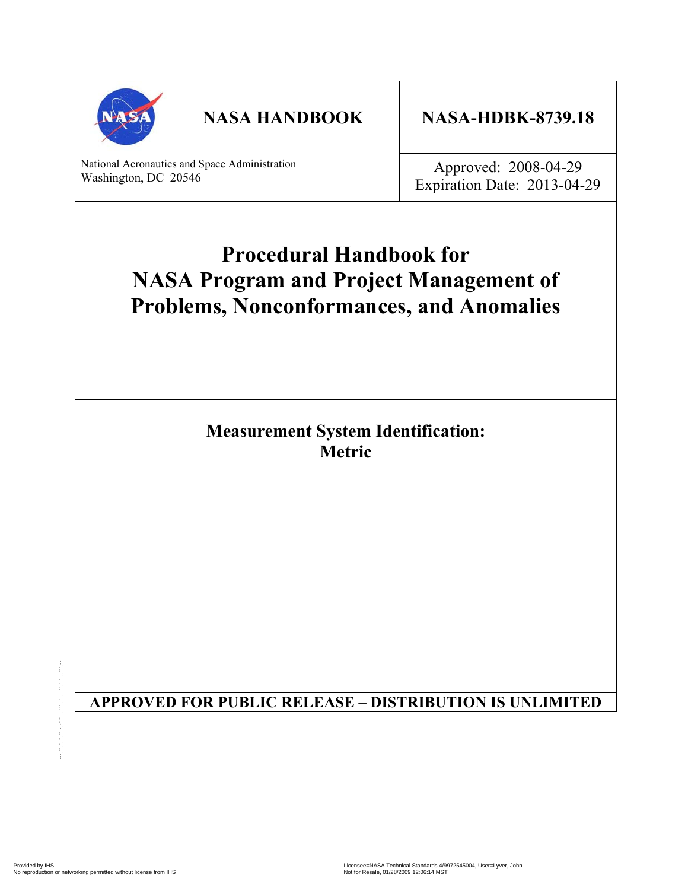

National Aeronautics and Space Administration **Approved: 2008-04-29**<br>Washington, DC 20546 **Approved: 2008-04-29** 

# NASA HANDBOOK NASA-HDBK-8739.18

Expiration Date: 2013-04-29

# **Procedural Handbook for NASA Program and Project Management of Problems, Nonconformances, and Anomalies**

**Measurement System Identification: Metric** 

**APPROVED FOR PUBLIC RELEASE – DISTRIBUTION IS UNLIMITED**  APPROVED FOR PUBLIC RELEASE -- DISTRIBU<sup>®</sup><br>
No reproducted by IHS<br>
No reproduction or networking permitted without license from IHS<br>
Not for Resale, 01/28/2009 12:06:14 MST<br>
Not for Resale, 01/28/2009 12:06:14 MST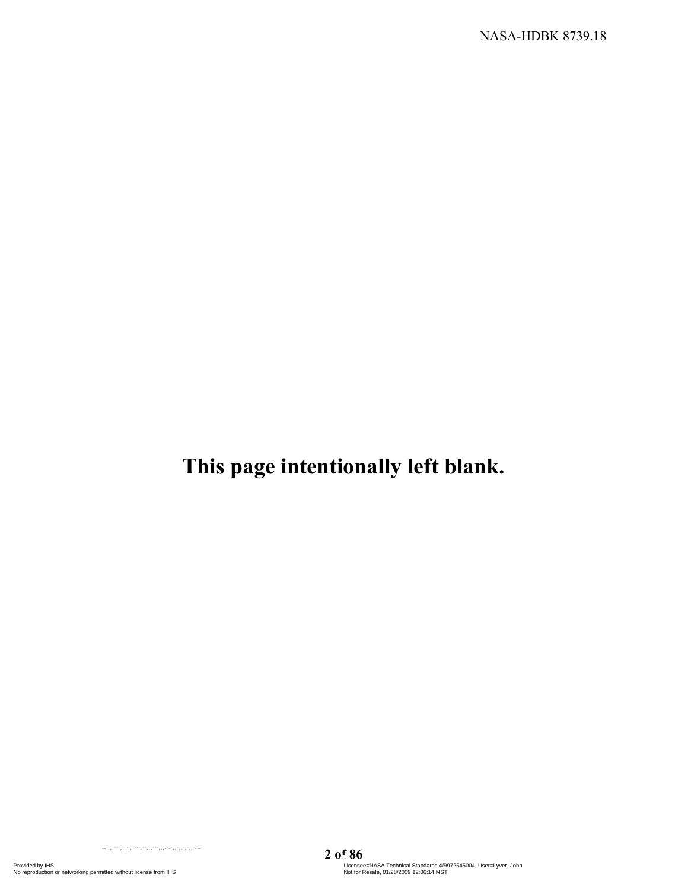**This page intentionally left blank.**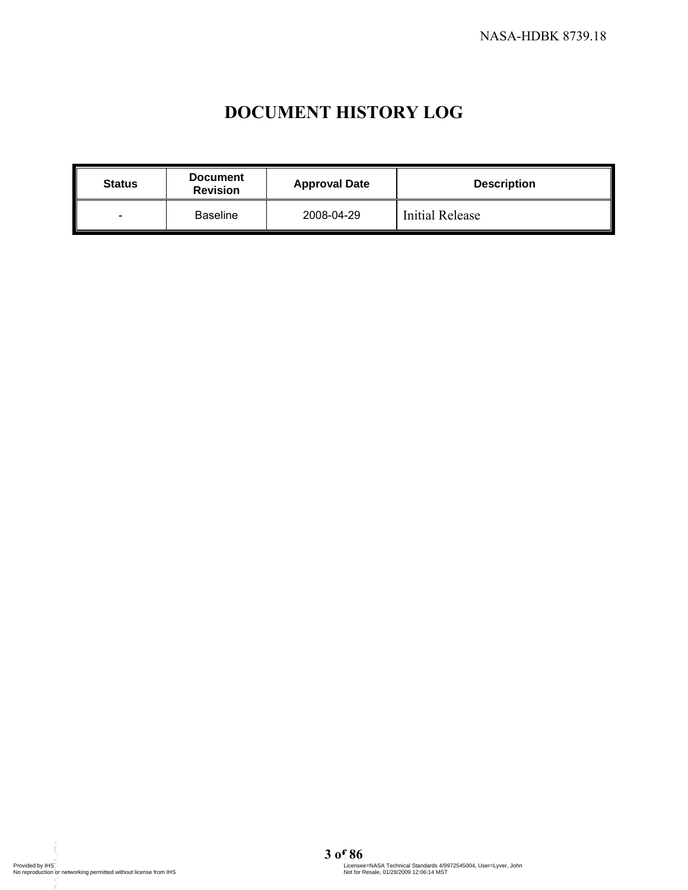# **DOCUMENT HISTORY LOG**

| <b>Status</b>            | <b>Document</b><br><b>Revision</b> | <b>Approval Date</b> | <b>Description</b>     |
|--------------------------|------------------------------------|----------------------|------------------------|
| $\overline{\phantom{a}}$ | <b>Baseline</b>                    | 2008-04-29           | <b>Initial Release</b> |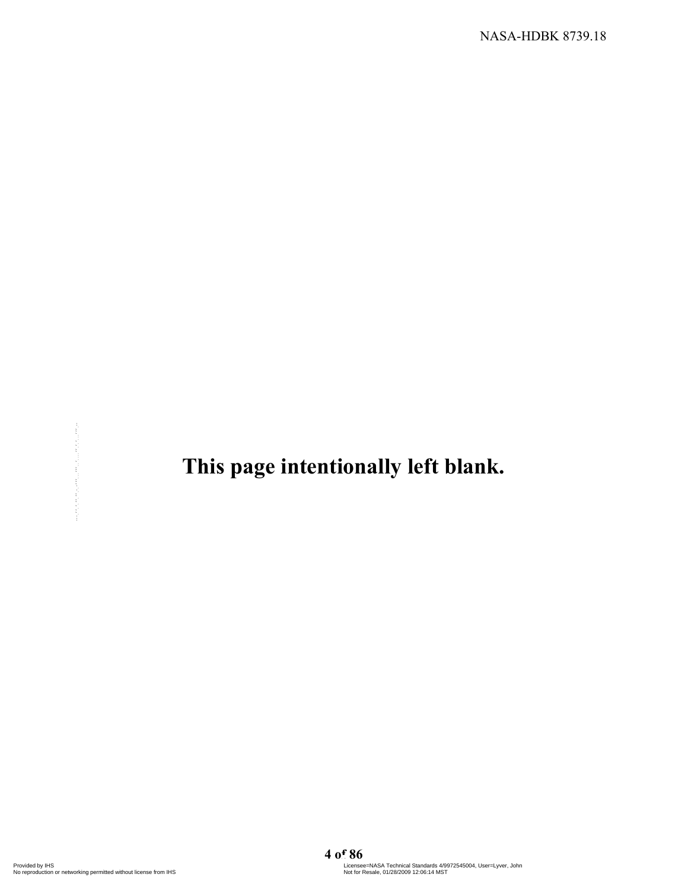**This page intentionally left blank.**  No reproduction or networking permitted without license from IHS Not for Resale, 01/28/2009 12:06:14 MST --`,,,```,`,`,,````,``,,,```,,,-`-`,,`,,`,`,,`---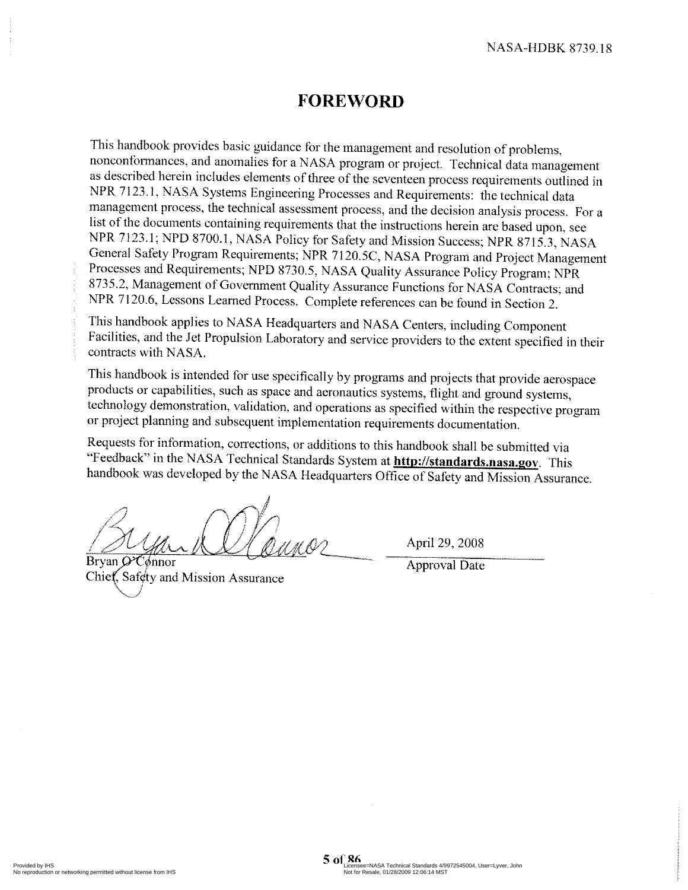# **FOREWORD**

This handbook provides basic guidance for the management and resolution of problems, nonconformances, and anomalies for a NASA program or project. Technical data management as described herein includes elements of three of the seventeen process requirements outlined in NPR 7123.1, NASA Systems Engineering Processes and Requirements: the technical data management process, the technical assessment process, and the decision analysis process. For a list of the documents containing requirements that the instructions herein are based upon, see NPR 7123.1; NPD 8700.1, NASA Policy for Safety and Mission Success; NPR 8715.3, NASA

Processes and Requirements: NPD 87305, NASA Quality Assumer Euricions<br>
8735.2, Management of Government Quality Assumer Euricions<br>
NPR 7120.6, Lessons Learned Process. Complete references can b<br>
This handbook applicates to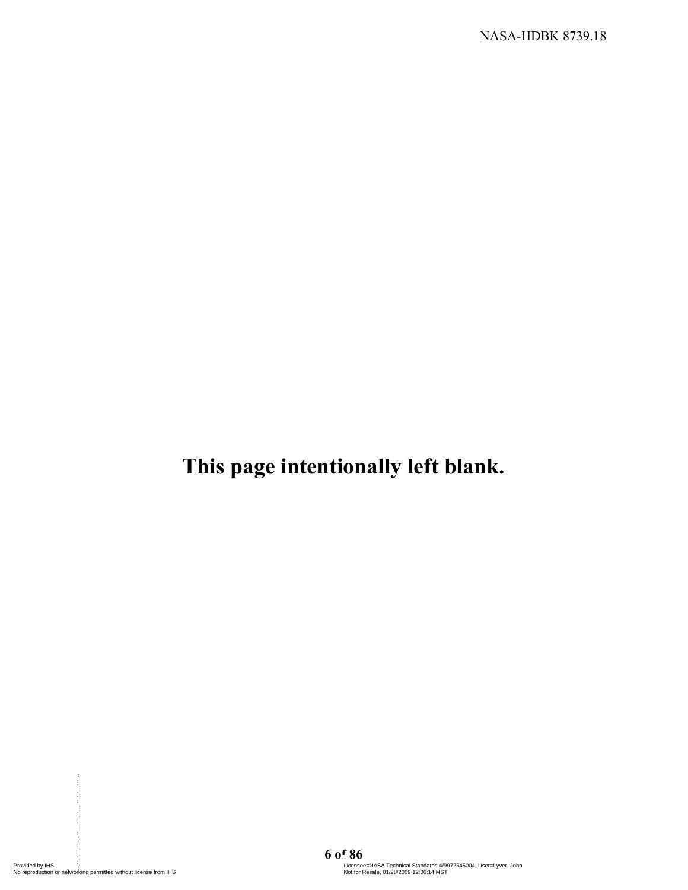**This page intentionally left blank.**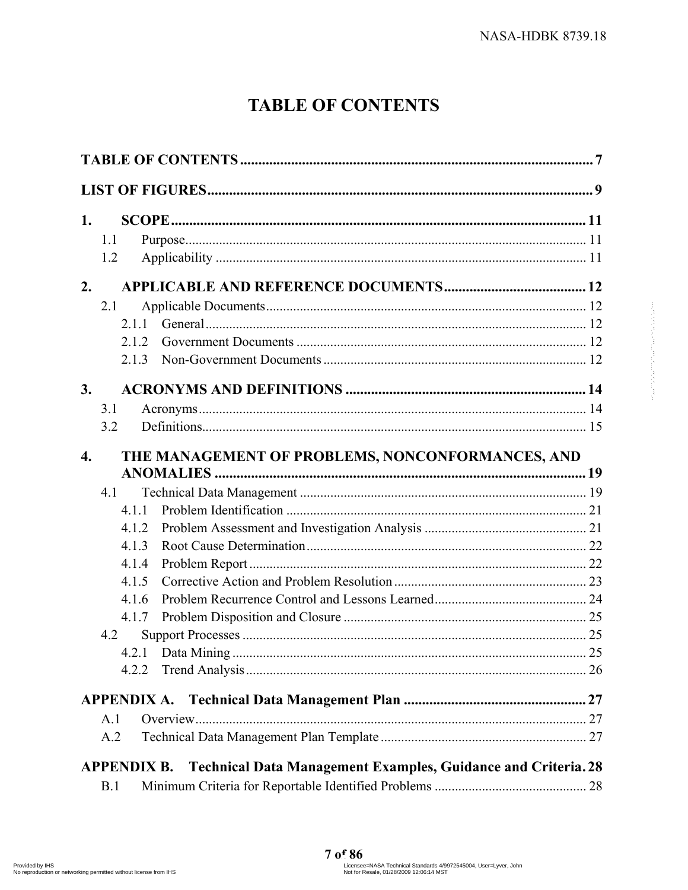# **TABLE OF CONTENTS**

| 1.               |                                                                                            |  |
|------------------|--------------------------------------------------------------------------------------------|--|
|                  | 1.1                                                                                        |  |
|                  | 1.2                                                                                        |  |
| 2.               |                                                                                            |  |
|                  | 2.1                                                                                        |  |
|                  | 2.1.1                                                                                      |  |
|                  | 2.1.2                                                                                      |  |
|                  | 2.1.3                                                                                      |  |
| 3.               |                                                                                            |  |
|                  | 3.1                                                                                        |  |
|                  | 3.2                                                                                        |  |
| $\overline{4}$ . | THE MANAGEMENT OF PROBLEMS, NONCONFORMANCES, AND                                           |  |
|                  | 4.1                                                                                        |  |
|                  | 4.1.1<br>4.1.2                                                                             |  |
|                  | 4.1.3                                                                                      |  |
|                  | 4.1.4                                                                                      |  |
|                  | 4.1.5                                                                                      |  |
|                  | 4.1.6                                                                                      |  |
|                  | 4.1.7                                                                                      |  |
|                  | 4.2                                                                                        |  |
|                  |                                                                                            |  |
|                  | 4.2.2                                                                                      |  |
|                  |                                                                                            |  |
|                  | A.1                                                                                        |  |
|                  | A.2                                                                                        |  |
|                  | <b>Technical Data Management Examples, Guidance and Criteria. 28</b><br><b>APPENDIX B.</b> |  |
|                  | B.1                                                                                        |  |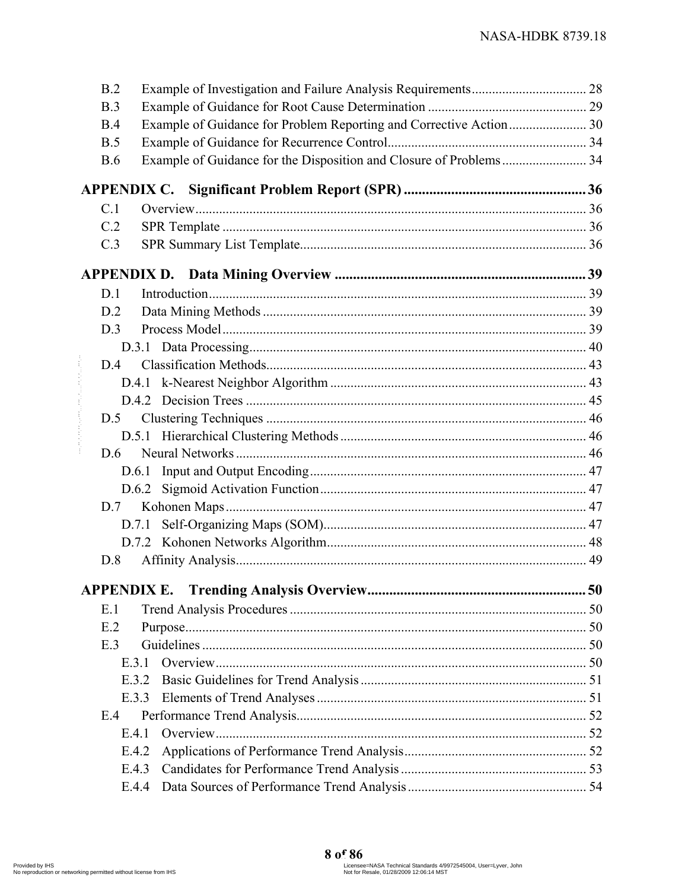| B.2        |  |
|------------|--|
| B.3        |  |
| B.4        |  |
| B.5        |  |
| <b>B.6</b> |  |
|            |  |
| C.1        |  |
| C.2        |  |
| C.3        |  |
|            |  |
| D.1        |  |
| D.2        |  |
| D.3        |  |
|            |  |
| D.4        |  |
|            |  |
|            |  |
| D.5        |  |
|            |  |
| D.6        |  |
| D.6.1      |  |
| D.6.2      |  |
| D.7        |  |
| D.7.1      |  |
|            |  |
| D.8        |  |
|            |  |
| E.1        |  |
| E.2        |  |
| E.3        |  |
| E 3 1      |  |
| E.3.2      |  |
| E.3.3      |  |
| E.4        |  |
| E.4.1      |  |
| E.4.2      |  |
| E.4.3      |  |
| E.4.4      |  |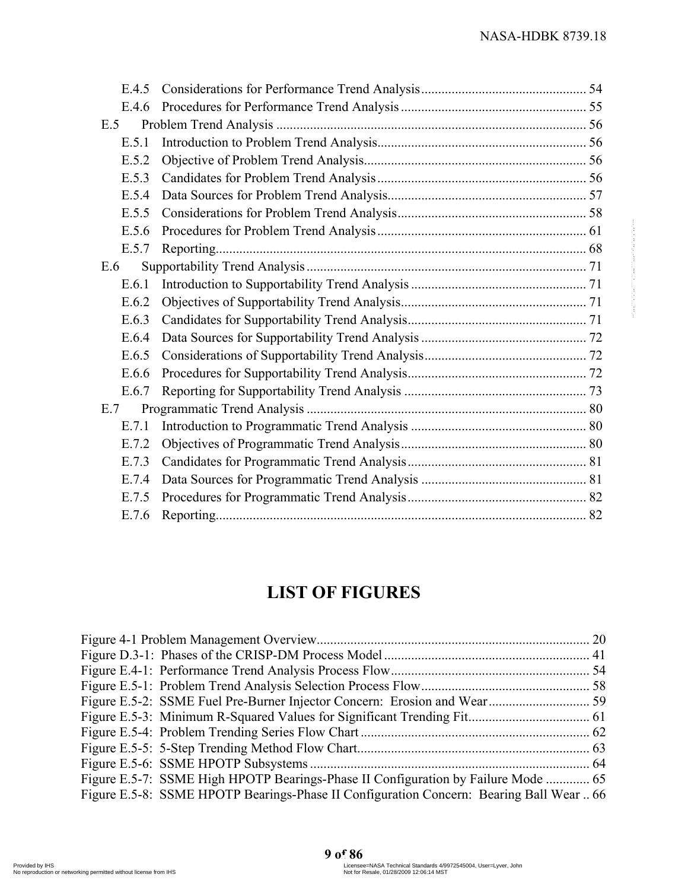|                                                                                     | E.4.5          |                                                                                                             |  |
|-------------------------------------------------------------------------------------|----------------|-------------------------------------------------------------------------------------------------------------|--|
|                                                                                     | E.4.6          |                                                                                                             |  |
|                                                                                     | E.5            |                                                                                                             |  |
|                                                                                     | E.5.1          |                                                                                                             |  |
|                                                                                     | E.5.2          |                                                                                                             |  |
|                                                                                     | E.5.3          |                                                                                                             |  |
|                                                                                     | E.5.4          |                                                                                                             |  |
|                                                                                     | E.5.5          |                                                                                                             |  |
|                                                                                     | E.5.6          |                                                                                                             |  |
|                                                                                     | E.5.7          |                                                                                                             |  |
|                                                                                     | E.6            |                                                                                                             |  |
|                                                                                     | E.6.1          |                                                                                                             |  |
|                                                                                     | E.6.2          |                                                                                                             |  |
|                                                                                     | E.6.3          |                                                                                                             |  |
|                                                                                     | E.6.4          |                                                                                                             |  |
|                                                                                     | E.6.5          |                                                                                                             |  |
|                                                                                     | E.6.6          |                                                                                                             |  |
|                                                                                     | E.6.7          |                                                                                                             |  |
|                                                                                     | E.7            |                                                                                                             |  |
|                                                                                     | E.7.1          |                                                                                                             |  |
|                                                                                     | E.7.2          |                                                                                                             |  |
|                                                                                     | E.7.3          |                                                                                                             |  |
|                                                                                     | E.7.4          |                                                                                                             |  |
|                                                                                     |                |                                                                                                             |  |
|                                                                                     | E.7.5<br>E.7.6 |                                                                                                             |  |
|                                                                                     |                |                                                                                                             |  |
|                                                                                     |                | <b>LIST OF FIGURES</b>                                                                                      |  |
|                                                                                     |                |                                                                                                             |  |
|                                                                                     |                |                                                                                                             |  |
|                                                                                     |                |                                                                                                             |  |
|                                                                                     |                |                                                                                                             |  |
|                                                                                     |                |                                                                                                             |  |
|                                                                                     |                |                                                                                                             |  |
|                                                                                     |                |                                                                                                             |  |
|                                                                                     |                |                                                                                                             |  |
|                                                                                     |                | Figure E.5-7: SSME High HPOTP Bearings-Phase II Configuration by Failure Mode  65                           |  |
|                                                                                     |                | Figure E.5-8: SSME HPOTP Bearings-Phase II Configuration Concern: Bearing Ball Wear  66                     |  |
|                                                                                     |                |                                                                                                             |  |
|                                                                                     |                | 90f86                                                                                                       |  |
| Provided by IHS<br>No reproduction or networking permitted without license from IHS |                | Licensee=NASA Technical Standards 4/9972545004, User=Lyver, John<br>Not for Resale, 01/28/2009 12:06:14 MST |  |

# **LIST OF FIGURES**

| Figure E.5-7: SSME High HPOTP Bearings-Phase II Configuration by Failure Mode  65       |  |
|-----------------------------------------------------------------------------------------|--|
| Figure E.5-8: SSME HPOTP Bearings-Phase II Configuration Concern: Bearing Ball Wear  66 |  |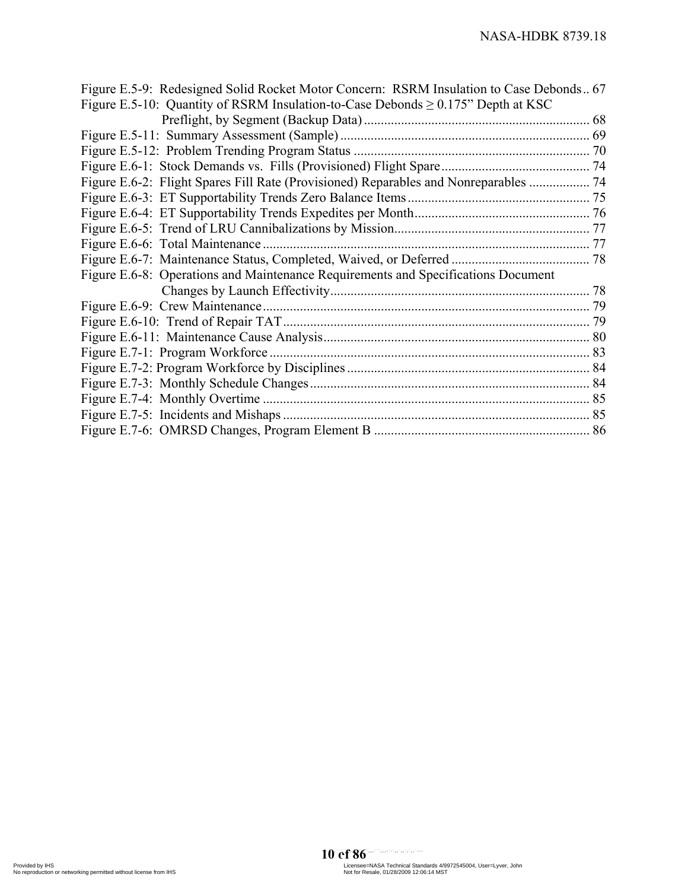| Figure E.5-9: Redesigned Solid Rocket Motor Concern: RSRM Insulation to Case Debonds 67 |  |
|-----------------------------------------------------------------------------------------|--|
| Figure E.5-10: Quantity of RSRM Insulation-to-Case Debonds $\geq 0.175$ " Depth at KSC  |  |
|                                                                                         |  |
|                                                                                         |  |
|                                                                                         |  |
|                                                                                         |  |
|                                                                                         |  |
|                                                                                         |  |
|                                                                                         |  |
|                                                                                         |  |
|                                                                                         |  |
|                                                                                         |  |
| Figure E.6-8: Operations and Maintenance Requirements and Specifications Document       |  |
|                                                                                         |  |
|                                                                                         |  |
|                                                                                         |  |
|                                                                                         |  |
|                                                                                         |  |
|                                                                                         |  |
|                                                                                         |  |
|                                                                                         |  |
|                                                                                         |  |
|                                                                                         |  |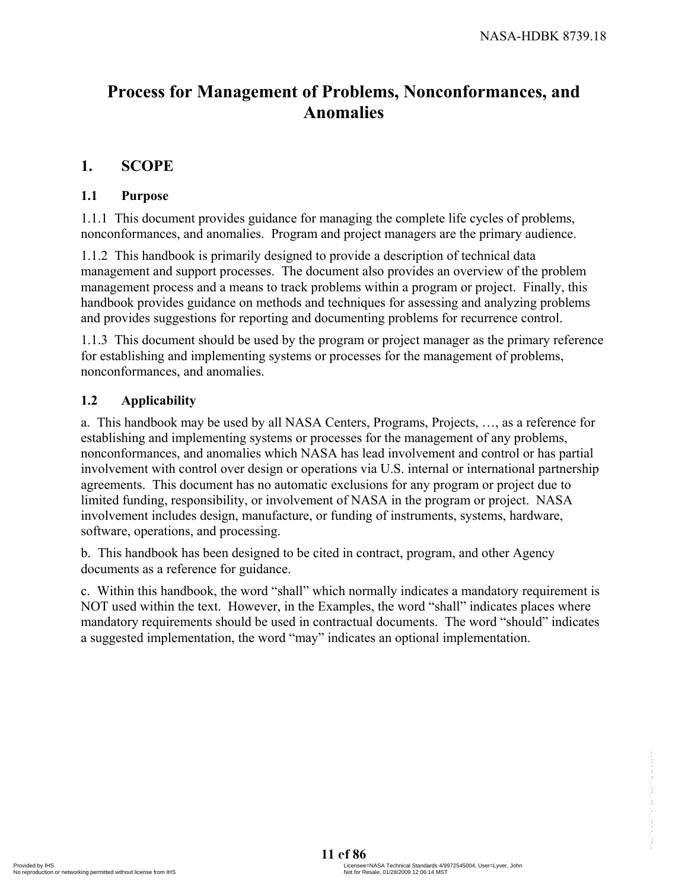# **Process for Management of Problems, Nonconformances, and Anomalies**

### **1. SCOPE**

#### **1.1 Purpose**

1.1.1 This document provides guidance for managing the complete life cycles of problems, nonconformances, and anomalies. Program and project managers are the primary audience.

1.1.2 This handbook is primarily designed to provide a description of technical data management and support processes. The document also provides an overview of the problem management process and a means to track problems within a program or project. Finally, this handbook provides guidance on methods and techniques for assessing and analyzing problems and provides suggestions for reporting and documenting problems for recurrence control.

1.1.3 This document should be used by the program or project manager as the primary reference for establishing and implementing systems or processes for the management of problems, nonconformances, and anomalies.

#### **1.2 Applicability**

a. This handbook may be used by all NASA Centers, Programs, Projects, …, as a reference for establishing and implementing systems or processes for the management of any problems, nonconformances, and anomalies which NASA has lead involvement and control or has partial involvement with control over design or operations via U.S. internal or international partnership agreements. This document has no automatic exclusions for any program or project due to limited funding, responsibility, or involvement of NASA in the program or project. NASA involvement includes design, manufacture, or funding of instruments, systems, hardware, software, operations, and processing.

b. This handbook has been designed to be cited in contract, program, and other Agency documents as a reference for guidance.

c. Within this handbook, the word "shall" which normally indicates a mandatory requirement is NOT used within the text. However, in the Examples, the word "shall" indicates places where mandatory requirements should be used in contractual documents. The word "should" indicates a suggested implementation, the word "may" indicates an optional implementation.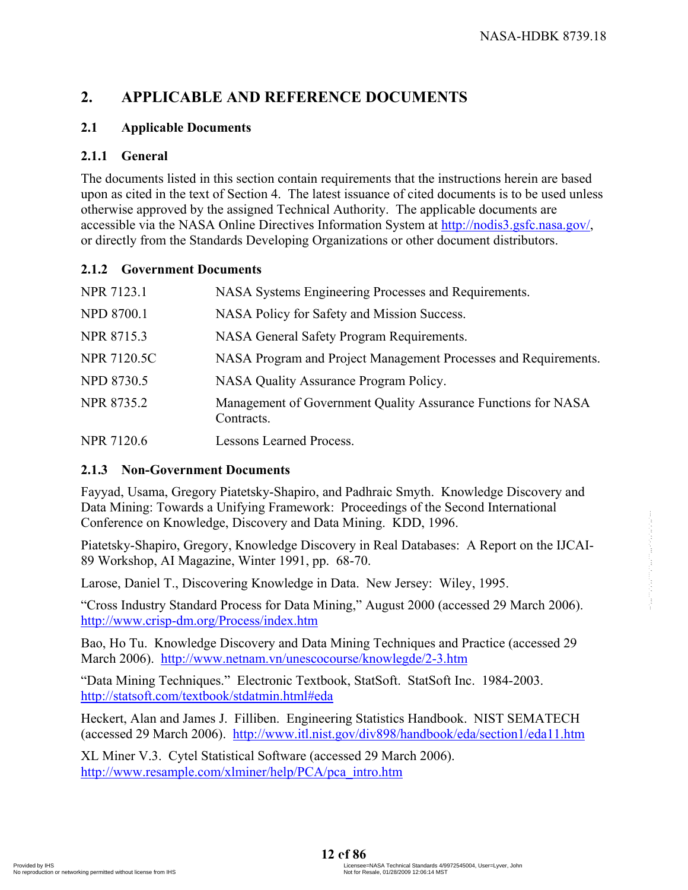# **2. APPLICABLE AND REFERENCE DOCUMENTS**

#### **2.1 Applicable Documents**

#### **2.1.1 General**

The documents listed in this section contain requirements that the instructions herein are based upon as cited in the text of Section 4. The latest issuance of cited documents is to be used unless otherwise approved by the assigned Technical Authority. The applicable documents are accessible via the NASA Online Directives Information System at http://nodis3.gsfc.nasa.gov/, or directly from the Standards Developing Organizations or other document distributors.

#### **2.1.2 Government Documents**

| NPR 7123.1         | NASA Systems Engineering Processes and Requirements.                        |
|--------------------|-----------------------------------------------------------------------------|
| <b>NPD 8700.1</b>  | NASA Policy for Safety and Mission Success.                                 |
| NPR 8715.3         | NASA General Safety Program Requirements.                                   |
| <b>NPR 7120.5C</b> | NASA Program and Project Management Processes and Requirements.             |
| <b>NPD 8730.5</b>  | NASA Quality Assurance Program Policy.                                      |
| NPR 8735.2         | Management of Government Quality Assurance Functions for NASA<br>Contracts. |
| <b>NPR 7120.6</b>  | Lessons Learned Process.                                                    |

#### **2.1.3 Non-Government Documents**

Fayyad, Usama, Gregory Piatetsky-Shapiro, and Padhraic Smyth. Knowledge Discovery and Data Mining: Towards a Unifying Framework: Proceedings of the Second International Conference on Knowledge, Discovery and Data Mining. KDD, 1996.

Piatetsky-Shapiro, Gregory, Knowledge Discovery in Real Databases: A Report on the IJCAI-89 Workshop, AI Magazine, Winter 1991, pp. 68-70.

Larose, Daniel T., Discovering Knowledge in Data. New Jersey: Wiley, 1995.

"Cross Industry Standard Process for Data Mining," August 2000 (accessed 29 March 2006). http://www.crisp-dm.org/Process/index.htm Conference on Knowledge, Discovery and Data Mining. KDD, 1996.<br>
Pairstaky-Shapiro, Gregory, Knowledge Discovery in Real Databases: A Report on the IJCAI-89 Workshop, AI Magazine, Winter 1991, pp. 68-70.<br>
Larose, Daniel T.,

Bao, Ho Tu. Knowledge Discovery and Data Mining Techniques and Practice (accessed 29 March 2006). http://www.netnam.vn/unescocourse/knowlegde/2-3.htm

"Data Mining Techniques." Electronic Textbook, StatSoft. StatSoft Inc. 1984-2003. http://statsoft.com/textbook/stdatmin.html#eda

Heckert, Alan and James J. Filliben. Engineering Statistics Handbook. NIST SEMATECH (accessed 29 March 2006). http://www.itl.nist.gov/div898/handbook/eda/section1/eda11.htm

XL Miner V.3. Cytel Statistical Software (accessed 29 March 2006). http://www.resample.com/xlminer/help/PCA/pca\_intro.htm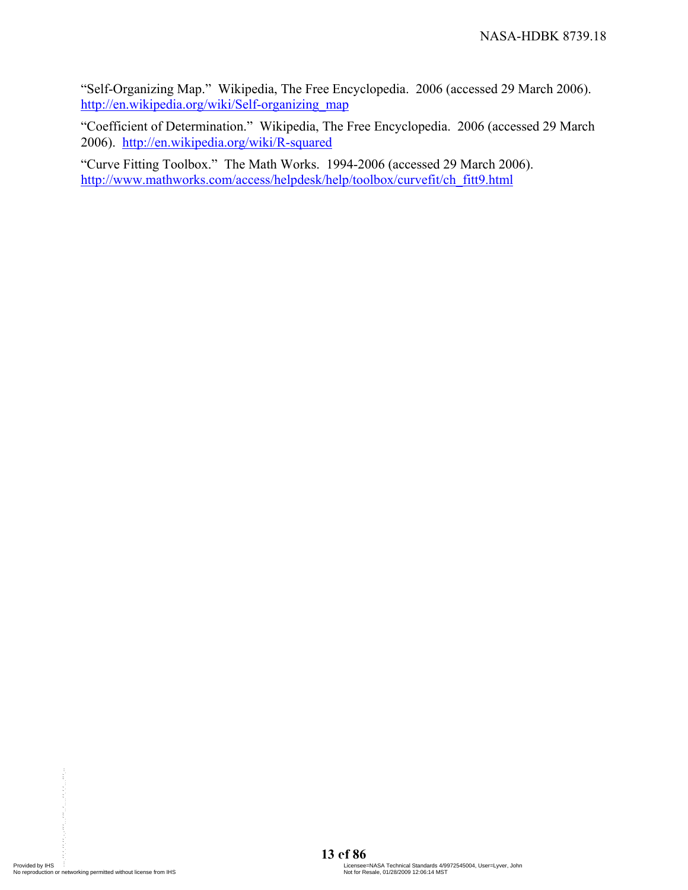"Self-Organizing Map." Wikipedia, The Free Encyclopedia. 2006 (accessed 29 March 2006). http://en.wikipedia.org/wiki/Self-organizing\_map

"Coefficient of Determination." Wikipedia, The Free Encyclopedia. 2006 (accessed 29 March 2006). http://en.wikipedia.org/wiki/R-squared

"Curve Fitting Toolbox." The Math Works. 1994-2006 (accessed 29 March 2006). http://www.mathworks.com/access/helpdesk/help/toolbox/curvefit/ch\_fitt9.html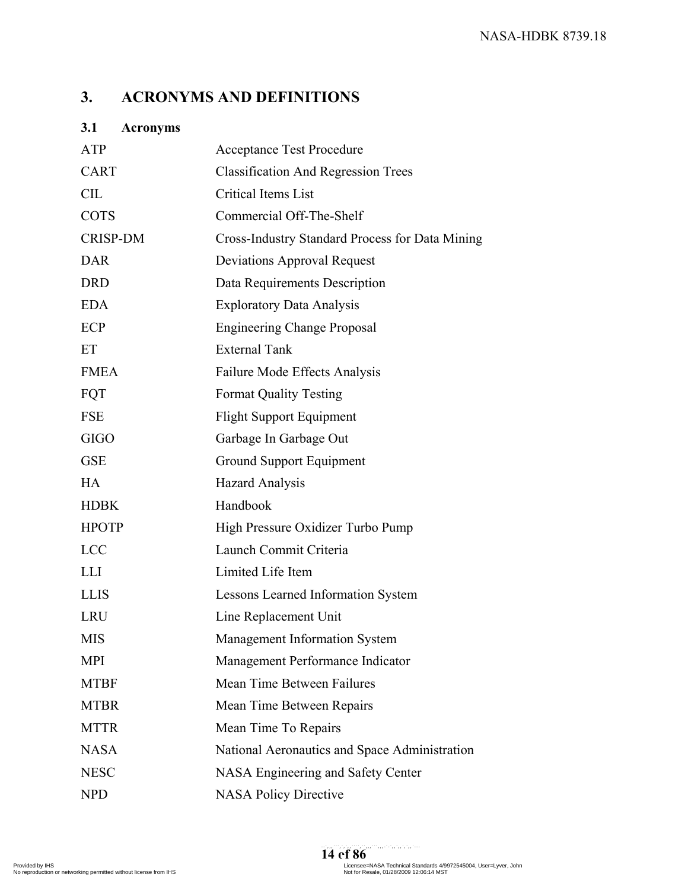# **3. ACRONYMS AND DEFINITIONS**

| 3.1<br><b>Acronyms</b> |                                                 |
|------------------------|-------------------------------------------------|
| ATP                    | <b>Acceptance Test Procedure</b>                |
| <b>CART</b>            | <b>Classification And Regression Trees</b>      |
| <b>CIL</b>             | <b>Critical Items List</b>                      |
| <b>COTS</b>            | Commercial Off-The-Shelf                        |
| <b>CRISP-DM</b>        | Cross-Industry Standard Process for Data Mining |
| <b>DAR</b>             | <b>Deviations Approval Request</b>              |
| <b>DRD</b>             | Data Requirements Description                   |
| <b>EDA</b>             | <b>Exploratory Data Analysis</b>                |
| ECP                    | <b>Engineering Change Proposal</b>              |
| ET                     | <b>External Tank</b>                            |
| <b>FMEA</b>            | Failure Mode Effects Analysis                   |
| FQT                    | <b>Format Quality Testing</b>                   |
| <b>FSE</b>             | <b>Flight Support Equipment</b>                 |
| <b>GIGO</b>            | Garbage In Garbage Out                          |
| <b>GSE</b>             | Ground Support Equipment                        |
| <b>HA</b>              | <b>Hazard Analysis</b>                          |
| <b>HDBK</b>            | Handbook                                        |
| <b>HPOTP</b>           | High Pressure Oxidizer Turbo Pump               |
| <b>LCC</b>             | Launch Commit Criteria                          |
| <b>LLI</b>             | Limited Life Item                               |
| <b>LLIS</b>            | <b>Lessons Learned Information System</b>       |
| LRU                    | Line Replacement Unit                           |
| <b>MIS</b>             | Management Information System                   |
| <b>MPI</b>             | Management Performance Indicator                |
| <b>MTBF</b>            | Mean Time Between Failures                      |
| <b>MTBR</b>            | Mean Time Between Repairs                       |
| <b>MTTR</b>            | Mean Time To Repairs                            |
| <b>NASA</b>            | National Aeronautics and Space Administration   |
| <b>NESC</b>            | <b>NASA Engineering and Safety Center</b>       |
| <b>NPD</b>             | <b>NASA Policy Directive</b>                    |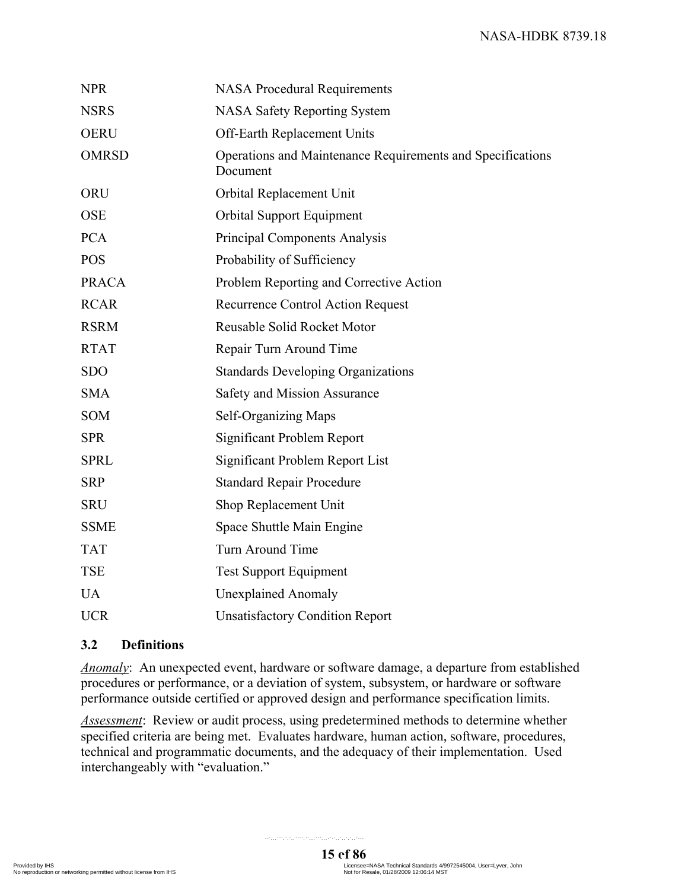| <b>NPR</b>   | <b>NASA Procedural Requirements</b>                                    |
|--------------|------------------------------------------------------------------------|
| <b>NSRS</b>  | <b>NASA Safety Reporting System</b>                                    |
| <b>OERU</b>  | Off-Earth Replacement Units                                            |
| <b>OMRSD</b> | Operations and Maintenance Requirements and Specifications<br>Document |
| ORU          | Orbital Replacement Unit                                               |
| <b>OSE</b>   | <b>Orbital Support Equipment</b>                                       |
| <b>PCA</b>   | Principal Components Analysis                                          |
| <b>POS</b>   | Probability of Sufficiency                                             |
| <b>PRACA</b> | Problem Reporting and Corrective Action                                |
| <b>RCAR</b>  | <b>Recurrence Control Action Request</b>                               |
| <b>RSRM</b>  | Reusable Solid Rocket Motor                                            |
| <b>RTAT</b>  | Repair Turn Around Time                                                |
| <b>SDO</b>   | <b>Standards Developing Organizations</b>                              |
| <b>SMA</b>   | Safety and Mission Assurance                                           |
| <b>SOM</b>   | <b>Self-Organizing Maps</b>                                            |
| <b>SPR</b>   | <b>Significant Problem Report</b>                                      |
| <b>SPRL</b>  | Significant Problem Report List                                        |
| <b>SRP</b>   | <b>Standard Repair Procedure</b>                                       |
| <b>SRU</b>   | Shop Replacement Unit                                                  |
| <b>SSME</b>  | Space Shuttle Main Engine                                              |
| <b>TAT</b>   | Turn Around Time                                                       |
| <b>TSE</b>   | <b>Test Support Equipment</b>                                          |
| <b>UA</b>    | <b>Unexplained Anomaly</b>                                             |
| <b>UCR</b>   | <b>Unsatisfactory Condition Report</b>                                 |

#### **3.2 Definitions**

*Anomaly*: An unexpected event, hardware or software damage, a departure from established procedures or performance, or a deviation of system, subsystem, or hardware or software performance outside certified or approved design and performance specification limits.

*Assessment*: Review or audit process, using predetermined methods to determine whether specified criteria are being met. Evaluates hardware, human action, software, procedures, technical and programmatic documents, and the adequacy of their implementation. Used interchangeably with "evaluation."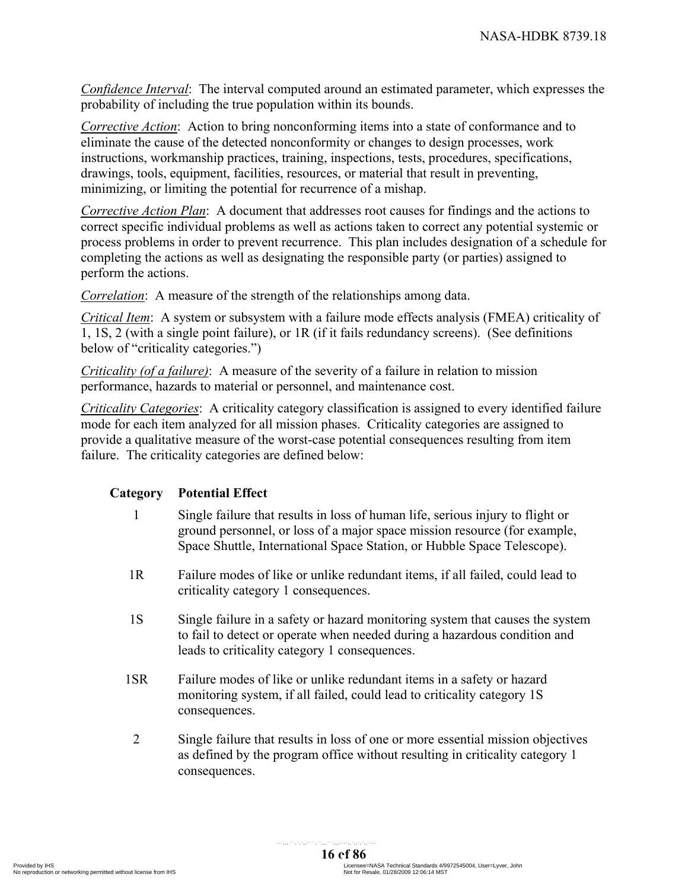*Confidence Interval*: The interval computed around an estimated parameter, which expresses the probability of including the true population within its bounds.

*Corrective Action*: Action to bring nonconforming items into a state of conformance and to eliminate the cause of the detected nonconformity or changes to design processes, work instructions, workmanship practices, training, inspections, tests, procedures, specifications, drawings, tools, equipment, facilities, resources, or material that result in preventing, minimizing, or limiting the potential for recurrence of a mishap.

*Corrective Action Plan*: A document that addresses root causes for findings and the actions to correct specific individual problems as well as actions taken to correct any potential systemic or process problems in order to prevent recurrence. This plan includes designation of a schedule for completing the actions as well as designating the responsible party (or parties) assigned to perform the actions.

*Correlation*: A measure of the strength of the relationships among data.

*Critical Item*: A system or subsystem with a failure mode effects analysis (FMEA) criticality of 1, 1S, 2 (with a single point failure), or 1R (if it fails redundancy screens). (See definitions below of "criticality categories.")

*Criticality (of a failure)*: A measure of the severity of a failure in relation to mission performance, hazards to material or personnel, and maintenance cost.

*Criticality Categories*: A criticality category classification is assigned to every identified failure mode for each item analyzed for all mission phases. Criticality categories are assigned to provide a qualitative measure of the worst-case potential consequences resulting from item failure. The criticality categories are defined below:

#### **Category Potential Effect**

- 1 Single failure that results in loss of human life, serious injury to flight or ground personnel, or loss of a major space mission resource (for example, Space Shuttle, International Space Station, or Hubble Space Telescope).
- 1R Failure modes of like or unlike redundant items, if all failed, could lead to criticality category 1 consequences.
- 1S Single failure in a safety or hazard monitoring system that causes the system to fail to detect or operate when needed during a hazardous condition and leads to criticality category 1 consequences.
- 1SR Failure modes of like or unlike redundant items in a safety or hazard monitoring system, if all failed, could lead to criticality category 1S consequences.
- 2 Single failure that results in loss of one or more essential mission objectives as defined by the program office without resulting in criticality category 1 consequences.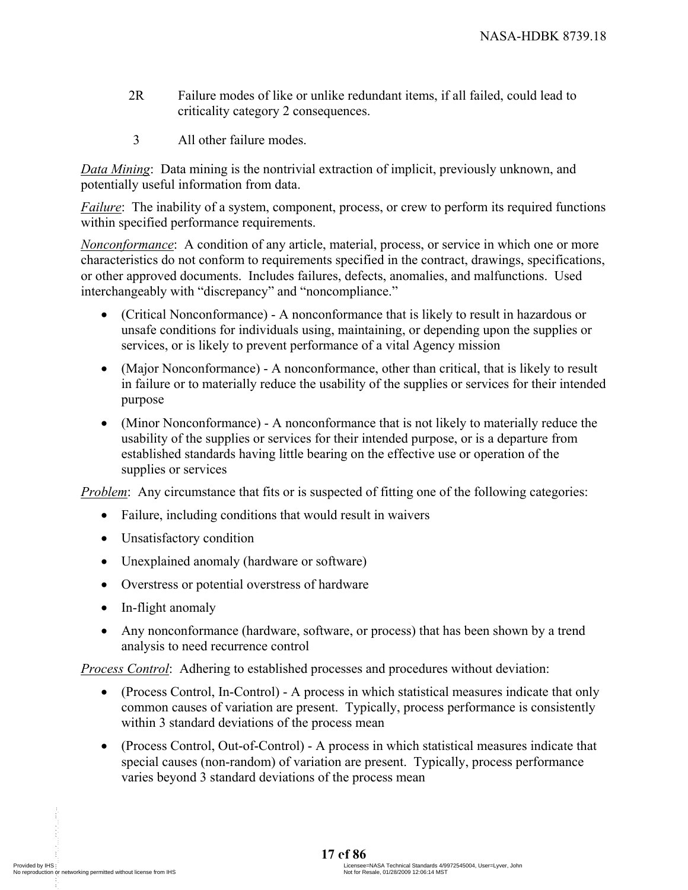- 2R Failure modes of like or unlike redundant items, if all failed, could lead to criticality category 2 consequences.
- 3 All other failure modes.

*Data Mining*: Data mining is the nontrivial extraction of implicit, previously unknown, and potentially useful information from data.

*Failure*: The inability of a system, component, process, or crew to perform its required functions within specified performance requirements.

*Nonconformance*: A condition of any article, material, process, or service in which one or more characteristics do not conform to requirements specified in the contract, drawings, specifications, or other approved documents. Includes failures, defects, anomalies, and malfunctions. Used interchangeably with "discrepancy" and "noncompliance."

- (Critical Nonconformance) A nonconformance that is likely to result in hazardous or unsafe conditions for individuals using, maintaining, or depending upon the supplies or services, or is likely to prevent performance of a vital Agency mission
- (Major Nonconformance) A nonconformance, other than critical, that is likely to result in failure or to materially reduce the usability of the supplies or services for their intended purpose
- (Minor Nonconformance) A nonconformance that is not likely to materially reduce the usability of the supplies or services for their intended purpose, or is a departure from established standards having little bearing on the effective use or operation of the supplies or services

*Problem*: Any circumstance that fits or is suspected of fitting one of the following categories:

- Failure, including conditions that would result in waivers
- Unsatisfactory condition
- Unexplained anomaly (hardware or software)
- Overstress or potential overstress of hardware
- In-flight anomaly
- Any nonconformance (hardware, software, or process) that has been shown by a trend analysis to need recurrence control

*Process Control*: Adhering to established processes and procedures without deviation:

- (Process Control, In-Control) A process in which statistical measures indicate that only common causes of variation are present. Typically, process performance is consistently within 3 standard deviations of the process mean
- (Process Control, Out-of-Control) A process in which statistical measures indicate that special causes (non-random) of variation are present. Typically, process performance varies beyond 3 standard deviations of the process mean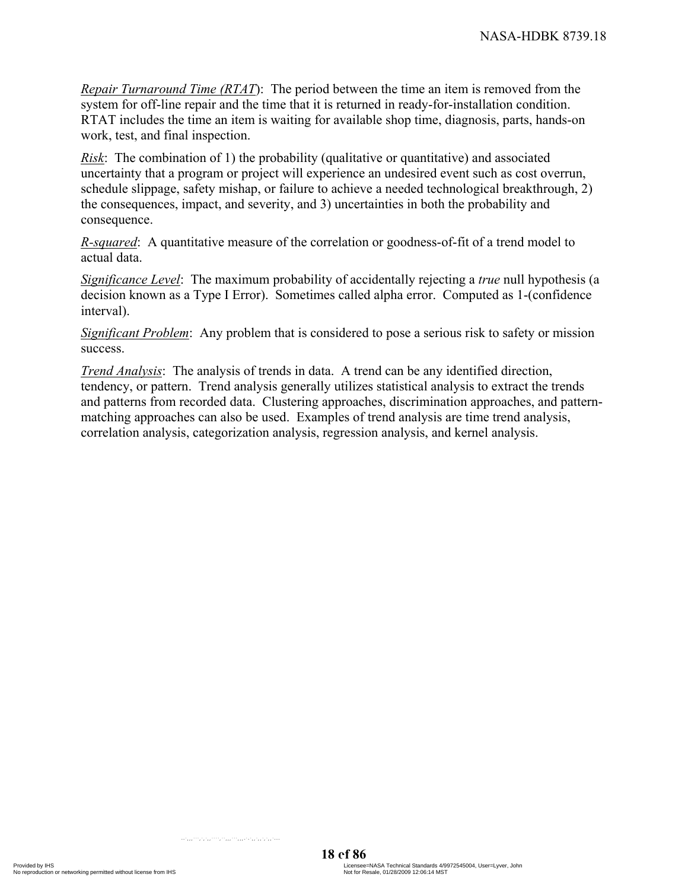*Repair Turnaround Time (RTAT*): The period between the time an item is removed from the system for off-line repair and the time that it is returned in ready-for-installation condition. RTAT includes the time an item is waiting for available shop time, diagnosis, parts, hands-on work, test, and final inspection.

*Risk*: The combination of 1) the probability (qualitative or quantitative) and associated uncertainty that a program or project will experience an undesired event such as cost overrun, schedule slippage, safety mishap, or failure to achieve a needed technological breakthrough, 2) the consequences, impact, and severity, and 3) uncertainties in both the probability and consequence.

*R-squared*: A quantitative measure of the correlation or goodness-of-fit of a trend model to actual data.

*Significance Level*: The maximum probability of accidentally rejecting a *true* null hypothesis (a decision known as a Type I Error). Sometimes called alpha error. Computed as 1-(confidence interval).

*Significant Problem*: Any problem that is considered to pose a serious risk to safety or mission success.

*Trend Analysis*: The analysis of trends in data. A trend can be any identified direction, tendency, or pattern. Trend analysis generally utilizes statistical analysis to extract the trends and patterns from recorded data. Clustering approaches, discrimination approaches, and patternmatching approaches can also be used. Examples of trend analysis are time trend analysis, correlation analysis, categorization analysis, regression analysis, and kernel analysis.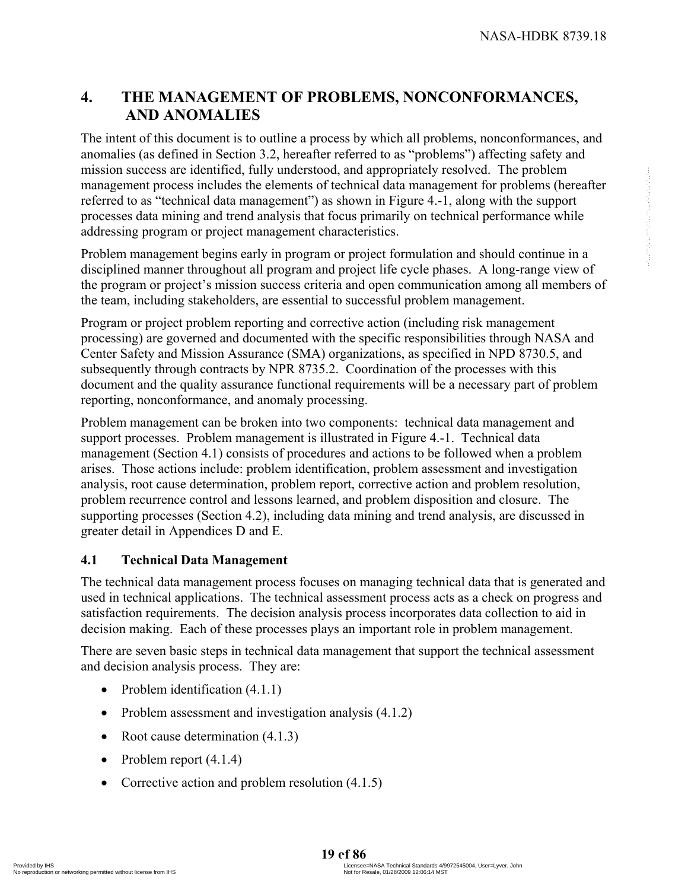# **4. THE MANAGEMENT OF PROBLEMS, NONCONFORMANCES, AND ANOMALIES**

The intent of this document is to outline a process by which all problems, nonconformances, and anomalies (as defined in Section 3.2, hereafter referred to as "problems") affecting safety and mission success are identified, fully understood, and appropriately resolved. The problem management process includes the elements of technical data management for problems (hereafter referred to as "technical data management") as shown in Figure 4.-1, along with the support processes data mining and trend analysis that focus primarily on technical performance while addressing program or project management characteristics.

Problem management begins early in program or project formulation and should continue in a disciplined manner throughout all program and project life cycle phases. A long-range view of the program or project's mission success criteria and open communication among all members of the team, including stakeholders, are essential to successful problem management.

Program or project problem reporting and corrective action (including risk management processing) are governed and documented with the specific responsibilities through NASA and Center Safety and Mission Assurance (SMA) organizations, as specified in NPD 8730.5, and subsequently through contracts by NPR 8735.2. Coordination of the processes with this document and the quality assurance functional requirements will be a necessary part of problem reporting, nonconformance, and anomaly processing.

Problem management can be broken into two components: technical data management and support processes. Problem management is illustrated in Figure 4.-1. Technical data management (Section 4.1) consists of procedures and actions to be followed when a problem arises. Those actions include: problem identification, problem assessment and investigation analysis, root cause determination, problem report, corrective action and problem resolution, problem recurrence control and lessons learned, and problem disposition and closure. The supporting processes (Section 4.2), including data mining and trend analysis, are discussed in greater detail in Appendices D and E. measures are colonimies, the effective or networking permitted with the state of the colonimal perform (see the product of the state minimig and from Interaction (see the minimig and from Interaction or networking the min

#### **4.1 Technical Data Management**

The technical data management process focuses on managing technical data that is generated and used in technical applications. The technical assessment process acts as a check on progress and satisfaction requirements. The decision analysis process incorporates data collection to aid in decision making. Each of these processes plays an important role in problem management.

There are seven basic steps in technical data management that support the technical assessment and decision analysis process. They are:

- Problem identification  $(4.1.1)$
- Problem assessment and investigation analysis  $(4.1.2)$
- Root cause determination  $(4.1.3)$
- Problem report  $(4.1.4)$
- Corrective action and problem resolution  $(4.1.5)$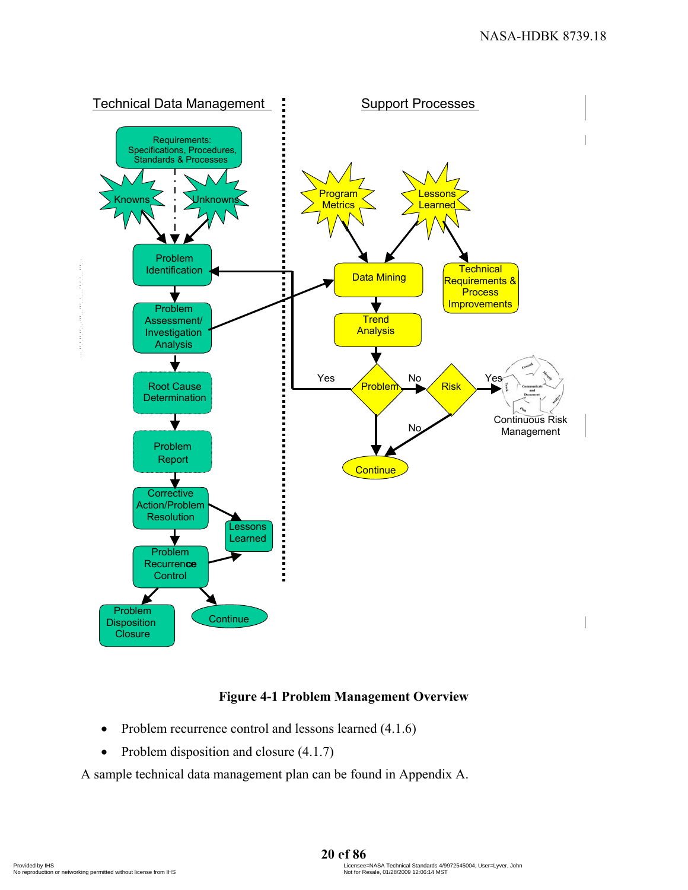

#### **Figure 4-1 Problem Management Overview**

- Problem recurrence control and lessons learned  $(4.1.6)$
- Problem disposition and closure (4.1.7)

A sample technical data management plan can be found in Appendix A.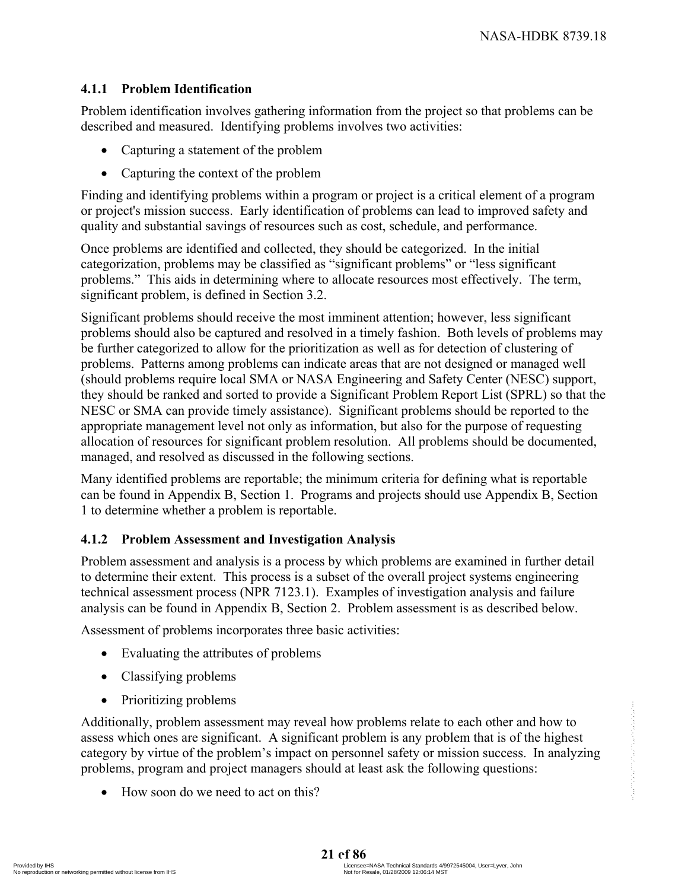#### **4.1.1 Problem Identification**

Problem identification involves gathering information from the project so that problems can be described and measured. Identifying problems involves two activities:

- Capturing a statement of the problem
- Capturing the context of the problem

Finding and identifying problems within a program or project is a critical element of a program or project's mission success. Early identification of problems can lead to improved safety and quality and substantial savings of resources such as cost, schedule, and performance.

Once problems are identified and collected, they should be categorized. In the initial categorization, problems may be classified as "significant problems" or "less significant problems." This aids in determining where to allocate resources most effectively. The term, significant problem, is defined in Section 3.2.

Significant problems should receive the most imminent attention; however, less significant problems should also be captured and resolved in a timely fashion. Both levels of problems may be further categorized to allow for the prioritization as well as for detection of clustering of problems. Patterns among problems can indicate areas that are not designed or managed well (should problems require local SMA or NASA Engineering and Safety Center (NESC) support, they should be ranked and sorted to provide a Significant Problem Report List (SPRL) so that the NESC or SMA can provide timely assistance). Significant problems should be reported to the appropriate management level not only as information, but also for the purpose of requesting allocation of resources for significant problem resolution. All problems should be documented, managed, and resolved as discussed in the following sections.

Many identified problems are reportable; the minimum criteria for defining what is reportable can be found in Appendix B, Section 1. Programs and projects should use Appendix B, Section 1 to determine whether a problem is reportable.

#### **4.1.2 Problem Assessment and Investigation Analysis**

Problem assessment and analysis is a process by which problems are examined in further detail to determine their extent. This process is a subset of the overall project systems engineering technical assessment process (NPR 7123.1). Examples of investigation analysis and failure analysis can be found in Appendix B, Section 2. Problem assessment is as described below.

Assessment of problems incorporates three basic activities:

- Evaluating the attributes of problems
- Classifying problems
- Prioritizing problems

Additionally, problem assessment may reveal how problems relate to each other and how to assess which ones are significant. A significant problem is any problem that is of the highest category by virtue of the problem's impact on personnel safety or mission success. In analyzing problems, program and project managers should at least ask the following questions: Additionally, problem assessment may reveal how problems relate to each other and how to<br>assess which ones are significant. A significant problem is any problem that is of the highest<br>category by virtue of the problem's i

• How soon do we need to act on this?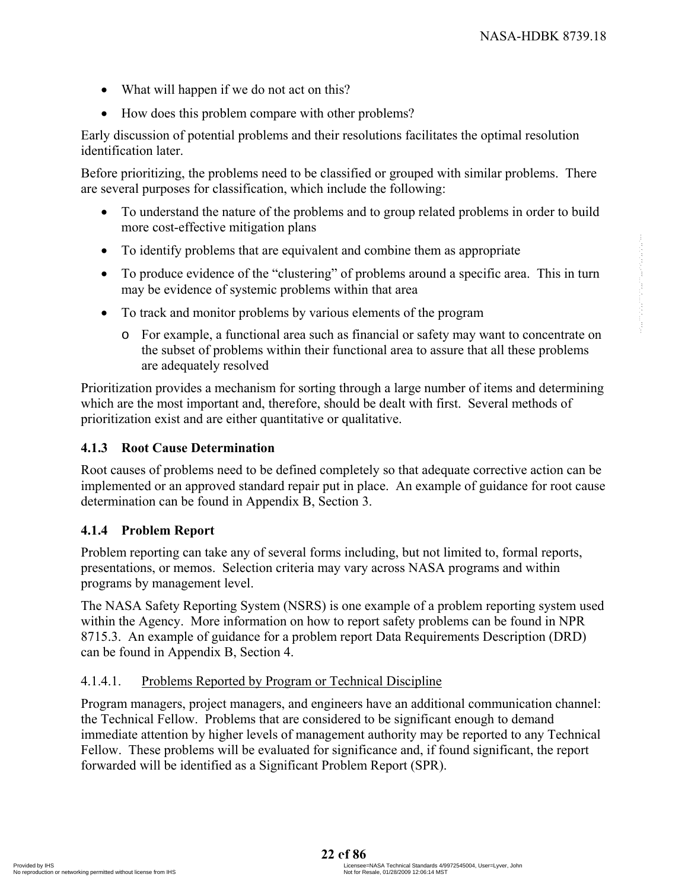- What will happen if we do not act on this?
- How does this problem compare with other problems?

Early discussion of potential problems and their resolutions facilitates the optimal resolution identification later.

Before prioritizing, the problems need to be classified or grouped with similar problems. There are several purposes for classification, which include the following:

- To understand the nature of the problems and to group related problems in order to build more cost-effective mitigation plans
- To identify problems that are equivalent and combine them as appropriate
- To produce evidence of the "clustering" of problems around a specific area. This in turn may be evidence of systemic problems within that area
- To track and monitor problems by various elements of the program
	- o For example, a functional area such as financial or safety may want to concentrate on the subset of problems within their functional area to assure that all these problems are adequately resolved

Prioritization provides a mechanism for sorting through a large number of items and determining which are the most important and, therefore, should be dealt with first. Several methods of prioritization exist and are either quantitative or qualitative.

#### **4.1.3 Root Cause Determination**

Root causes of problems need to be defined completely so that adequate corrective action can be implemented or an approved standard repair put in place. An example of guidance for root cause determination can be found in Appendix B, Section 3.

#### **4.1.4 Problem Report**

Problem reporting can take any of several forms including, but not limited to, formal reports, presentations, or memos. Selection criteria may vary across NASA programs and within programs by management level.

The NASA Safety Reporting System (NSRS) is one example of a problem reporting system used within the Agency. More information on how to report safety problems can be found in NPR 8715.3. An example of guidance for a problem report Data Requirements Description (DRD) can be found in Appendix B, Section 4.

#### 4.1.4.1. Problems Reported by Program or Technical Discipline

Program managers, project managers, and engineers have an additional communication channel: the Technical Fellow. Problems that are considered to be significant enough to demand immediate attention by higher levels of management authority may be reported to any Technical Fellow. These problems will be evaluated for significance and, if found significant, the report forwarded will be identified as a Significant Problem Report (SPR). To identify problems that are equivalent and combine them as appropriate<br>
16 products evidence of the "clustering" of problems within a arrear<br>
16 method are complete products of the "clustering" of products<br>
17 the resul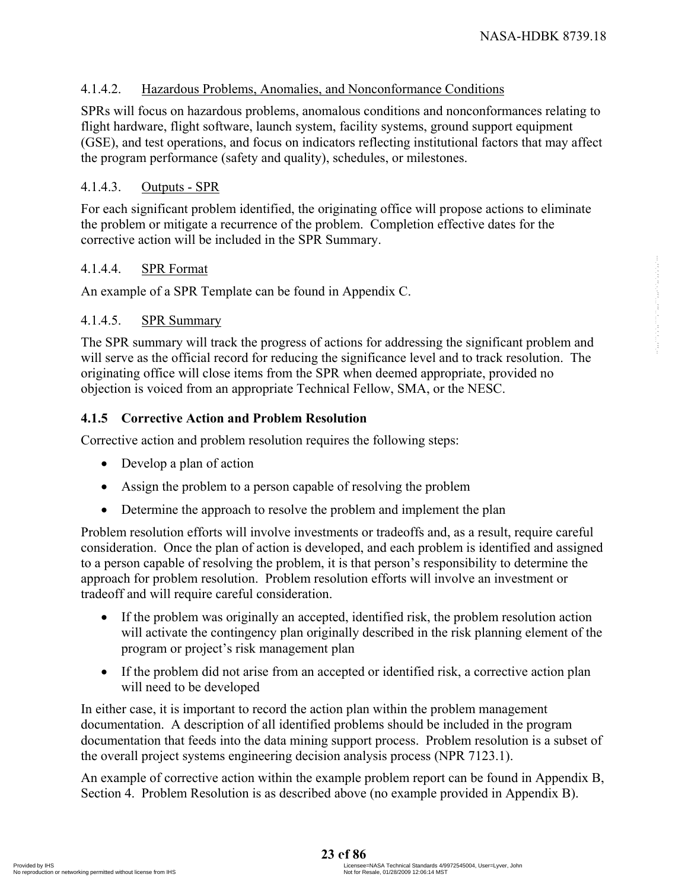#### 4.1.4.2. Hazardous Problems, Anomalies, and Nonconformance Conditions

SPRs will focus on hazardous problems, anomalous conditions and nonconformances relating to flight hardware, flight software, launch system, facility systems, ground support equipment (GSE), and test operations, and focus on indicators reflecting institutional factors that may affect the program performance (safety and quality), schedules, or milestones.

#### 4.1.4.3. Outputs - SPR

For each significant problem identified, the originating office will propose actions to eliminate the problem or mitigate a recurrence of the problem. Completion effective dates for the corrective action will be included in the SPR Summary.

#### 4.1.4.4. SPR Format

An example of a SPR Template can be found in Appendix C.

#### 4.1.4.5. SPR Summary

The SPR summary will track the progress of actions for addressing the significant problem and will serve as the official record for reducing the significance level and to track resolution. The originating office will close items from the SPR when deemed appropriate, provided no objection is voiced from an appropriate Technical Fellow, SMA, or the NESC.

#### **4.1.5 Corrective Action and Problem Resolution**

Corrective action and problem resolution requires the following steps:

- Develop a plan of action
- Assign the problem to a person capable of resolving the problem
- Determine the approach to resolve the problem and implement the plan

Problem resolution efforts will involve investments or tradeoffs and, as a result, require careful consideration. Once the plan of action is developed, and each problem is identified and assigned to a person capable of resolving the problem, it is that person's responsibility to determine the approach for problem resolution. Problem resolution efforts will involve an investment or tradeoff and will require careful consideration. A 1.44 SPR Exernal<br>
An computer als ENF. Termplate can be found in Appendix C.<br>
The SPR summary<br>
The SPR summary will track the progress of actions for coldersing the significant problem and<br>
unit croceas Act, consider fr

- If the problem was originally an accepted, identified risk, the problem resolution action will activate the contingency plan originally described in the risk planning element of the program or project's risk management plan
- If the problem did not arise from an accepted or identified risk, a corrective action plan will need to be developed

In either case, it is important to record the action plan within the problem management documentation. A description of all identified problems should be included in the program documentation that feeds into the data mining support process. Problem resolution is a subset of the overall project systems engineering decision analysis process (NPR 7123.1).

An example of corrective action within the example problem report can be found in Appendix B, Section 4. Problem Resolution is as described above (no example provided in Appendix B).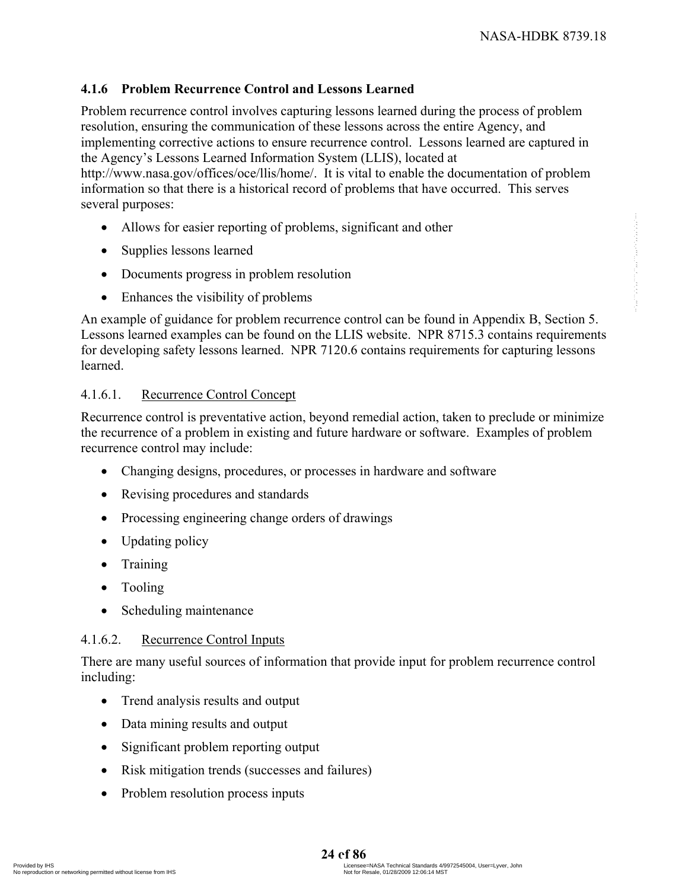#### **4.1.6 Problem Recurrence Control and Lessons Learned**

Problem recurrence control involves capturing lessons learned during the process of problem resolution, ensuring the communication of these lessons across the entire Agency, and implementing corrective actions to ensure recurrence control. Lessons learned are captured in the Agency's Lessons Learned Information System (LLIS), located at http://www.nasa.gov/offices/oce/llis/home/. It is vital to enable the documentation of problem information so that there is a historical record of problems that have occurred. This serves several purposes:

- Allows for easier reporting of problems, significant and other
- Supplies lessons learned
- Documents progress in problem resolution
- Enhances the visibility of problems

An example of guidance for problem recurrence control can be found in Appendix B, Section 5. Lessons learned examples can be found on the LLIS website. NPR 8715.3 contains requirements for developing safety lessons learned. NPR 7120.6 contains requirements for capturing lessons learned. • Allows for easier reporting of problems, significant and other<br>
• Surprises leasons learning permitted without model without a Fourier or networking a permitted with a superator of the Sure of Allo Sure Sure Sure Sure S

#### 4.1.6.1. Recurrence Control Concept

Recurrence control is preventative action, beyond remedial action, taken to preclude or minimize the recurrence of a problem in existing and future hardware or software. Examples of problem recurrence control may include:

- Changing designs, procedures, or processes in hardware and software
- Revising procedures and standards
- Processing engineering change orders of drawings
- Updating policy
- Training
- Tooling
- Scheduling maintenance

#### 4.1.6.2. Recurrence Control Inputs

There are many useful sources of information that provide input for problem recurrence control including:

- Trend analysis results and output
- Data mining results and output
- Significant problem reporting output
- Risk mitigation trends (successes and failures)
- Problem resolution process inputs

#### **24 of 86**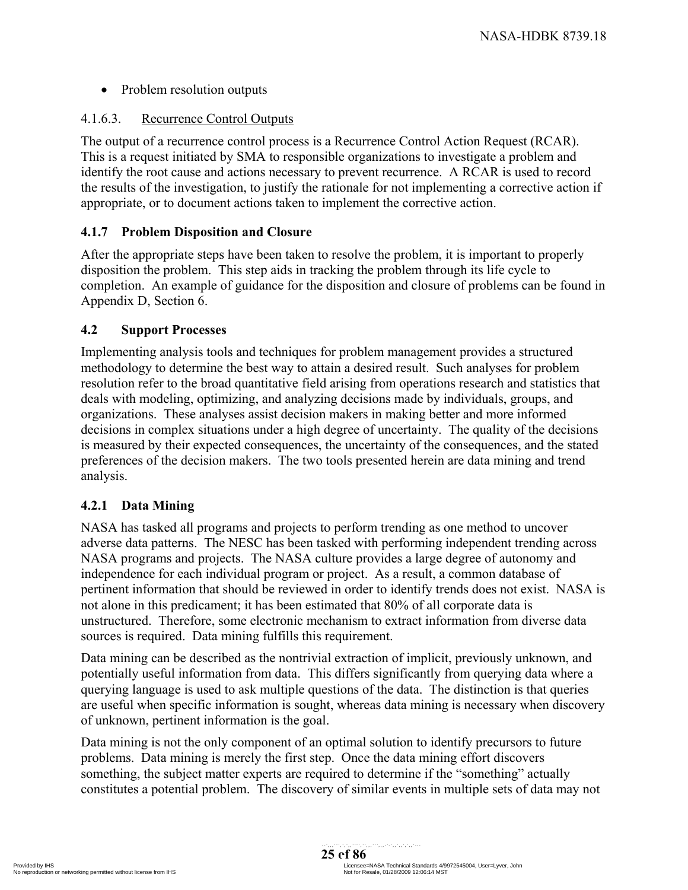• Problem resolution outputs

#### 4.1.6.3. Recurrence Control Outputs

The output of a recurrence control process is a Recurrence Control Action Request (RCAR). This is a request initiated by SMA to responsible organizations to investigate a problem and identify the root cause and actions necessary to prevent recurrence. A RCAR is used to record the results of the investigation, to justify the rationale for not implementing a corrective action if appropriate, or to document actions taken to implement the corrective action.

#### **4.1.7 Problem Disposition and Closure**

After the appropriate steps have been taken to resolve the problem, it is important to properly disposition the problem. This step aids in tracking the problem through its life cycle to completion. An example of guidance for the disposition and closure of problems can be found in Appendix D, Section 6.

#### **4.2 Support Processes**

Implementing analysis tools and techniques for problem management provides a structured methodology to determine the best way to attain a desired result. Such analyses for problem resolution refer to the broad quantitative field arising from operations research and statistics that deals with modeling, optimizing, and analyzing decisions made by individuals, groups, and organizations. These analyses assist decision makers in making better and more informed decisions in complex situations under a high degree of uncertainty. The quality of the decisions is measured by their expected consequences, the uncertainty of the consequences, and the stated preferences of the decision makers. The two tools presented herein are data mining and trend analysis.

#### **4.2.1 Data Mining**

NASA has tasked all programs and projects to perform trending as one method to uncover adverse data patterns. The NESC has been tasked with performing independent trending across NASA programs and projects. The NASA culture provides a large degree of autonomy and independence for each individual program or project. As a result, a common database of pertinent information that should be reviewed in order to identify trends does not exist. NASA is not alone in this predicament; it has been estimated that 80% of all corporate data is unstructured. Therefore, some electronic mechanism to extract information from diverse data sources is required. Data mining fulfills this requirement.

Data mining can be described as the nontrivial extraction of implicit, previously unknown, and potentially useful information from data. This differs significantly from querying data where a querying language is used to ask multiple questions of the data. The distinction is that queries are useful when specific information is sought, whereas data mining is necessary when discovery of unknown, pertinent information is the goal.

Data mining is not the only component of an optimal solution to identify precursors to future problems. Data mining is merely the first step. Once the data mining effort discovers something, the subject matter experts are required to determine if the "something" actually constitutes a potential problem. The discovery of similar events in multiple sets of data may not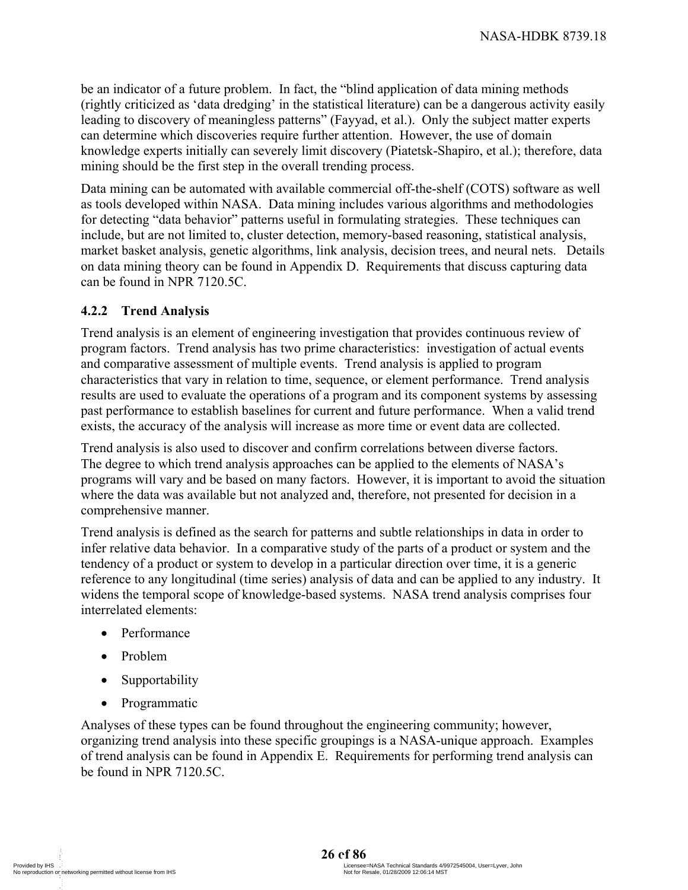be an indicator of a future problem. In fact, the "blind application of data mining methods (rightly criticized as 'data dredging' in the statistical literature) can be a dangerous activity easily leading to discovery of meaningless patterns" (Fayyad, et al.). Only the subject matter experts can determine which discoveries require further attention. However, the use of domain knowledge experts initially can severely limit discovery (Piatetsk-Shapiro, et al.); therefore, data mining should be the first step in the overall trending process.

Data mining can be automated with available commercial off-the-shelf (COTS) software as well as tools developed within NASA. Data mining includes various algorithms and methodologies for detecting "data behavior" patterns useful in formulating strategies. These techniques can include, but are not limited to, cluster detection, memory-based reasoning, statistical analysis, market basket analysis, genetic algorithms, link analysis, decision trees, and neural nets. Details on data mining theory can be found in Appendix D. Requirements that discuss capturing data can be found in NPR 7120.5C.

#### **4.2.2 Trend Analysis**

Trend analysis is an element of engineering investigation that provides continuous review of program factors. Trend analysis has two prime characteristics: investigation of actual events and comparative assessment of multiple events. Trend analysis is applied to program characteristics that vary in relation to time, sequence, or element performance. Trend analysis results are used to evaluate the operations of a program and its component systems by assessing past performance to establish baselines for current and future performance. When a valid trend exists, the accuracy of the analysis will increase as more time or event data are collected.

Trend analysis is also used to discover and confirm correlations between diverse factors. The degree to which trend analysis approaches can be applied to the elements of NASA's programs will vary and be based on many factors. However, it is important to avoid the situation where the data was available but not analyzed and, therefore, not presented for decision in a comprehensive manner.

Trend analysis is defined as the search for patterns and subtle relationships in data in order to infer relative data behavior. In a comparative study of the parts of a product or system and the tendency of a product or system to develop in a particular direction over time, it is a generic reference to any longitudinal (time series) analysis of data and can be applied to any industry. It widens the temporal scope of knowledge-based systems. NASA trend analysis comprises four interrelated elements:

- Performance
- Problem
- Supportability
- Programmatic

Analyses of these types can be found throughout the engineering community; however, organizing trend analysis into these specific groupings is a NASA-unique approach. Examples of trend analysis can be found in Appendix E. Requirements for performing trend analysis can be found in NPR 7120.5C.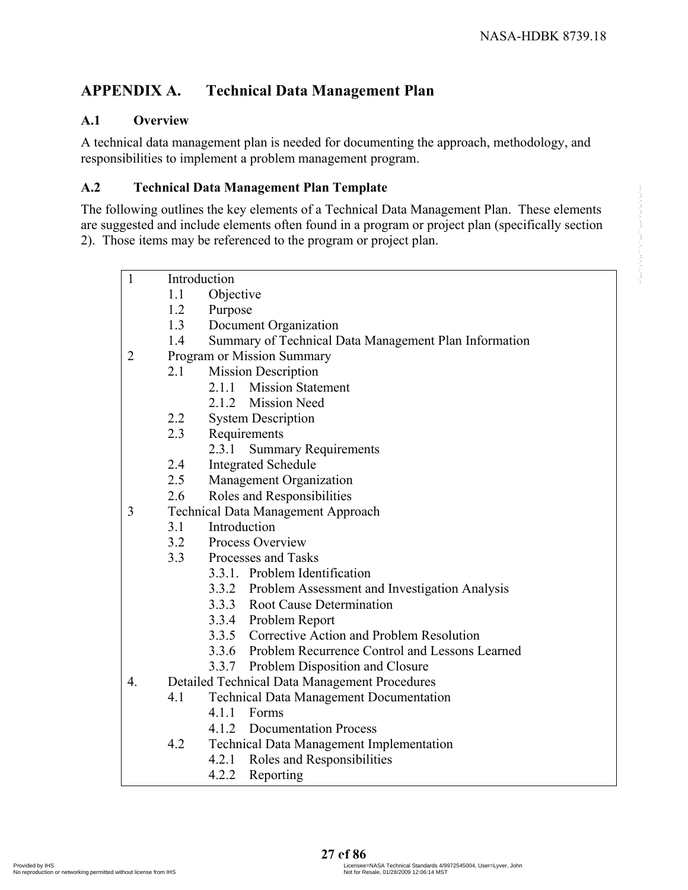# **APPENDIX A. Technical Data Management Plan**

#### **A.1 Overview**

A technical data management plan is needed for documenting the approach, methodology, and responsibilities to implement a problem management program.

#### **A.2 Technical Data Management Plan Template**

The following outlines the key elements of a Technical Data Management Plan. These elements are suggested and include elements often found in a program or project plan (specifically section 2). Those items may be referenced to the program or project plan. A.2 require the tart of the formulation of the contents of a Technical Data Management Plan. These converses the production of the formula in a program or project plan.<br>
2). Those its mass the referenced other found in a

- 1.1 Objective
- 1.2 Purpose
- 1.3 Document Organization
- 1.4 Summary of Technical Data Management Plan Information
- 2 Program or Mission Summary
	- 2.1 Mission Description
		- 2.1.1 Mission Statement
		- 2.1.2 Mission Need
	- 2.2 System Description
	- 2.3 Requirements
		- 2.3.1 Summary Requirements
	- 2.4 Integrated Schedule
	- 2.5 Management Organization
	- 2.6 Roles and Responsibilities
- 3 Technical Data Management Approach
	- 3.1 Introduction
	- 3.2 Process Overview
	- 3.3 Processes and Tasks
		- 3.3.1. Problem Identification
		- 3.3.2 Problem Assessment and Investigation Analysis
		- 3.3.3 Root Cause Determination
		- 3.3.4 Problem Report
		- 3.3.5 Corrective Action and Problem Resolution
		- 3.3.6 Problem Recurrence Control and Lessons Learned
		- 3.3.7 Problem Disposition and Closure
- 4. Detailed Technical Data Management Procedures
	- 4.1 Technical Data Management Documentation
		- 4.1.1 Forms
		- 4.1.2 Documentation Process
	- 4.2 Technical Data Management Implementation
		- 4.2.1 Roles and Responsibilities
		- 4.2.2 Reporting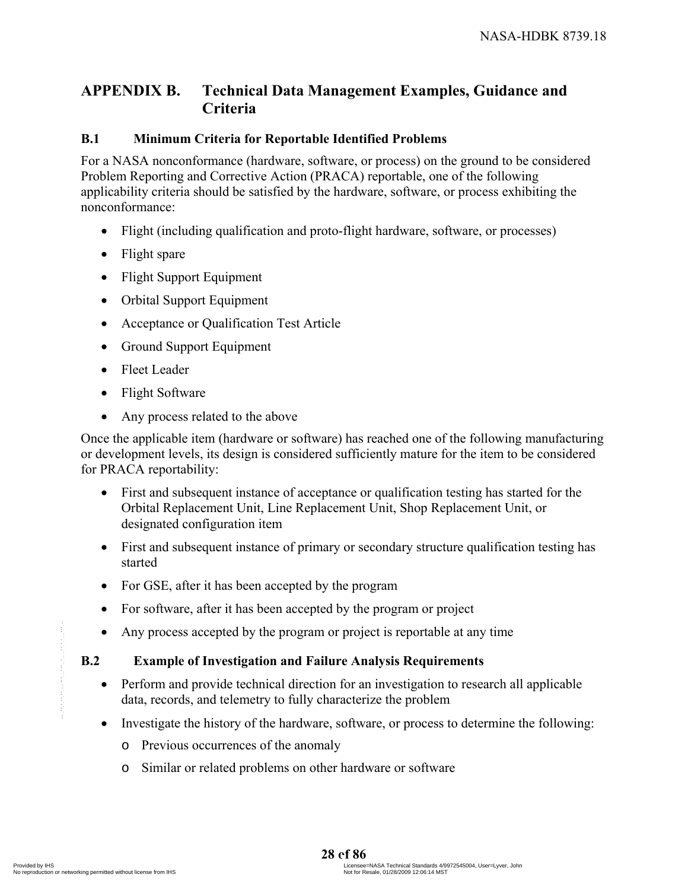# **APPENDIX B. Technical Data Management Examples, Guidance and Criteria**

#### **B.1 Minimum Criteria for Reportable Identified Problems**

For a NASA nonconformance (hardware, software, or process) on the ground to be considered Problem Reporting and Corrective Action (PRACA) reportable, one of the following applicability criteria should be satisfied by the hardware, software, or process exhibiting the nonconformance:

- Flight (including qualification and proto-flight hardware, software, or processes)
- Flight spare
- Flight Support Equipment
- Orbital Support Equipment
- Acceptance or Qualification Test Article
- Ground Support Equipment
- Fleet Leader
- Flight Software
- Any process related to the above

Once the applicable item (hardware or software) has reached one of the following manufacturing or development levels, its design is considered sufficiently mature for the item to be considered for PRACA reportability:

- First and subsequent instance of acceptance or qualification testing has started for the Orbital Replacement Unit, Line Replacement Unit, Shop Replacement Unit, or designated configuration item
- First and subsequent instance of primary or secondary structure qualification testing has started
- For GSE, after it has been accepted by the program
- For software, after it has been accepted by the program or project
- Any process accepted by the program or project is reportable at any time

#### **B.2 Example of Investigation and Failure Analysis Requirements**

- Perform and provide technical direction for an investigation to research all applicable data, records, and telemetry to fully characterize the problem • Any process accepted by the program or project is reportable<br>
B.2 Example of Investigation and Failure Analysis Require<br>
• Perform and provide technical direction for an investigation<br>
• Investigate the history of the ha
	- Investigate the history of the hardware, software, or process to determine the following:
		- o Previous occurrences of the anomaly
		- o Similar or related problems on other hardware or software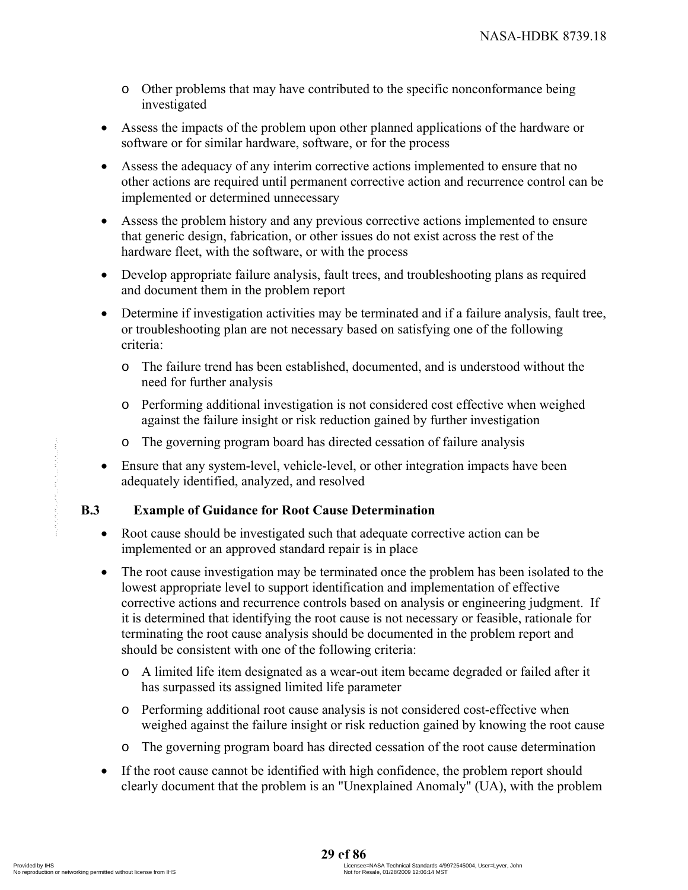- o Other problems that may have contributed to the specific nonconformance being investigated
- Assess the impacts of the problem upon other planned applications of the hardware or software or for similar hardware, software, or for the process
- Assess the adequacy of any interim corrective actions implemented to ensure that no other actions are required until permanent corrective action and recurrence control can be implemented or determined unnecessary
- Assess the problem history and any previous corrective actions implemented to ensure that generic design, fabrication, or other issues do not exist across the rest of the hardware fleet, with the software, or with the process
- Develop appropriate failure analysis, fault trees, and troubleshooting plans as required and document them in the problem report
- Determine if investigation activities may be terminated and if a failure analysis, fault tree, or troubleshooting plan are not necessary based on satisfying one of the following criteria:
	- o The failure trend has been established, documented, and is understood without the need for further analysis
	- o Performing additional investigation is not considered cost effective when weighed against the failure insight or risk reduction gained by further investigation
	- o The governing program board has directed cessation of failure analysis
- Ensure that any system-level, vehicle-level, or other integration impacts have been adequately identified, analyzed, and resolved

#### **B.3 Example of Guidance for Root Cause Determination**

- Root cause should be investigated such that adequate corrective action can be implemented or an approved standard repair is in place
- The root cause investigation may be terminated once the problem has been isolated to the lowest appropriate level to support identification and implementation of effective corrective actions and recurrence controls based on analysis or engineering judgment. If it is determined that identifying the root cause is not necessary or feasible, rationale for terminating the root cause analysis should be documented in the problem report and should be consistent with one of the following criteria: The governing program board has directed cessation of **F**<br> **Example of Guidance for Root Cause Determination**<br> **Example of Guidance for Root Cause Determination**<br> **Example of Guidance for Root Cause Determination**<br> **Examp** 
	- o A limited life item designated as a wear-out item became degraded or failed after it has surpassed its assigned limited life parameter
	- o Performing additional root cause analysis is not considered cost-effective when weighed against the failure insight or risk reduction gained by knowing the root cause
	- o The governing program board has directed cessation of the root cause determination
	- If the root cause cannot be identified with high confidence, the problem report should clearly document that the problem is an "Unexplained Anomaly" (UA), with the problem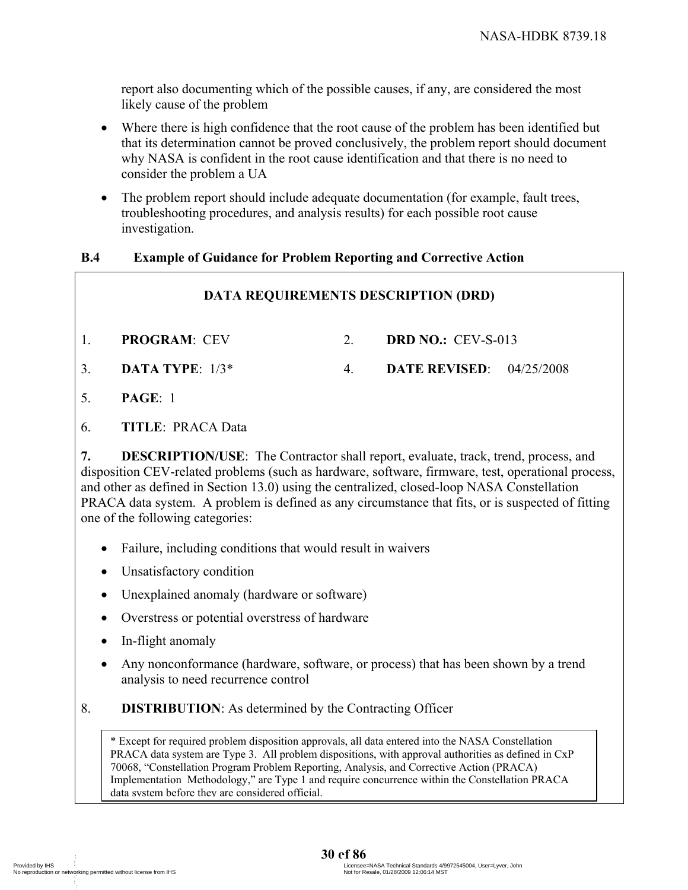report also documenting which of the possible causes, if any, are considered the most likely cause of the problem

- Where there is high confidence that the root cause of the problem has been identified but that its determination cannot be proved conclusively, the problem report should document why NASA is confident in the root cause identification and that there is no need to consider the problem a UA
- The problem report should include adequate documentation (for example, fault trees, troubleshooting procedures, and analysis results) for each possible root cause investigation.

#### **B.4 Example of Guidance for Problem Reporting and Corrective Action**

#### **DATA REQUIREMENTS DESCRIPTION (DRD)**

- 1. **PROGRAM**: CEV 2. **DRD NO.:** CEV-S-013
- 3. **DATA TYPE**: 1/3\* 4. **DATE REVISED**: 04/25/2008
- 5. **PAGE**: 1
- 6. **TITLE**: PRACA Data

**7. DESCRIPTION/USE**: The Contractor shall report, evaluate, track, trend, process, and disposition CEV-related problems (such as hardware, software, firmware, test, operational process, and other as defined in Section 13.0) using the centralized, closed-loop NASA Constellation PRACA data system. A problem is defined as any circumstance that fits, or is suspected of fitting one of the following categories:

- Failure, including conditions that would result in waivers
- Unsatisfactory condition
- Unexplained anomaly (hardware or software)
- Overstress or potential overstress of hardware
- In-flight anomaly
- Any nonconformance (hardware, software, or process) that has been shown by a trend analysis to need recurrence control
- 8. **DISTRIBUTION**: As determined by the Contracting Officer

\* Except for required problem disposition approvals, all data entered into the NASA Constellation PRACA data system are Type 3. All problem dispositions, with approval authorities as defined in CxP 70068, "Constellation Program Problem Reporting, Analysis, and Corrective Action (PRACA) Implementation Methodology," are Type 1 and require concurrence within the Constellation PRACA data system before they are considered official.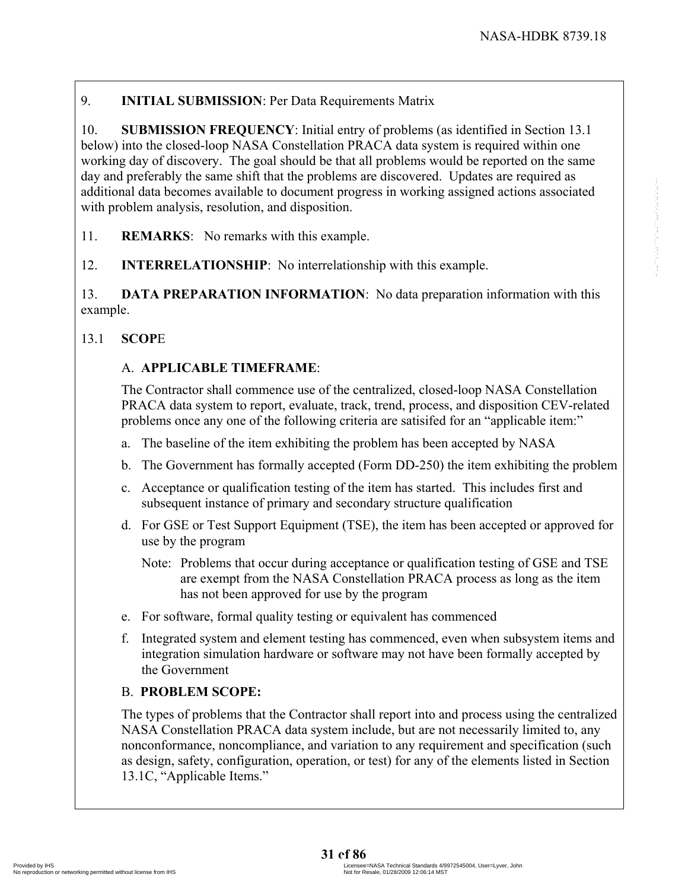### 9. **INITIAL SUBMISSION**: Per Data Requirements Matrix

10. **SUBMISSION FREQUENCY**: Initial entry of problems (as identified in Section 13.1 below) into the closed-loop NASA Constellation PRACA data system is required within one working day of discovery. The goal should be that all problems would be reported on the same day and preferably the same shift that the problems are discovered. Updates are required as additional data becomes available to document progress in working assigned actions associated with problem analysis, resolution, and disposition.

- 11. **REMARKS**: No remarks with this example.
- 12. **INTERRELATIONSHIP**: No interrelationship with this example.

13. **DATA PREPARATION INFORMATION**: No data preparation information with this example.

### 13.1 **SCOP**E

### A. **APPLICABLE TIMEFRAME**:

The Contractor shall commence use of the centralized, closed-loop NASA Constellation PRACA data system to report, evaluate, track, trend, process, and disposition CEV-related problems once any one of the following criteria are satisifed for an "applicable item:"

- a. The baseline of the item exhibiting the problem has been accepted by NASA
- b. The Government has formally accepted (Form DD-250) the item exhibiting the problem
- c. Acceptance or qualification testing of the item has started. This includes first and subsequent instance of primary and secondary structure qualification
- d. For GSE or Test Support Equipment (TSE), the item has been accepted or approved for use by the program
	- Note: Problems that occur during acceptance or qualification testing of GSE and TSE are exempt from the NASA Constellation PRACA process as long as the item has not been approved for use by the program
- e. For software, formal quality testing or equivalent has commenced
- f. Integrated system and element testing has commenced, even when subsystem items and integration simulation hardware or software may not have been formally accepted by the Government

#### B. **PROBLEM SCOPE:**

The types of problems that the Contractor shall report into and process using the centralized NASA Constellation PRACA data system include, but are not necessarily limited to, any nonconformance, noncompliance, and variation to any requirement and specification (such as design, safety, configuration, operation, or test) for any of the elements listed in Section 13.1C, "Applicable Items." Notification of the solution or networking permitted with the other and the beample.<br>
A REPARELATIONSHIP: No interrelationship with this example.<br>
11. **EEXARES:** No remarks with this example.<br>
12. **INTERRELATIONSHIP:** No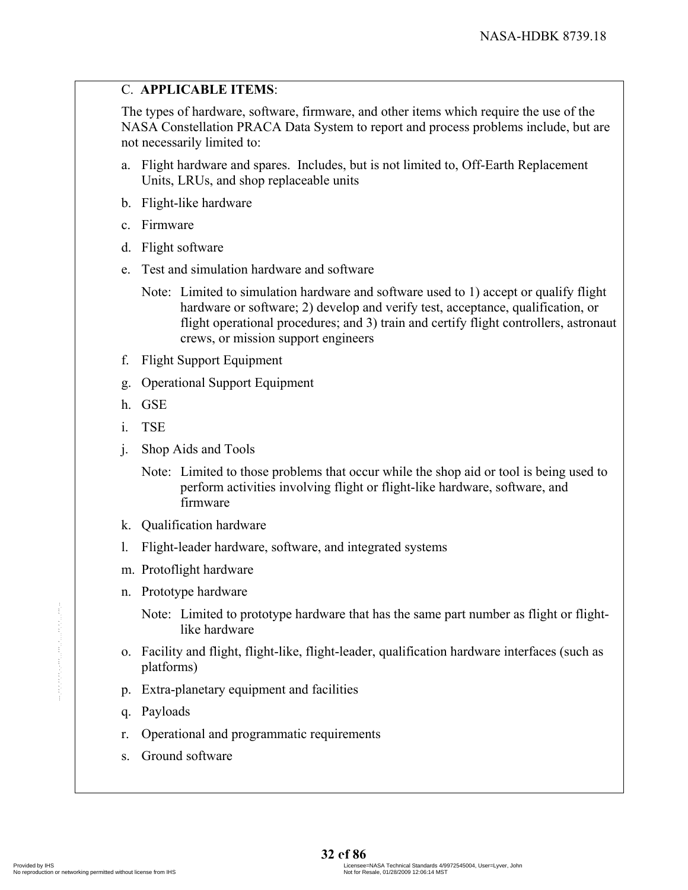#### C. **APPLICABLE ITEMS**:

The types of hardware, software, firmware, and other items which require the use of the NASA Constellation PRACA Data System to report and process problems include, but are not necessarily limited to:

- a. Flight hardware and spares. Includes, but is not limited to, Off-Earth Replacement Units, LRUs, and shop replaceable units
- b. Flight-like hardware
- c. Firmware
- d. Flight software
- e. Test and simulation hardware and software
	- Note: Limited to simulation hardware and software used to 1) accept or qualify flight hardware or software; 2) develop and verify test, acceptance, qualification, or flight operational procedures; and 3) train and certify flight controllers, astronaut crews, or mission support engineers
- f. Flight Support Equipment
- g. Operational Support Equipment
- h. GSE
- i. TSE
- j. Shop Aids and Tools
	- Note: Limited to those problems that occur while the shop aid or tool is being used to perform activities involving flight or flight-like hardware, software, and firmware
- k. Qualification hardware
- l. Flight-leader hardware, software, and integrated systems
- m. Protoflight hardware
- n. Prototype hardware
	- Note: Limited to prototype hardware that has the same part number as flight or flightlike hardware
- o. Facility and flight, flight-like, flight-leader, qualification hardware interfaces (such as platforms) Note: Limited to prototype hardware that has the same provided by the same production or networking and from IHS Note:<br>
0. Facility and flight, flight-like, flight-leader, qualification platforms)<br>
p. Extra-planetary equip
	- p. Extra-planetary equipment and facilities
	- q. Payloads
	- r. Operational and programmatic requirements
	- s. Ground software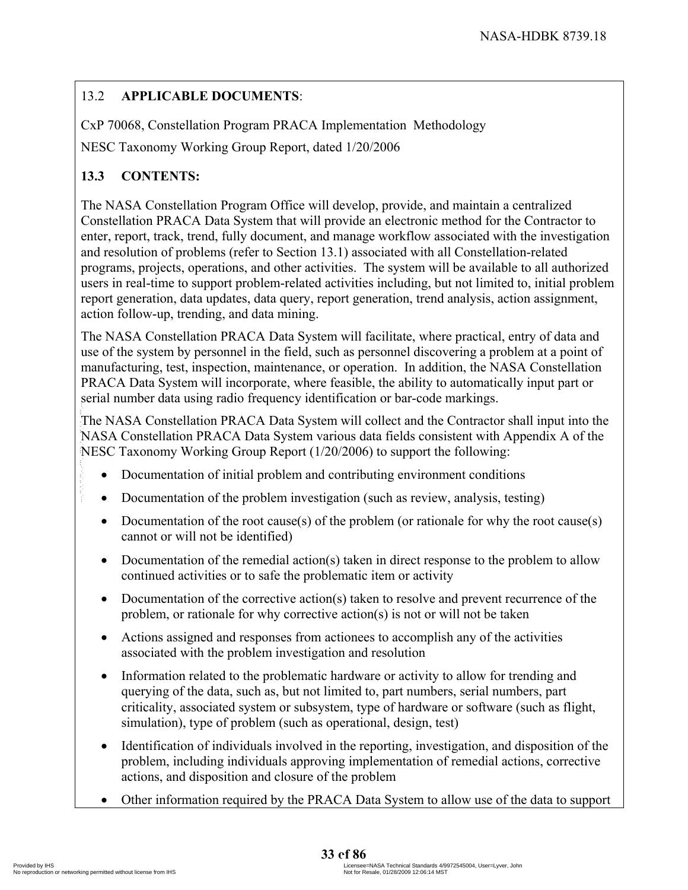### 13.2 **APPLICABLE DOCUMENTS**:

CxP 70068, Constellation Program PRACA Implementation Methodology NESC Taxonomy Working Group Report, dated 1/20/2006

#### **13.3 CONTENTS:**

The NASA Constellation Program Office will develop, provide, and maintain a centralized Constellation PRACA Data System that will provide an electronic method for the Contractor to enter, report, track, trend, fully document, and manage workflow associated with the investigation and resolution of problems (refer to Section 13.1) associated with all Constellation-related programs, projects, operations, and other activities. The system will be available to all authorized users in real-time to support problem-related activities including, but not limited to, initial problem report generation, data updates, data query, report generation, trend analysis, action assignment, action follow-up, trending, and data mining.

The NASA Constellation PRACA Data System will facilitate, where practical, entry of data and use of the system by personnel in the field, such as personnel discovering a problem at a point of manufacturing, test, inspection, maintenance, or operation. In addition, the NASA Constellation PRACA Data System will incorporate, where feasible, the ability to automatically input part or serial number data using radio frequency identification or bar-code markings.

The NASA Constellation PRACA Data System will collect and the Contractor shall input into the NASA Constellation PRACA Data System various data fields consistent with Appendix A of the NESC Taxonomy Working Group Report (1/20/2006) to support the following:

- Documentation of initial problem and contributing environment conditions
- Documentation of the problem investigation (such as review, analysis, testing)
- Documentation of the root cause(s) of the problem (or rationale for why the root cause(s) cannot or will not be identified)
- Documentation of the remedial action(s) taken in direct response to the problem to allow continued activities or to safe the problematic item or activity
- Documentation of the corrective action(s) taken to resolve and prevent recurrence of the problem, or rationale for why corrective action(s) is not or will not be taken
- Actions assigned and responses from actionees to accomplish any of the activities associated with the problem investigation and resolution
- Information related to the problematic hardware or activity to allow for trending and querying of the data, such as, but not limited to, part numbers, serial numbers, part criticality, associated system or subsystem, type of hardware or software (such as flight, simulation), type of problem (such as operational, design, test) The NASA Constellation PRACA Data System will collect and the<br>NASA Constellation PRACA Data System various data fields consi<br>NESC Taxonomy Working Group Report (1/20/2006) to support the<br>Documentation of finitial problem a
	- Identification of individuals involved in the reporting, investigation, and disposition of the problem, including individuals approving implementation of remedial actions, corrective actions, and disposition and closure of the problem
	- Other information required by the PRACA Data System to allow use of the data to support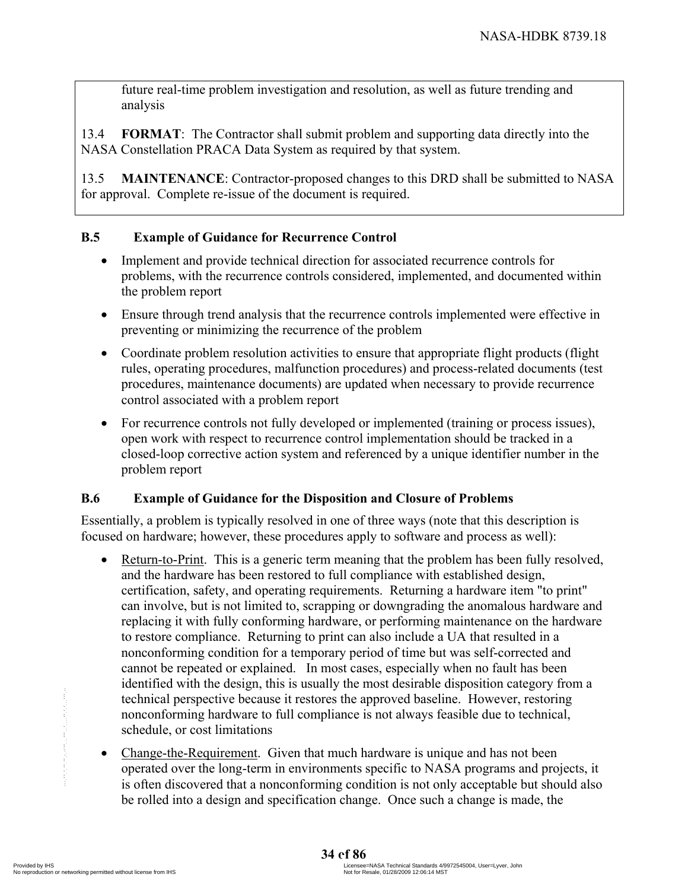future real-time problem investigation and resolution, as well as future trending and analysis

13.4 **FORMAT**: The Contractor shall submit problem and supporting data directly into the NASA Constellation PRACA Data System as required by that system.

13.5 **MAINTENANCE**: Contractor-proposed changes to this DRD shall be submitted to NASA for approval. Complete re-issue of the document is required.

#### **B.5 Example of Guidance for Recurrence Control**

- Implement and provide technical direction for associated recurrence controls for problems, with the recurrence controls considered, implemented, and documented within the problem report
- Ensure through trend analysis that the recurrence controls implemented were effective in preventing or minimizing the recurrence of the problem
- Coordinate problem resolution activities to ensure that appropriate flight products (flight rules, operating procedures, malfunction procedures) and process-related documents (test procedures, maintenance documents) are updated when necessary to provide recurrence control associated with a problem report
- For recurrence controls not fully developed or implemented (training or process issues), open work with respect to recurrence control implementation should be tracked in a closed-loop corrective action system and referenced by a unique identifier number in the problem report

#### **B.6 Example of Guidance for the Disposition and Closure of Problems**

Essentially, a problem is typically resolved in one of three ways (note that this description is focused on hardware; however, these procedures apply to software and process as well):

- Return-to-Print. This is a generic term meaning that the problem has been fully resolved, and the hardware has been restored to full compliance with established design, certification, safety, and operating requirements. Returning a hardware item "to print" can involve, but is not limited to, scrapping or downgrading the anomalous hardware and replacing it with fully conforming hardware, or performing maintenance on the hardware to restore compliance. Returning to print can also include a UA that resulted in a nonconforming condition for a temporary period of time but was self-corrected and cannot be repeated or explained. In most cases, especially when no fault has been identified with the design, this is usually the most desirable disposition category from a technical perspective because it restores the approved baseline. However, restoring nonconforming hardware to full compliance is not always feasible due to technical, schedule, or cost limitations
- Change-the-Requirement. Given that much hardware is unique and has not been operated over the long-term in environments specific to NASA programs and projects, it is often discovered that a nonconforming condition is not only acceptable but should also be rolled into a design and specification change. Once such a change is made, the No reproduction or networking permitted without license from IHS<br>
No reproduction or networking permitted without license from IHS<br>
Note for Resale, 01/28/2009 12:06:14 MST<br>
Note (or Resale, 01/28/2009 12:06:14 MST<br>
Note R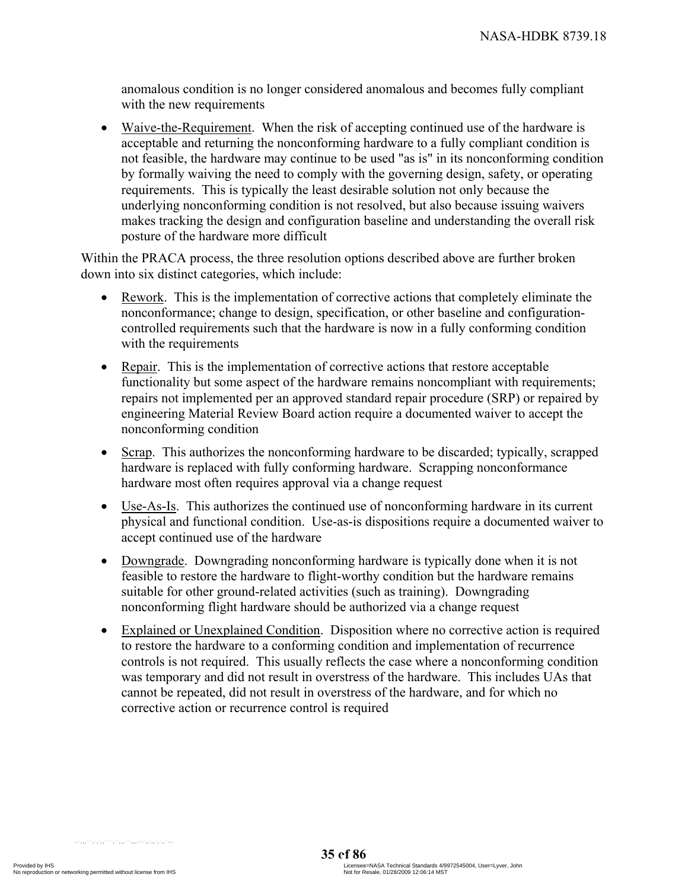anomalous condition is no longer considered anomalous and becomes fully compliant with the new requirements

• Waive-the-Requirement. When the risk of accepting continued use of the hardware is acceptable and returning the nonconforming hardware to a fully compliant condition is not feasible, the hardware may continue to be used "as is" in its nonconforming condition by formally waiving the need to comply with the governing design, safety, or operating requirements. This is typically the least desirable solution not only because the underlying nonconforming condition is not resolved, but also because issuing waivers makes tracking the design and configuration baseline and understanding the overall risk posture of the hardware more difficult

Within the PRACA process, the three resolution options described above are further broken down into six distinct categories, which include:

- Rework. This is the implementation of corrective actions that completely eliminate the nonconformance; change to design, specification, or other baseline and configurationcontrolled requirements such that the hardware is now in a fully conforming condition with the requirements
- Repair. This is the implementation of corrective actions that restore acceptable functionality but some aspect of the hardware remains noncompliant with requirements; repairs not implemented per an approved standard repair procedure (SRP) or repaired by engineering Material Review Board action require a documented waiver to accept the nonconforming condition
- Scrap. This authorizes the nonconforming hardware to be discarded; typically, scrapped hardware is replaced with fully conforming hardware. Scrapping nonconformance hardware most often requires approval via a change request
- Use-As-Is. This authorizes the continued use of nonconforming hardware in its current physical and functional condition. Use-as-is dispositions require a documented waiver to accept continued use of the hardware
- Downgrade. Downgrading nonconforming hardware is typically done when it is not feasible to restore the hardware to flight-worthy condition but the hardware remains suitable for other ground-related activities (such as training). Downgrading nonconforming flight hardware should be authorized via a change request
- Explained or Unexplained Condition. Disposition where no corrective action is required to restore the hardware to a conforming condition and implementation of recurrence controls is not required. This usually reflects the case where a nonconforming condition was temporary and did not result in overstress of the hardware. This includes UAs that cannot be repeated, did not result in overstress of the hardware, and for which no corrective action or recurrence control is required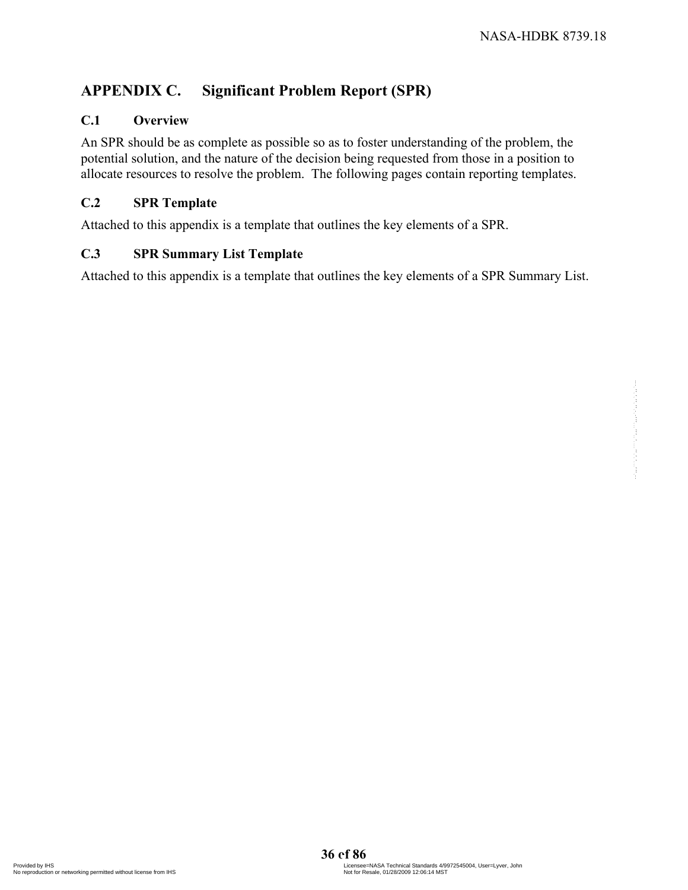# **APPENDIX C. Significant Problem Report (SPR)**

#### **C.1 Overview**

An SPR should be as complete as possible so as to foster understanding of the problem, the potential solution, and the nature of the decision being requested from those in a position to allocate resources to resolve the problem. The following pages contain reporting templates.

#### **C.2 SPR Template**

Attached to this appendix is a template that outlines the key elements of a SPR.

#### **C.3 SPR Summary List Template**

Attached to this appendix is a template that outlines the key elements of a SPR Summary List.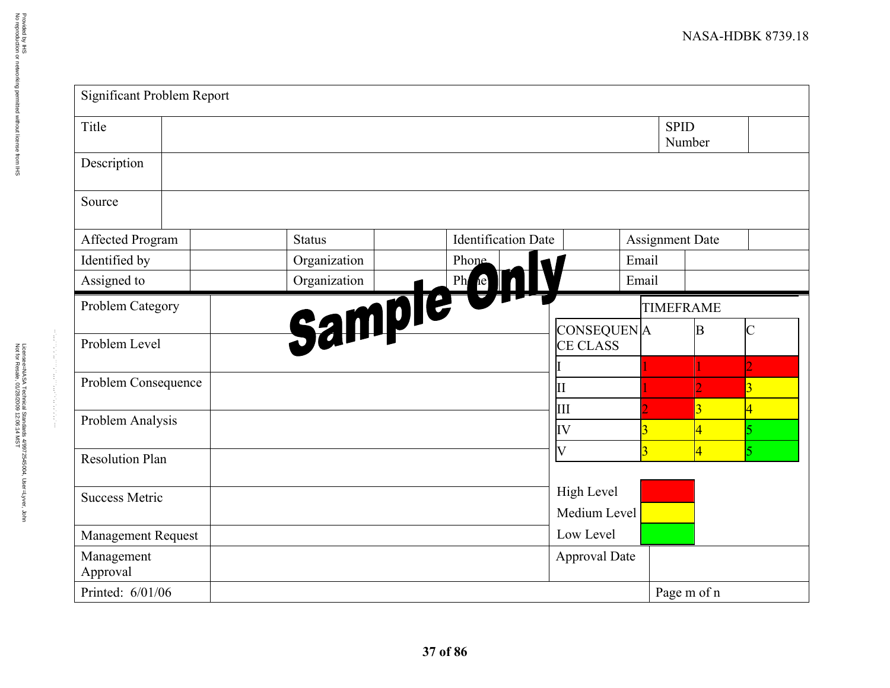| Significant Problem Report |               |                            |                                       |       |                        |                    |
|----------------------------|---------------|----------------------------|---------------------------------------|-------|------------------------|--------------------|
| Title                      |               |                            |                                       |       | <b>SPID</b><br>Number  |                    |
| Description                |               |                            |                                       |       |                        |                    |
| Source                     |               |                            |                                       |       |                        |                    |
| Affected Program           | <b>Status</b> | <b>Identification Date</b> |                                       |       | <b>Assignment Date</b> |                    |
| Identified by              | Organization  | Phone                      |                                       | Email |                        |                    |
| Assigned to                |               |                            |                                       | Email |                        |                    |
| Problem Category           |               |                            |                                       |       | <b>TIMEFRAME</b>       |                    |
| Problem Level              | sample he     |                            | <b>CONSEQUEN</b> A<br><b>CE CLASS</b> |       | B                      | $\overline{\rm C}$ |
|                            |               |                            |                                       |       |                        |                    |
| Problem Consequence        |               |                            | $\overline{\mathbf{H}}$               |       |                        |                    |
|                            |               |                            | $\mathbf{III}$                        |       | $\overline{3}$         |                    |
| Problem Analysis           |               |                            | IV                                    |       |                        |                    |
| <b>Resolution Plan</b>     |               |                            | $\overline{\mathsf{V}}$               |       | $\overline{4}$         |                    |
| <b>Success Metric</b>      |               |                            | High Level                            |       |                        |                    |
|                            |               |                            | Medium Level                          |       |                        |                    |
| Management Request         |               |                            | Low Level                             |       |                        |                    |
| Management<br>Approval     |               |                            | <b>Approval Date</b>                  |       |                        |                    |
| Printed: 6/01/06           |               |                            |                                       |       | Page m of n            |                    |

--`,,,```,`,`,,````,``,,,```,,,-`-`,,`,,`,`,,`---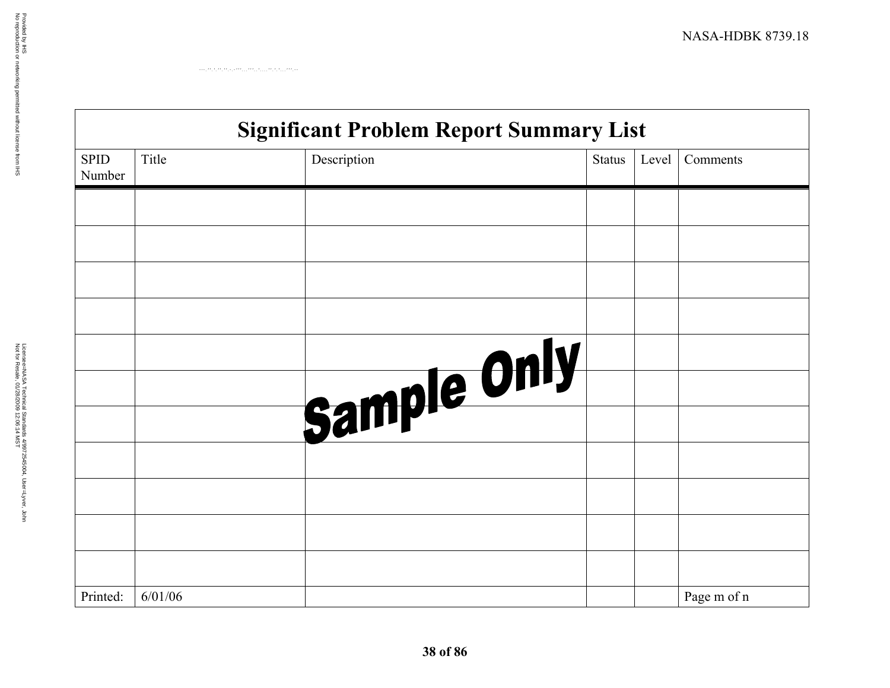| <b>Significant Problem Report Summary List</b> |         |             |               |       |             |  |
|------------------------------------------------|---------|-------------|---------------|-------|-------------|--|
| <b>SPID</b><br>Number                          | Title   | Description | <b>Status</b> | Level | Comments    |  |
|                                                |         |             |               |       |             |  |
|                                                |         |             |               |       |             |  |
|                                                |         |             |               |       |             |  |
|                                                |         |             |               |       |             |  |
|                                                |         |             |               |       |             |  |
|                                                |         |             |               |       |             |  |
|                                                |         | sample only |               |       |             |  |
|                                                |         |             |               |       |             |  |
|                                                |         |             |               |       |             |  |
|                                                |         |             |               |       |             |  |
|                                                |         |             |               |       |             |  |
| Printed:                                       | 6/01/06 |             |               |       | Page m of n |  |

--`,,,```,`,`,,````,``,,,```,,,-`-`,,`,,`,`,,`---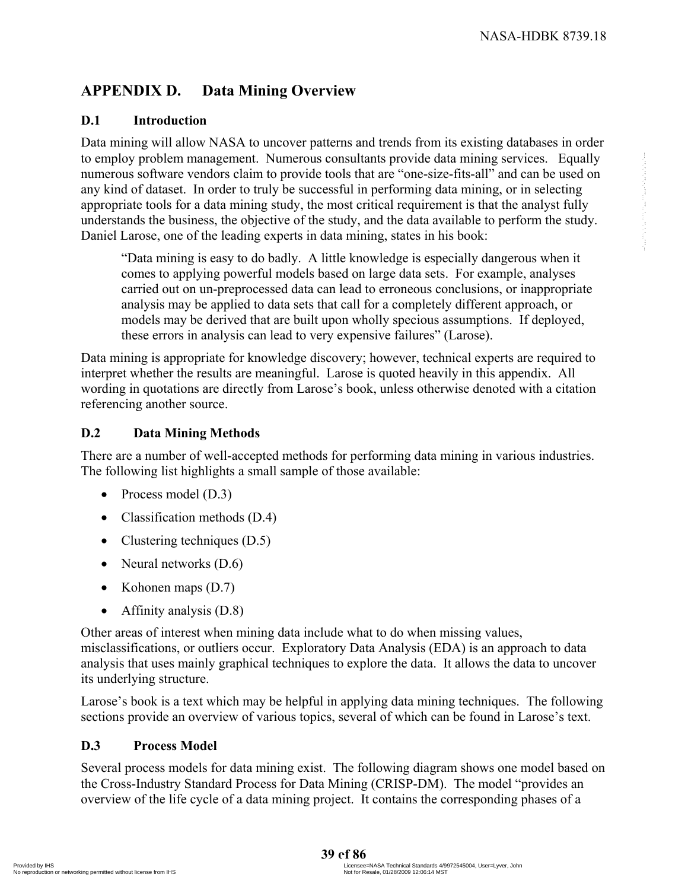# **APPENDIX D. Data Mining Overview**

### **D.1 Introduction**

Data mining will allow NASA to uncover patterns and trends from its existing databases in order to employ problem management. Numerous consultants provide data mining services. Equally numerous software vendors claim to provide tools that are "one-size-fits-all" and can be used on any kind of dataset. In order to truly be successful in performing data mining, or in selecting appropriate tools for a data mining study, the most critical requirement is that the analyst fully understands the business, the objective of the study, and the data available to perform the study. Daniel Larose, one of the leading experts in data mining, states in his book: No employ problem management. Notmogen or neutrosic or networking the matrix permitted with a state in the other with the state in the state in the state in the state in the state in the state in the state in the state in

"Data mining is easy to do badly. A little knowledge is especially dangerous when it comes to applying powerful models based on large data sets. For example, analyses carried out on un-preprocessed data can lead to erroneous conclusions, or inappropriate analysis may be applied to data sets that call for a completely different approach, or models may be derived that are built upon wholly specious assumptions. If deployed, these errors in analysis can lead to very expensive failures" (Larose).

Data mining is appropriate for knowledge discovery; however, technical experts are required to interpret whether the results are meaningful. Larose is quoted heavily in this appendix. All wording in quotations are directly from Larose's book, unless otherwise denoted with a citation referencing another source.

### **D.2 Data Mining Methods**

There are a number of well-accepted methods for performing data mining in various industries. The following list highlights a small sample of those available:

- Process model (D.3)
- Classification methods (D.4)
- Clustering techniques (D.5)
- Neural networks  $(D.6)$
- Kohonen maps (D.7)
- Affinity analysis (D.8)

Other areas of interest when mining data include what to do when missing values, misclassifications, or outliers occur. Exploratory Data Analysis (EDA) is an approach to data analysis that uses mainly graphical techniques to explore the data. It allows the data to uncover its underlying structure.

Larose's book is a text which may be helpful in applying data mining techniques. The following sections provide an overview of various topics, several of which can be found in Larose's text.

### **D.3 Process Model**

Several process models for data mining exist. The following diagram shows one model based on the Cross-Industry Standard Process for Data Mining (CRISP-DM). The model "provides an overview of the life cycle of a data mining project. It contains the corresponding phases of a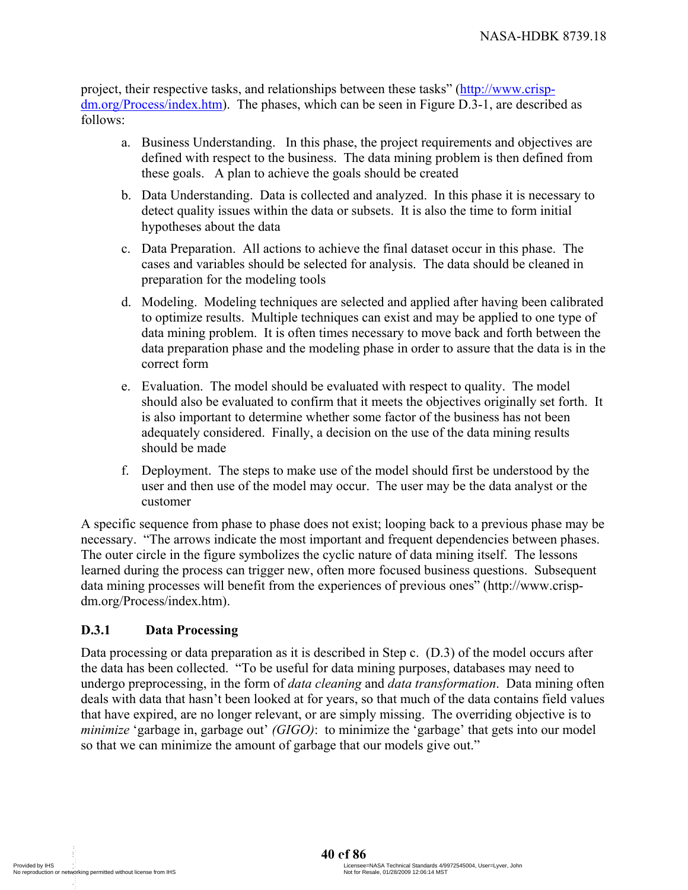project, their respective tasks, and relationships between these tasks" (http://www.crispdm.org/Process/index.htm). The phases, which can be seen in Figure D.3-1, are described as follows:

- a. Business Understanding. In this phase, the project requirements and objectives are defined with respect to the business. The data mining problem is then defined from these goals. A plan to achieve the goals should be created
- b. Data Understanding. Data is collected and analyzed. In this phase it is necessary to detect quality issues within the data or subsets. It is also the time to form initial hypotheses about the data
- c. Data Preparation. All actions to achieve the final dataset occur in this phase. The cases and variables should be selected for analysis. The data should be cleaned in preparation for the modeling tools
- d. Modeling. Modeling techniques are selected and applied after having been calibrated to optimize results. Multiple techniques can exist and may be applied to one type of data mining problem. It is often times necessary to move back and forth between the data preparation phase and the modeling phase in order to assure that the data is in the correct form
- e. Evaluation. The model should be evaluated with respect to quality. The model should also be evaluated to confirm that it meets the objectives originally set forth. It is also important to determine whether some factor of the business has not been adequately considered. Finally, a decision on the use of the data mining results should be made
- f. Deployment. The steps to make use of the model should first be understood by the user and then use of the model may occur. The user may be the data analyst or the customer

A specific sequence from phase to phase does not exist; looping back to a previous phase may be necessary. "The arrows indicate the most important and frequent dependencies between phases. The outer circle in the figure symbolizes the cyclic nature of data mining itself. The lessons learned during the process can trigger new, often more focused business questions. Subsequent data mining processes will benefit from the experiences of previous ones" (http://www.crispdm.org/Process/index.htm).

### **D.3.1 Data Processing**

Data processing or data preparation as it is described in Step c. (D.3) of the model occurs after the data has been collected. "To be useful for data mining purposes, databases may need to undergo preprocessing, in the form of *data cleaning* and *data transformation*. Data mining often deals with data that hasn't been looked at for years, so that much of the data contains field values that have expired, are no longer relevant, or are simply missing. The overriding objective is to *minimize* 'garbage in, garbage out' *(GIGO)*: to minimize the 'garbage' that gets into our model so that we can minimize the amount of garbage that our models give out."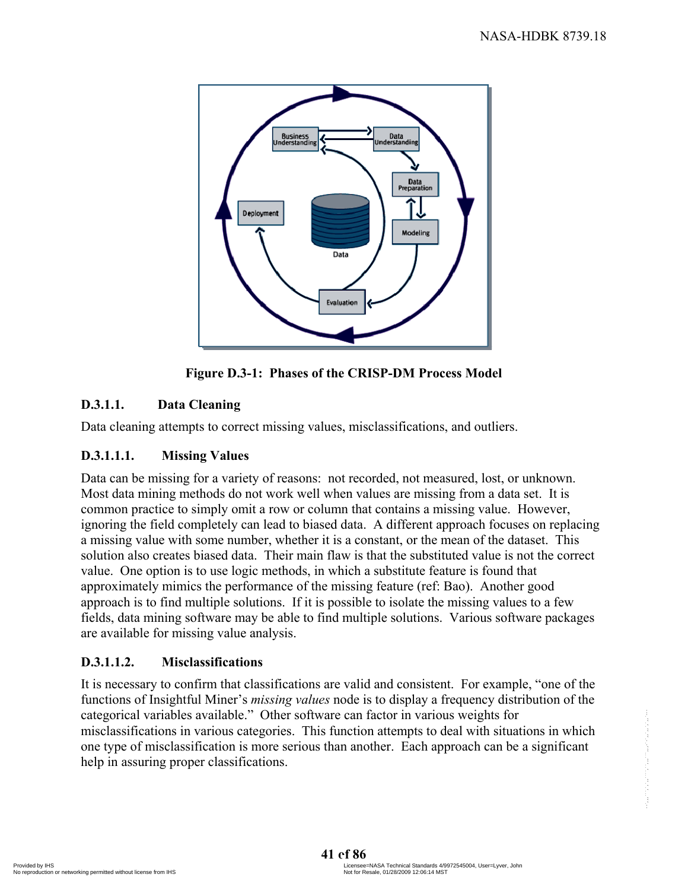

**Figure D.3-1: Phases of the CRISP-DM Process Model** 

# **D.3.1.1. Data Cleaning**

Data cleaning attempts to correct missing values, misclassifications, and outliers.

# **D.3.1.1.1. Missing Values**

Data can be missing for a variety of reasons: not recorded, not measured, lost, or unknown. Most data mining methods do not work well when values are missing from a data set. It is common practice to simply omit a row or column that contains a missing value. However, ignoring the field completely can lead to biased data. A different approach focuses on replacing a missing value with some number, whether it is a constant, or the mean of the dataset. This solution also creates biased data. Their main flaw is that the substituted value is not the correct value. One option is to use logic methods, in which a substitute feature is found that approximately mimics the performance of the missing feature (ref: Bao). Another good approach is to find multiple solutions. If it is possible to isolate the missing values to a few fields, data mining software may be able to find multiple solutions. Various software packages are available for missing value analysis.

# **D.3.1.1.2. Misclassifications**

It is necessary to confirm that classifications are valid and consistent. For example, "one of the functions of Insightful Miner's *missing values* node is to display a frequency distribution of the categorical variables available." Other software can factor in various weights for misclassifications in various categories. This function attempts to deal with situations in which one type of misclassification is more serious than another. Each approach can be a significant help in assuring proper classifications. Categorical variables available." Other software can factor in various weights for<br>misclassifications in various categories. This function attempts to deal with situations in which<br>one type of misclassification is more ser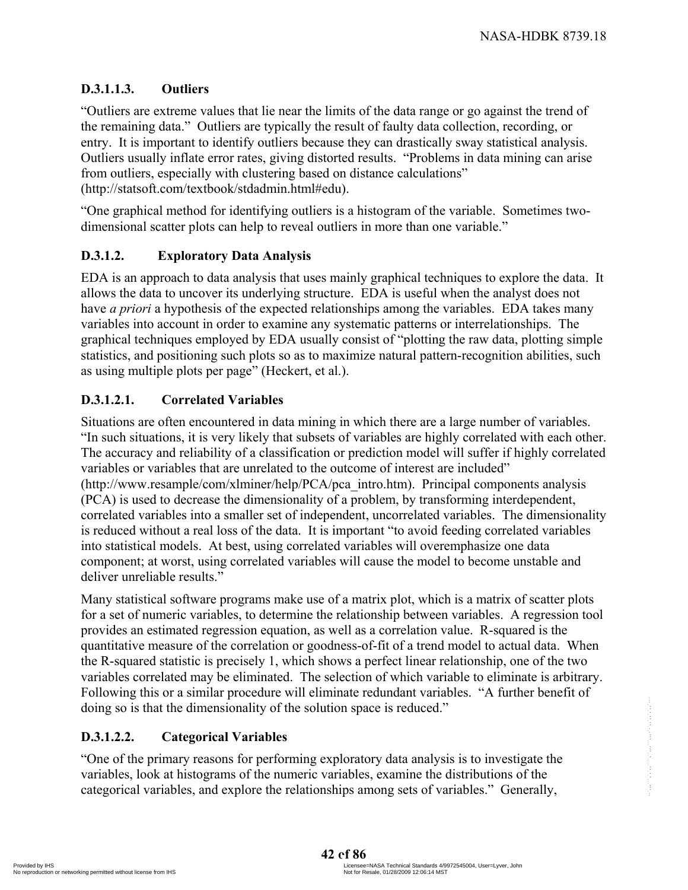# **D.3.1.1.3. Outliers**

"Outliers are extreme values that lie near the limits of the data range or go against the trend of the remaining data." Outliers are typically the result of faulty data collection, recording, or entry. It is important to identify outliers because they can drastically sway statistical analysis. Outliers usually inflate error rates, giving distorted results. "Problems in data mining can arise from outliers, especially with clustering based on distance calculations" (http://statsoft.com/textbook/stdadmin.html#edu).

"One graphical method for identifying outliers is a histogram of the variable. Sometimes twodimensional scatter plots can help to reveal outliers in more than one variable."

### **D.3.1.2. Exploratory Data Analysis**

EDA is an approach to data analysis that uses mainly graphical techniques to explore the data. It allows the data to uncover its underlying structure. EDA is useful when the analyst does not have *a priori* a hypothesis of the expected relationships among the variables. EDA takes many variables into account in order to examine any systematic patterns or interrelationships. The graphical techniques employed by EDA usually consist of "plotting the raw data, plotting simple statistics, and positioning such plots so as to maximize natural pattern-recognition abilities, such as using multiple plots per page" (Heckert, et al.).

# **D.3.1.2.1. Correlated Variables**

Situations are often encountered in data mining in which there are a large number of variables. "In such situations, it is very likely that subsets of variables are highly correlated with each other. The accuracy and reliability of a classification or prediction model will suffer if highly correlated variables or variables that are unrelated to the outcome of interest are included" (http://www.resample/com/xlminer/help/PCA/pca\_intro.htm). Principal components analysis (PCA) is used to decrease the dimensionality of a problem, by transforming interdependent, correlated variables into a smaller set of independent, uncorrelated variables. The dimensionality is reduced without a real loss of the data. It is important "to avoid feeding correlated variables into statistical models. At best, using correlated variables will overemphasize one data component; at worst, using correlated variables will cause the model to become unstable and deliver unreliable results."

Many statistical software programs make use of a matrix plot, which is a matrix of scatter plots for a set of numeric variables, to determine the relationship between variables. A regression tool provides an estimated regression equation, as well as a correlation value. R-squared is the quantitative measure of the correlation or goodness-of-fit of a trend model to actual data. When the R-squared statistic is precisely 1, which shows a perfect linear relationship, one of the two variables correlated may be eliminated. The selection of which variable to eliminate is arbitrary. Following this or a similar procedure will eliminate redundant variables. "A further benefit of doing so is that the dimensionality of the solution space is reduced."

# **D.3.1.2.2. Categorical Variables**

"One of the primary reasons for performing exploratory data analysis is to investigate the variables, look at histograms of the numeric variables, examine the distributions of the categorical variables, and explore the relationships among sets of variables." Generally, doing so is that the dimensionality of the solution space is reduced."<br> **D.3.1.2.2.** Categorical Variables<br>
"One of the primary reasons for performing exploratory data analysis is to investigate the<br>
variables, look at his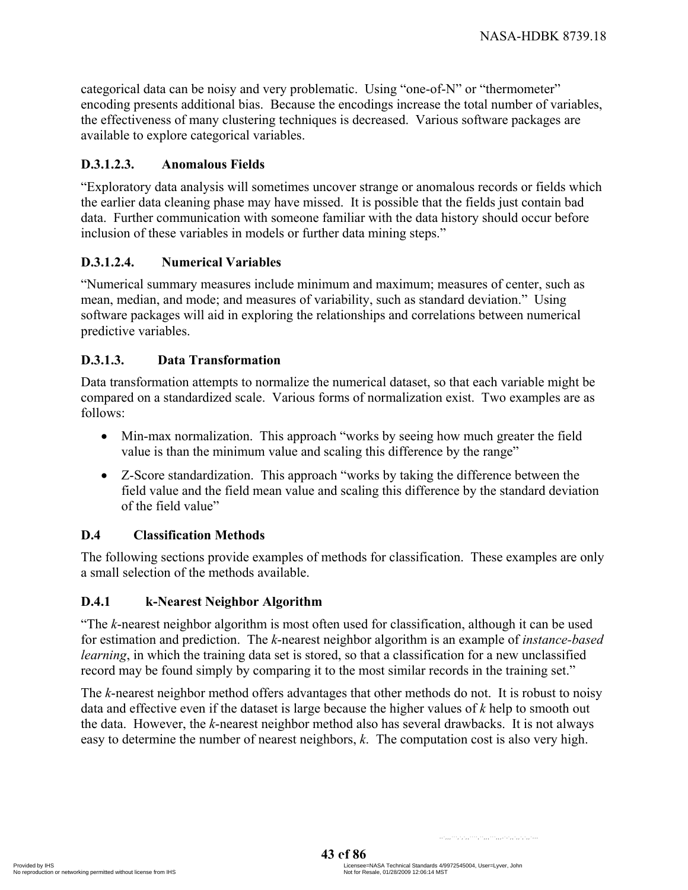categorical data can be noisy and very problematic. Using "one-of-N" or "thermometer" encoding presents additional bias. Because the encodings increase the total number of variables, the effectiveness of many clustering techniques is decreased. Various software packages are available to explore categorical variables.

### **D.3.1.2.3. Anomalous Fields**

"Exploratory data analysis will sometimes uncover strange or anomalous records or fields which the earlier data cleaning phase may have missed. It is possible that the fields just contain bad data. Further communication with someone familiar with the data history should occur before inclusion of these variables in models or further data mining steps."

### **D.3.1.2.4. Numerical Variables**

"Numerical summary measures include minimum and maximum; measures of center, such as mean, median, and mode; and measures of variability, such as standard deviation." Using software packages will aid in exploring the relationships and correlations between numerical predictive variables.

#### **D.3.1.3. Data Transformation**

Data transformation attempts to normalize the numerical dataset, so that each variable might be compared on a standardized scale. Various forms of normalization exist. Two examples are as follows:

- Min-max normalization. This approach "works by seeing how much greater the field value is than the minimum value and scaling this difference by the range"
- Z-Score standardization. This approach "works by taking the difference between the field value and the field mean value and scaling this difference by the standard deviation of the field value"

#### **D.4 Classification Methods**

The following sections provide examples of methods for classification. These examples are only a small selection of the methods available.

#### **D.4.1 k-Nearest Neighbor Algorithm**

"The *k*-nearest neighbor algorithm is most often used for classification, although it can be used for estimation and prediction. The *k*-nearest neighbor algorithm is an example of *instance-based learning*, in which the training data set is stored, so that a classification for a new unclassified record may be found simply by comparing it to the most similar records in the training set."

The *k*-nearest neighbor method offers advantages that other methods do not. It is robust to noisy data and effective even if the dataset is large because the higher values of *k* help to smooth out the data. However, the *k*-nearest neighbor method also has several drawbacks. It is not always easy to determine the number of nearest neighbors, *k*. The computation cost is also very high.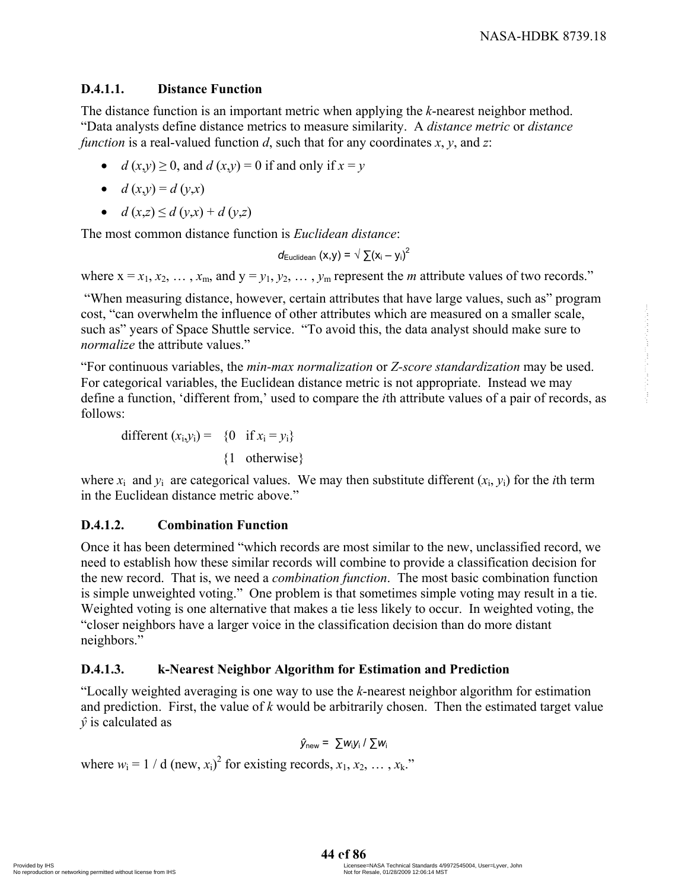### **D.4.1.1. Distance Function**

The distance function is an important metric when applying the *k*-nearest neighbor method. "Data analysts define distance metrics to measure similarity. A *distance metric* or *distance function* is a real-valued function *d*, such that for any coordinates *x*, *y*, and *z*:

• *d*  $(x,y) \ge 0$ , and *d*  $(x,y) = 0$  if and only if  $x = y$ 

• 
$$
d(x,y) = d(y,x)
$$

• *d*  $(x,z) \le d(y,x) + d(y,z)$ 

The most common distance function is *Euclidean distance*:

$$
d_{Euclidean}(x,y) = \sqrt{\sum (x_i - y_i)^2}
$$

where  $x = x_1, x_2, \ldots, x_m$ , and  $y = y_1, y_2, \ldots, y_m$  represent the *m* attribute values of two records."

 "When measuring distance, however, certain attributes that have large values, such as" program cost, "can overwhelm the influence of other attributes which are measured on a smaller scale, such as" years of Space Shuttle service. "To avoid this, the data analyst should make sure to *normalize* the attribute values."

"For continuous variables, the *min-max normalization* or *Z-score standardization* may be used. For categorical variables, the Euclidean distance metric is not appropriate. Instead we may define a function, 'different from,' used to compare the *i*th attribute values of a pair of records, as follows:

different  $(x_i, y_i) = \{0 \text{ if } x_i = y_i\}$ {1 otherwise}

where  $x_i$  and  $y_i$  are categorical values. We may then substitute different  $(x_i, y_i)$  for the *i*th term in the Euclidean distance metric above."

### **D.4.1.2. Combination Function**

Once it has been determined "which records are most similar to the new, unclassified record, we need to establish how these similar records will combine to provide a classification decision for the new record. That is, we need a *combination function*. The most basic combination function is simple unweighted voting." One problem is that sometimes simple voting may result in a tie. Weighted voting is one alternative that makes a tie less likely to occur. In weighted voting, the "closer neighbors have a larger voice in the classification decision than do more distant neighbors." orst, "em overwhelm the influence of other attributes which are measured on a smaller seals.<br>
such as "years of Space Shuttle service, "To avoid this, the data analyst should make sure to<br> *networking* the attribute value

#### **D.4.1.3. k-Nearest Neighbor Algorithm for Estimation and Prediction**

"Locally weighted averaging is one way to use the *k*-nearest neighbor algorithm for estimation and prediction. First, the value of *k* would be arbitrarily chosen. Then the estimated target value *ŷ* is calculated as

 $\hat{y}_{\text{new}} = \sum w_i y_i / \sum w_i$ 

where  $w_i = 1 / d$  (new,  $x_i$ )<sup>2</sup> for existing records,  $x_1, x_2, \ldots, x_k$ ."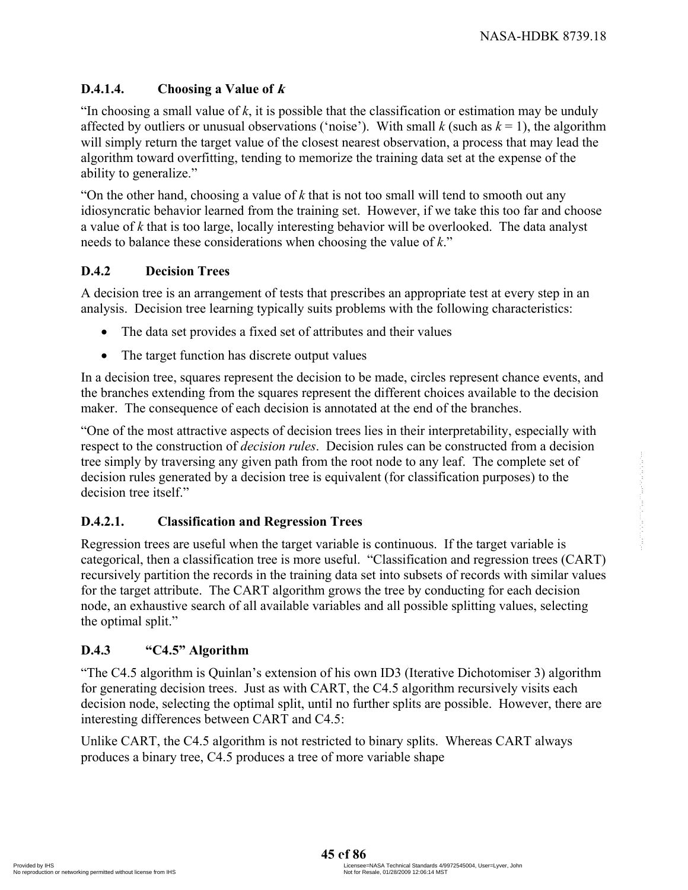# **D.4.1.4. Choosing a Value of <sup>k</sup>**

"In choosing a small value of  $k$ , it is possible that the classification or estimation may be unduly affected by outliers or unusual observations ('noise'). With small  $k$  (such as  $k = 1$ ), the algorithm will simply return the target value of the closest nearest observation, a process that may lead the algorithm toward overfitting, tending to memorize the training data set at the expense of the ability to generalize."

"On the other hand, choosing a value of  $k$  that is not too small will tend to smooth out any idiosyncratic behavior learned from the training set. However, if we take this too far and choose a value of *k* that is too large, locally interesting behavior will be overlooked. The data analyst needs to balance these considerations when choosing the value of *k*."

### **D.4.2 Decision Trees**

A decision tree is an arrangement of tests that prescribes an appropriate test at every step in an analysis. Decision tree learning typically suits problems with the following characteristics:

- The data set provides a fixed set of attributes and their values
- The target function has discrete output values

In a decision tree, squares represent the decision to be made, circles represent chance events, and the branches extending from the squares represent the different choices available to the decision maker. The consequence of each decision is annotated at the end of the branches.

"One of the most attractive aspects of decision trees lies in their interpretability, especially with respect to the construction of *decision rules*. Decision rules can be constructed from a decision tree simply by traversing any given path from the root node to any leaf. The complete set of decision rules generated by a decision tree is equivalent (for classification purposes) to the decision tree itself."

# **D.4.2.1. Classification and Regression Trees**

Regression trees are useful when the target variable is continuous. If the target variable is categorical, then a classification tree is more useful. "Classification and regression trees (CART) recursively partition the records in the training data set into subsets of records with similar values for the target attribute. The CART algorithm grows the tree by conducting for each decision node, an exhaustive search of all available variables and all possible splitting values, selecting the optimal split." The simple permitted by a decision tree is equivalent (for classification purposes) to the decision rules generated by a decision tree is equivalent (for classification purposes) to the decision rules itself."<br> **D.4.2.1.** 

### **D.4.3 "C4.5" Algorithm**

"The C4.5 algorithm is Quinlan's extension of his own ID3 (Iterative Dichotomiser 3) algorithm for generating decision trees. Just as with CART, the C4.5 algorithm recursively visits each decision node, selecting the optimal split, until no further splits are possible. However, there are interesting differences between CART and C4.5:

Unlike CART, the C4.5 algorithm is not restricted to binary splits. Whereas CART always produces a binary tree, C4.5 produces a tree of more variable shape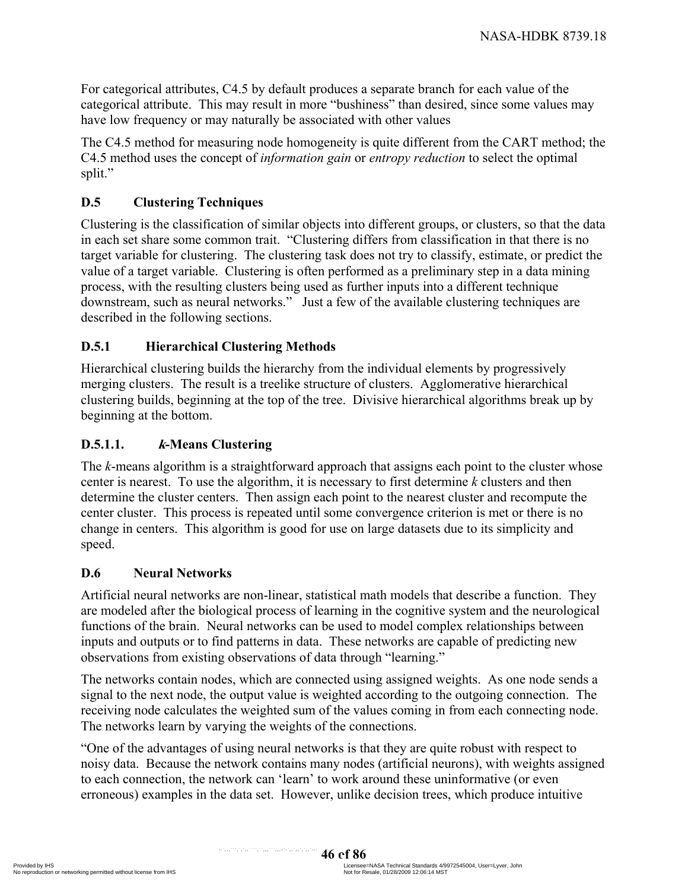For categorical attributes, C4.5 by default produces a separate branch for each value of the categorical attribute. This may result in more "bushiness" than desired, since some values may have low frequency or may naturally be associated with other values

The C4.5 method for measuring node homogeneity is quite different from the CART method; the C4.5 method uses the concept of *information gain* or *entropy reduction* to select the optimal split."

### **D.5 Clustering Techniques**

Clustering is the classification of similar objects into different groups, or clusters, so that the data in each set share some common trait. "Clustering differs from classification in that there is no target variable for clustering. The clustering task does not try to classify, estimate, or predict the value of a target variable. Clustering is often performed as a preliminary step in a data mining process, with the resulting clusters being used as further inputs into a different technique downstream, such as neural networks." Just a few of the available clustering techniques are described in the following sections.

### **D.5.1 Hierarchical Clustering Methods**

Hierarchical clustering builds the hierarchy from the individual elements by progressively merging clusters. The result is a treelike structure of clusters. Agglomerative hierarchical clustering builds, beginning at the top of the tree. Divisive hierarchical algorithms break up by beginning at the bottom.

### **D.5.1.1. <sup>k</sup>-Means Clustering**

The *k*-means algorithm is a straightforward approach that assigns each point to the cluster whose center is nearest. To use the algorithm, it is necessary to first determine *k* clusters and then determine the cluster centers. Then assign each point to the nearest cluster and recompute the center cluster. This process is repeated until some convergence criterion is met or there is no change in centers. This algorithm is good for use on large datasets due to its simplicity and speed.

#### **D.6 Neural Networks**

Artificial neural networks are non-linear, statistical math models that describe a function. They are modeled after the biological process of learning in the cognitive system and the neurological functions of the brain. Neural networks can be used to model complex relationships between inputs and outputs or to find patterns in data. These networks are capable of predicting new observations from existing observations of data through "learning."

The networks contain nodes, which are connected using assigned weights. As one node sends a signal to the next node, the output value is weighted according to the outgoing connection. The receiving node calculates the weighted sum of the values coming in from each connecting node. The networks learn by varying the weights of the connections.

"One of the advantages of using neural networks is that they are quite robust with respect to noisy data. Because the network contains many nodes (artificial neurons), with weights assigned to each connection, the network can 'learn' to work around these uninformative (or even erroneous) examples in the data set. However, unlike decision trees, which produce intuitive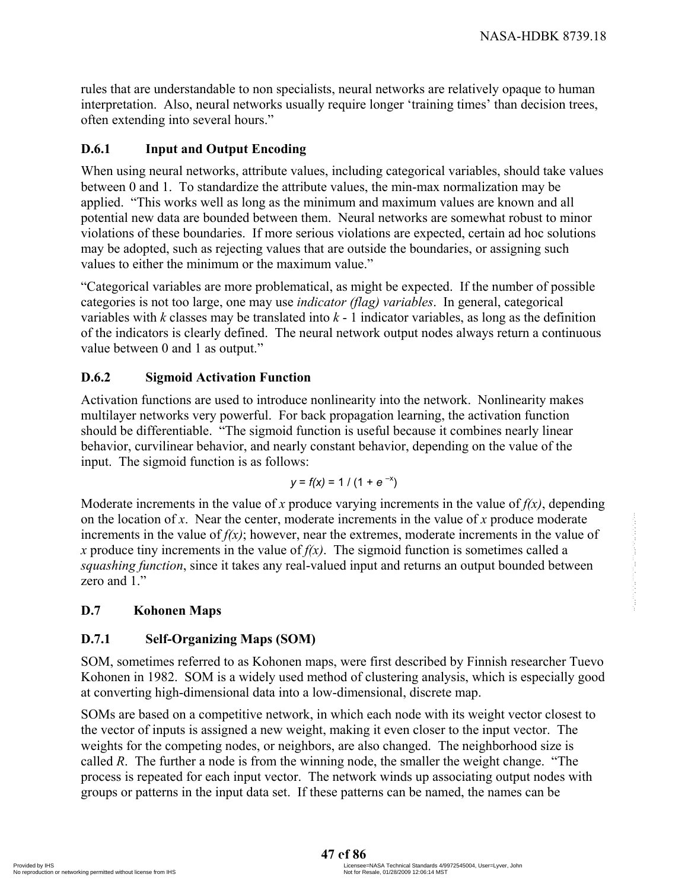rules that are understandable to non specialists, neural networks are relatively opaque to human interpretation. Also, neural networks usually require longer 'training times' than decision trees, often extending into several hours."

# **D.6.1 Input and Output Encoding**

When using neural networks, attribute values, including categorical variables, should take values between 0 and 1. To standardize the attribute values, the min-max normalization may be applied. "This works well as long as the minimum and maximum values are known and all potential new data are bounded between them. Neural networks are somewhat robust to minor violations of these boundaries. If more serious violations are expected, certain ad hoc solutions may be adopted, such as rejecting values that are outside the boundaries, or assigning such values to either the minimum or the maximum value."

"Categorical variables are more problematical, as might be expected. If the number of possible categories is not too large, one may use *indicator (flag) variables*. In general, categorical variables with *k* classes may be translated into *k* - 1 indicator variables, as long as the definition of the indicators is clearly defined. The neural network output nodes always return a continuous value between 0 and 1 as output."

# **D.6.2 Sigmoid Activation Function**

Activation functions are used to introduce nonlinearity into the network. Nonlinearity makes multilayer networks very powerful. For back propagation learning, the activation function should be differentiable. "The sigmoid function is useful because it combines nearly linear behavior, curvilinear behavior, and nearly constant behavior, depending on the value of the input. The sigmoid function is as follows:

$$
y = f(x) = 1 / (1 + e^{-x})
$$

Moderate increments in the value of x produce varying increments in the value of  $f(x)$ , depending on the location of *x*. Near the center, moderate increments in the value of *x* produce moderate increments in the value of  $f(x)$ ; however, near the extremes, moderate increments in the value of *x* produce tiny increments in the value of  $f(x)$ . The sigmoid function is sometimes called a *squashing function*, since it takes any real-valued input and returns an output bounded between zero and 1."

### **D.7 Kohonen Maps**

### **D.7.1 Self-Organizing Maps (SOM)**

SOM, sometimes referred to as Kohonen maps, were first described by Finnish researcher Tuevo Kohonen in 1982. SOM is a widely used method of clustering analysis, which is especially good at converting high-dimensional data into a low-dimensional, discrete map.

SOMs are based on a competitive network, in which each node with its weight vector closest to the vector of inputs is assigned a new weight, making it even closer to the input vector. The weights for the competing nodes, or neighbors, are also changed. The neighborhood size is called *R*. The further a node is from the winning node, the smaller the weight change. "The process is repeated for each input vector. The network winds up associating output nodes with groups or patterns in the input data set. If these patterns can be named, the names can be or the location of x. Near the centre, moderate interesting in the value of *x* product moderate interests in the value of *x* production is smeeting *increments* in the value of *x*, and increments in the value of *f(x)*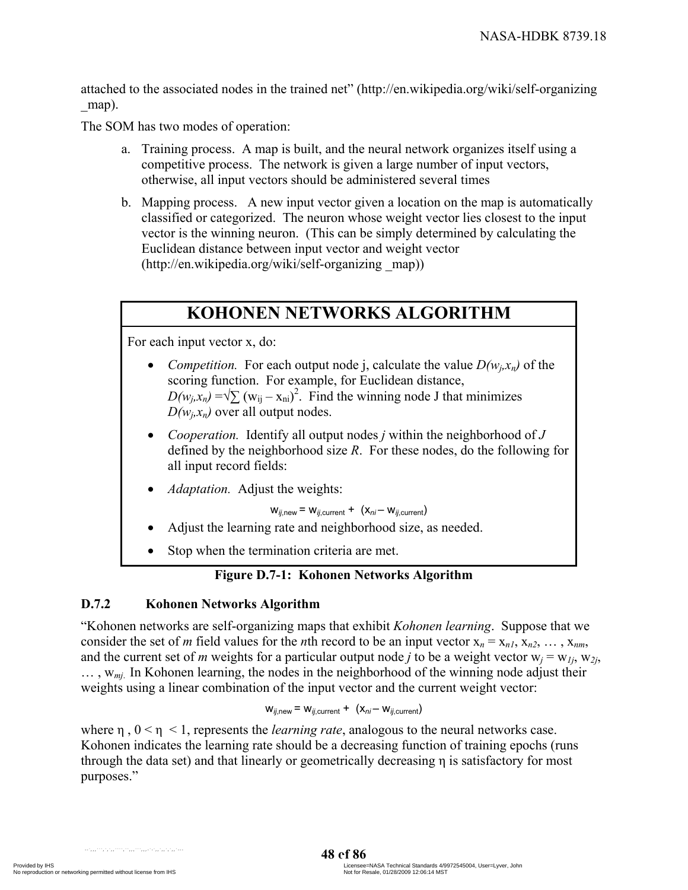attached to the associated nodes in the trained net" (http://en.wikipedia.org/wiki/self-organizing map).

The SOM has two modes of operation:

- a. Training process. A map is built, and the neural network organizes itself using a competitive process. The network is given a large number of input vectors, otherwise, all input vectors should be administered several times
- b. Mapping process. A new input vector given a location on the map is automatically classified or categorized. The neuron whose weight vector lies closest to the input vector is the winning neuron. (This can be simply determined by calculating the Euclidean distance between input vector and weight vector (http://en.wikipedia.org/wiki/self-organizing \_map))

# **KOHONEN NETWORKS ALGORITHM**

For each input vector x, do:

- *Competition.* For each output node j, calculate the value  $D(w_i, x_n)$  of the scoring function. For example, for Euclidean distance,  $D(w_i, x_n) = \sqrt{\sum_{i=1}^{n} (w_{ij} - x_{ni})^2}$ . Find the winning node J that minimizes  $D(w_i, x_n)$  over all output nodes.
- *Cooperation.* Identify all output nodes *j* within the neighborhood of *J* defined by the neighborhood size *R*. For these nodes, do the following for all input record fields:
- *Adaptation.* Adjust the weights:

 $W_{ij, new} = W_{ij, current} + (X_{ni} - W_{ij, current})$ 

- Adjust the learning rate and neighborhood size, as needed.
- Stop when the termination criteria are met.

### **Figure D.7-1: Kohonen Networks Algorithm**

### **D.7.2 Kohonen Networks Algorithm**

"Kohonen networks are self-organizing maps that exhibit *Kohonen learning*. Suppose that we consider the set of *m* field values for the *n*th record to be an input vector  $x_n = x_{n1}, x_{n2}, \ldots, x_{nm}$ , and the current set of *m* weights for a particular output node *j* to be a weight vector  $w_i = w_{1i}$ ,  $w_{2i}$ , … , w*mj*. In Kohonen learning, the nodes in the neighborhood of the winning node adjust their weights using a linear combination of the input vector and the current weight vector:

 $W_{ii,new} = W_{ii,current} + (X_{ni} - W_{ii,current})$ 

where  $\eta$ ,  $0 \le \eta \le 1$ , represents the *learning rate*, analogous to the neural networks case. Kohonen indicates the learning rate should be a decreasing function of training epochs (runs through the data set) and that linearly or geometrically decreasing η is satisfactory for most purposes."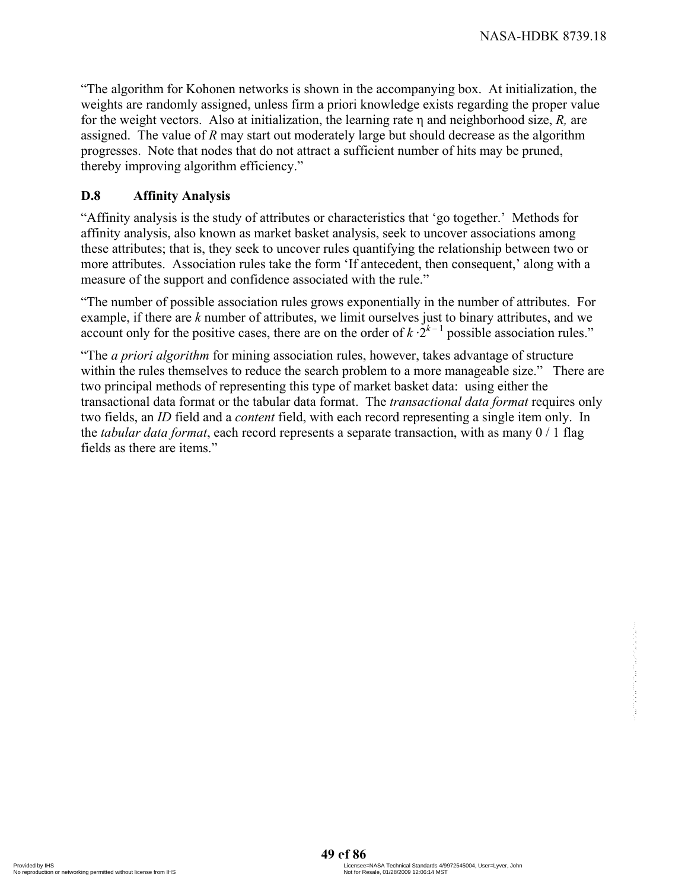"The algorithm for Kohonen networks is shown in the accompanying box. At initialization, the weights are randomly assigned, unless firm a priori knowledge exists regarding the proper value for the weight vectors. Also at initialization, the learning rate η and neighborhood size, *R,* are assigned. The value of *R* may start out moderately large but should decrease as the algorithm progresses. Note that nodes that do not attract a sufficient number of hits may be pruned, thereby improving algorithm efficiency."

### **D.8 Affinity Analysis**

"Affinity analysis is the study of attributes or characteristics that 'go together.' Methods for affinity analysis, also known as market basket analysis, seek to uncover associations among these attributes; that is, they seek to uncover rules quantifying the relationship between two or more attributes. Association rules take the form 'If antecedent, then consequent,' along with a measure of the support and confidence associated with the rule."

"The number of possible association rules grows exponentially in the number of attributes. For example, if there are *k* number of attributes, we limit ourselves just to binary attributes, and we account only for the positive cases, there are on the order of  $k \cdot 2^{k-1}$  possible association rules."

"The *a priori algorithm* for mining association rules, however, takes advantage of structure within the rules themselves to reduce the search problem to a more manageable size." There are two principal methods of representing this type of market basket data: using either the transactional data format or the tabular data format. The *transactional data format* requires only two fields, an *ID* field and a *content* field, with each record representing a single item only. In the *tabular data format*, each record represents a separate transaction, with as many 0 / 1 flag fields as there are items."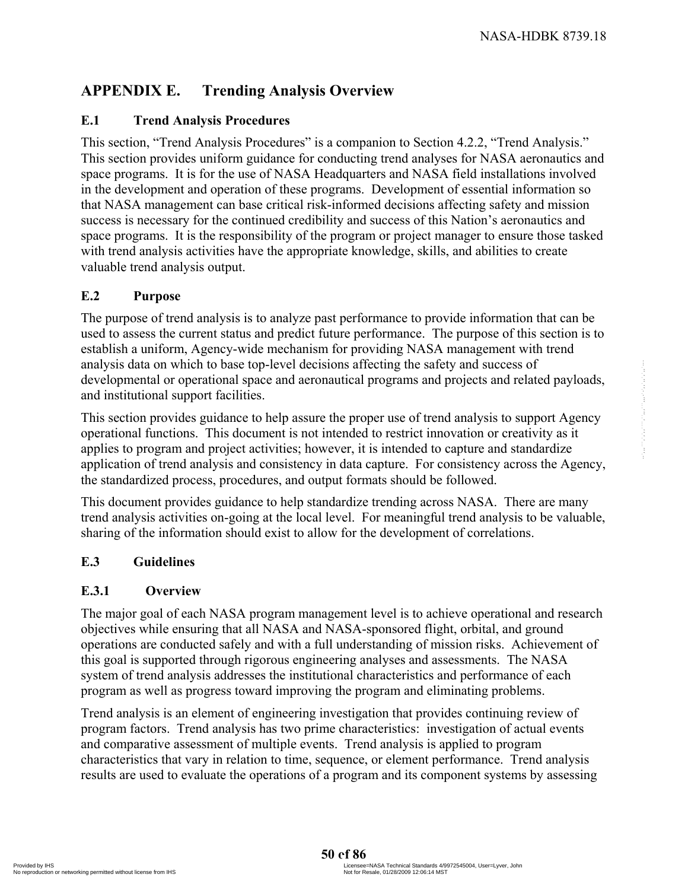# **APPENDIX E. Trending Analysis Overview**

# **E.1 Trend Analysis Procedures**

This section, "Trend Analysis Procedures" is a companion to Section 4.2.2, "Trend Analysis." This section provides uniform guidance for conducting trend analyses for NASA aeronautics and space programs. It is for the use of NASA Headquarters and NASA field installations involved in the development and operation of these programs. Development of essential information so that NASA management can base critical risk-informed decisions affecting safety and mission success is necessary for the continued credibility and success of this Nation's aeronautics and space programs. It is the responsibility of the program or project manager to ensure those tasked with trend analysis activities have the appropriate knowledge, skills, and abilities to create valuable trend analysis output.

### **E.2 Purpose**

The purpose of trend analysis is to analyze past performance to provide information that can be used to assess the current status and predict future performance. The purpose of this section is to establish a uniform, Agency-wide mechanism for providing NASA management with trend analysis data on which to base top-level decisions affecting the safety and success of developmental or operational space and aeronautical programs and projects and related payloads, and institutional support facilities.

This section provides guidance to help assure the proper use of trend analysis to support Agency operational functions. This document is not intended to restrict innovation or creativity as it applies to program and project activities; however, it is intended to capture and standardize application of trend analysis and consistency in data capture. For consistency across the Agency, the standardized process, procedures, and output formats should be followed.

This document provides guidance to help standardize trending across NASA. There are many trend analysis activities on-going at the local level. For meaningful trend analysis to be valuable, sharing of the information should exist to allow for the development of correlations.

### **E.3 Guidelines**

### **E.3.1 Overview**

The major goal of each NASA program management level is to achieve operational and research objectives while ensuring that all NASA and NASA-sponsored flight, orbital, and ground operations are conducted safely and with a full understanding of mission risks. Achievement of this goal is supported through rigorous engineering analyses and assessments. The NASA system of trend analysis addresses the institutional characteristics and performance of each program as well as progress toward improving the program and eliminating problems. analysis at an which to hase top-level decessors of a restriction of the state of exerception of the intermediction or networking and provides and product and may be the state of production of remindent and project and res

Trend analysis is an element of engineering investigation that provides continuing review of program factors. Trend analysis has two prime characteristics: investigation of actual events and comparative assessment of multiple events. Trend analysis is applied to program characteristics that vary in relation to time, sequence, or element performance. Trend analysis results are used to evaluate the operations of a program and its component systems by assessing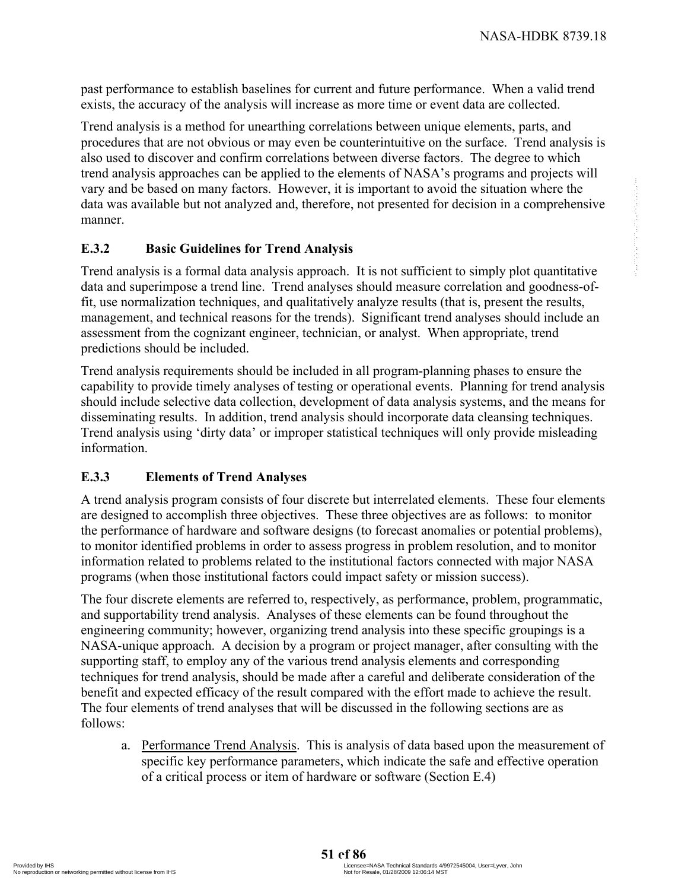past performance to establish baselines for current and future performance. When a valid trend exists, the accuracy of the analysis will increase as more time or event data are collected.

Trend analysis is a method for unearthing correlations between unique elements, parts, and procedures that are not obvious or may even be counterintuitive on the surface. Trend analysis is also used to discover and confirm correlations between diverse factors. The degree to which trend analysis approaches can be applied to the elements of NASA's programs and projects will vary and be based on many factors. However, it is important to avoid the situation where the data was available but not analyzed and, therefore, not presented for decision in a comprehensive manner.

### **E.3.2 Basic Guidelines for Trend Analysis**

Trend analysis is a formal data analysis approach. It is not sufficient to simply plot quantitative data and superimpose a trend line. Trend analyses should measure correlation and goodness-offit, use normalization techniques, and qualitatively analyze results (that is, present the results, management, and technical reasons for the trends). Significant trend analyses should include an assessment from the cognizant engineer, technician, or analyst. When appropriate, trend predictions should be included.

Trend analysis requirements should be included in all program-planning phases to ensure the capability to provide timely analyses of testing or operational events. Planning for trend analysis should include selective data collection, development of data analysis systems, and the means for disseminating results. In addition, trend analysis should incorporate data cleansing techniques. Trend analysis using 'dirty data' or improper statistical techniques will only provide misleading information.

### **E.3.3 Elements of Trend Analyses**

A trend analysis program consists of four discrete but interrelated elements. These four elements are designed to accomplish three objectives. These three objectives are as follows: to monitor the performance of hardware and software designs (to forecast anomalies or potential problems), to monitor identified problems in order to assess progress in problem resolution, and to monitor information related to problems related to the institutional factors connected with major NASA programs (when those institutional factors could impact safety or mission success).

The four discrete elements are referred to, respectively, as performance, problem, programmatic, and supportability trend analysis. Analyses of these elements can be found throughout the engineering community; however, organizing trend analysis into these specific groupings is a NASA-unique approach. A decision by a program or project manager, after consulting with the supporting staff, to employ any of the various trend analysis elements and corresponding techniques for trend analysis, should be made after a careful and deliberate consideration of the benefit and expected efficacy of the result compared with the effort made to achieve the result. The four elements of trend analyses that will be discussed in the following sections are as follows: No represent the transition or network is important to rooid the studients for the studient or networking permitted for the studient or networking permitted with the studient or networking permitted with the studient or n

a. Performance Trend Analysis. This is analysis of data based upon the measurement of specific key performance parameters, which indicate the safe and effective operation of a critical process or item of hardware or software (Section E.4)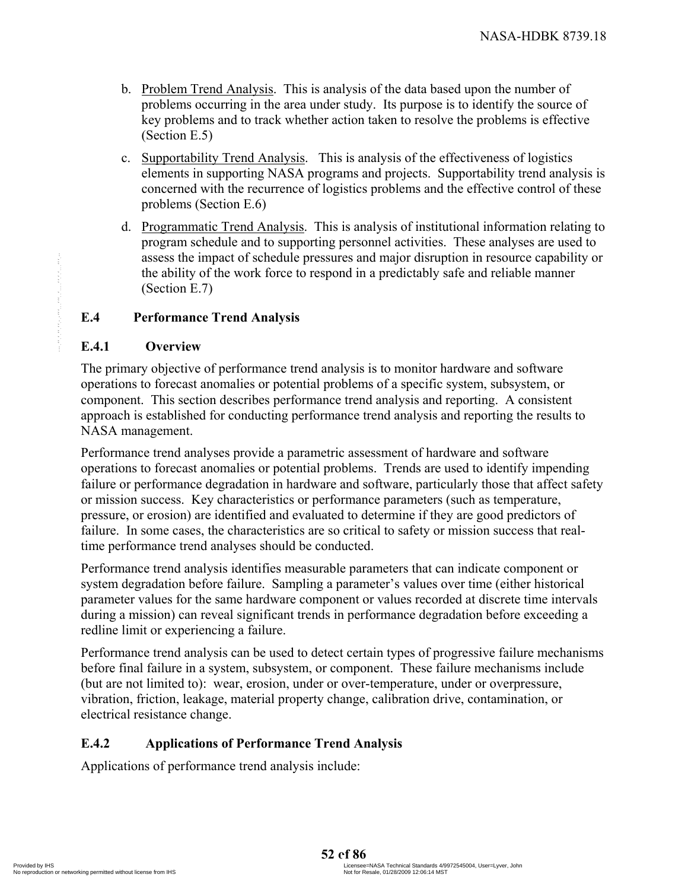- b. Problem Trend Analysis. This is analysis of the data based upon the number of problems occurring in the area under study. Its purpose is to identify the source of key problems and to track whether action taken to resolve the problems is effective (Section E.5)
- c. Supportability Trend Analysis. This is analysis of the effectiveness of logistics elements in supporting NASA programs and projects. Supportability trend analysis is concerned with the recurrence of logistics problems and the effective control of these problems (Section E.6)
- d. Programmatic Trend Analysis. This is analysis of institutional information relating to program schedule and to supporting personnel activities. These analyses are used to assess the impact of schedule pressures and major disruption in resource capability or the ability of the work force to respond in a predictably safe and reliable manner (Section E.7)

### **E.4 Performance Trend Analysis**

### **E.4.1 Overview**

The primary objective of performance trend analysis is to monitor hardware and software operations to forecast anomalies or potential problems of a specific system, subsystem, or component. This section describes performance trend analysis and reporting. A consistent approach is established for conducting performance trend analysis and reporting the results to NASA management.

Performance trend analyses provide a parametric assessment of hardware and software operations to forecast anomalies or potential problems. Trends are used to identify impending failure or performance degradation in hardware and software, particularly those that affect safety or mission success. Key characteristics or performance parameters (such as temperature, pressure, or erosion) are identified and evaluated to determine if they are good predictors of failure. In some cases, the characteristics are so critical to safety or mission success that realtime performance trend analyses should be conducted. sesses the myndred or schedule pressures and major distups<br>
(Section E.7)<br> **E.4 Performance Trend Analysis** is to monitor hyperations to forecast anomalies or potential problems of a specific component. This section desc

Performance trend analysis identifies measurable parameters that can indicate component or system degradation before failure. Sampling a parameter's values over time (either historical parameter values for the same hardware component or values recorded at discrete time intervals during a mission) can reveal significant trends in performance degradation before exceeding a redline limit or experiencing a failure.

Performance trend analysis can be used to detect certain types of progressive failure mechanisms before final failure in a system, subsystem, or component. These failure mechanisms include (but are not limited to): wear, erosion, under or over-temperature, under or overpressure, vibration, friction, leakage, material property change, calibration drive, contamination, or electrical resistance change.

### **E.4.2 Applications of Performance Trend Analysis**

Applications of performance trend analysis include: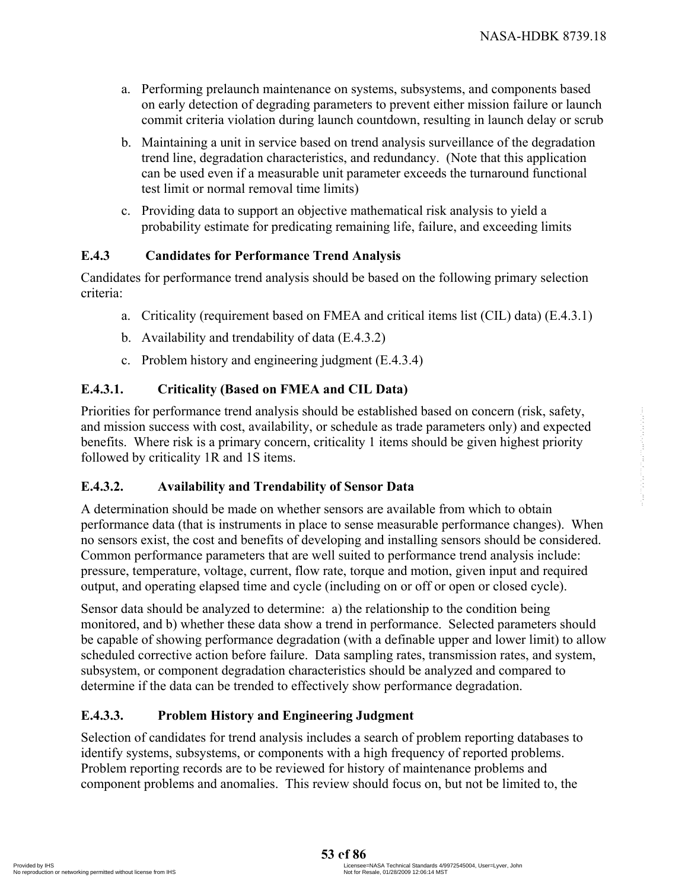- a. Performing prelaunch maintenance on systems, subsystems, and components based on early detection of degrading parameters to prevent either mission failure or launch commit criteria violation during launch countdown, resulting in launch delay or scrub
- b. Maintaining a unit in service based on trend analysis surveillance of the degradation trend line, degradation characteristics, and redundancy. (Note that this application can be used even if a measurable unit parameter exceeds the turnaround functional test limit or normal removal time limits)
- c. Providing data to support an objective mathematical risk analysis to yield a probability estimate for predicating remaining life, failure, and exceeding limits

### **E.4.3 Candidates for Performance Trend Analysis**

Candidates for performance trend analysis should be based on the following primary selection criteria:

- a. Criticality (requirement based on FMEA and critical items list (CIL) data) (E.4.3.1)
- b. Availability and trendability of data (E.4.3.2)
- c. Problem history and engineering judgment (E.4.3.4)

# **E.4.3.1. Criticality (Based on FMEA and CIL Data)**

Priorities for performance trend analysis should be established based on concern (risk, safety, and mission success with cost, availability, or schedule as trade parameters only) and expected benefits. Where risk is a primary concern, criticality 1 items should be given highest priority followed by criticality 1R and 1S items.

### **E.4.3.2. Availability and Trendability of Sensor Data**

A determination should be made on whether sensors are available from which to obtain performance data (that is instruments in place to sense measurable performance changes). When no sensors exist, the cost and benefits of developing and installing sensors should be considered. Common performance parameters that are well suited to performance trend analysis include: pressure, temperature, voltage, current, flow rate, torque and motion, given input and required output, and operating elapsed time and cycle (including on or off or open or closed cycle).

Sensor data should be analyzed to determine: a) the relationship to the condition being monitored, and b) whether these data show a trend in performance. Selected parameters should be capable of showing performance degradation (with a definable upper and lower limit) to allow scheduled corrective action before failure. Data sampling rates, transmission rates, and system, subsystem, or component degradation characteristics should be analyzed and compared to determine if the data can be trended to effectively show performance degradation. Prorities lor per incompare trend analysis should be established based on concern (risk, alety)<br>benefits. Where risk is a primary concern, errictedity 1 items should be given highest priority<br>benefits. Where risk is a pri

# **E.4.3.3. Problem History and Engineering Judgment**

Selection of candidates for trend analysis includes a search of problem reporting databases to identify systems, subsystems, or components with a high frequency of reported problems. Problem reporting records are to be reviewed for history of maintenance problems and component problems and anomalies. This review should focus on, but not be limited to, the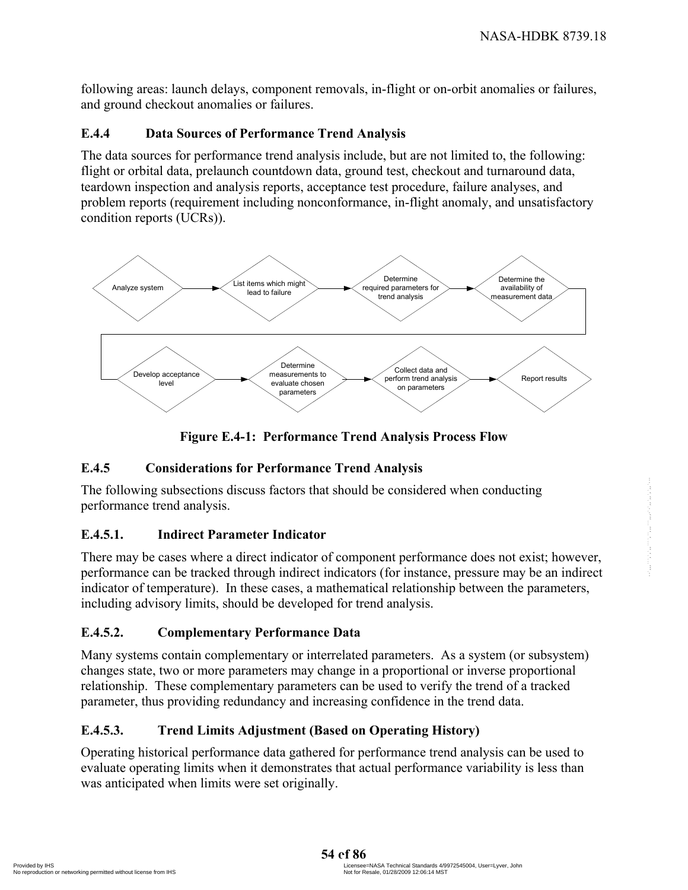following areas: launch delays, component removals, in-flight or on-orbit anomalies or failures, and ground checkout anomalies or failures.

### **E.4.4 Data Sources of Performance Trend Analysis**

The data sources for performance trend analysis include, but are not limited to, the following: flight or orbital data, prelaunch countdown data, ground test, checkout and turnaround data, teardown inspection and analysis reports, acceptance test procedure, failure analyses, and problem reports (requirement including nonconformance, in-flight anomaly, and unsatisfactory condition reports (UCRs)).



**Figure E.4-1: Performance Trend Analysis Process Flow** 

### **E.4.5 Considerations for Performance Trend Analysis**

The following subsections discuss factors that should be considered when conducting performance trend analysis.

### **E.4.5.1. Indirect Parameter Indicator**

There may be cases where a direct indicator of component performance does not exist; however, performance can be tracked through indirect indicators (for instance, pressure may be an indirect indicator of temperature). In these cases, a mathematical relationship between the parameters, including advisory limits, should be developed for trend analysis. The following subsections discuss factors that should be considered when conducting<br> **E.4.5.1.** Indicert Parameter Indicator<br>
There may be eass where a direct indiceator of component performance does not exist; however,<br>

### **E.4.5.2. Complementary Performance Data**

Many systems contain complementary or interrelated parameters. As a system (or subsystem) changes state, two or more parameters may change in a proportional or inverse proportional relationship. These complementary parameters can be used to verify the trend of a tracked parameter, thus providing redundancy and increasing confidence in the trend data.

# **E.4.5.3. Trend Limits Adjustment (Based on Operating History)**

Operating historical performance data gathered for performance trend analysis can be used to evaluate operating limits when it demonstrates that actual performance variability is less than was anticipated when limits were set originally.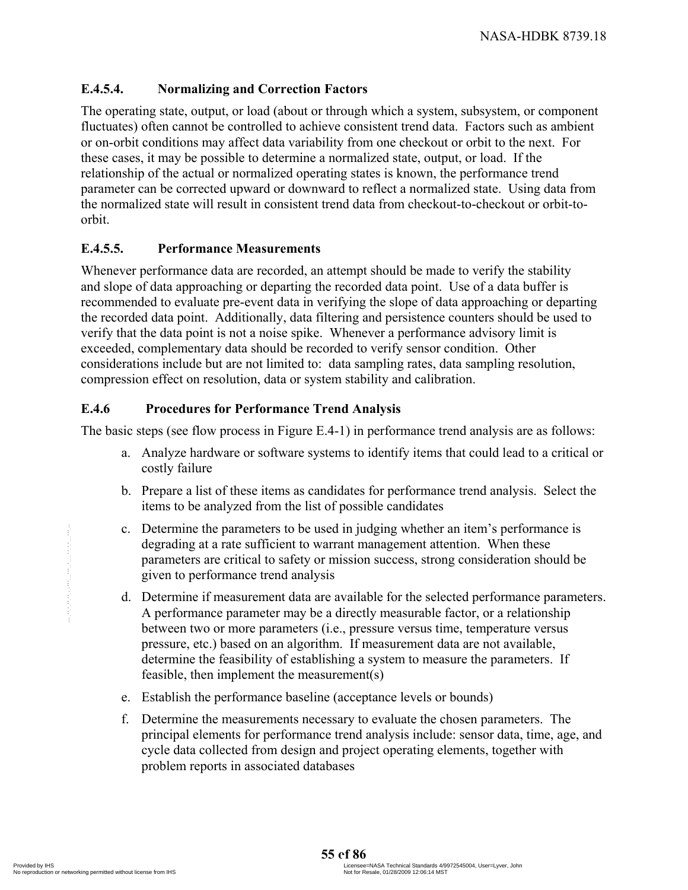### **E.4.5.4. Normalizing and Correction Factors**

The operating state, output, or load (about or through which a system, subsystem, or component fluctuates) often cannot be controlled to achieve consistent trend data. Factors such as ambient or on-orbit conditions may affect data variability from one checkout or orbit to the next. For these cases, it may be possible to determine a normalized state, output, or load. If the relationship of the actual or normalized operating states is known, the performance trend parameter can be corrected upward or downward to reflect a normalized state. Using data from the normalized state will result in consistent trend data from checkout-to-checkout or orbit-toorbit.

### **E.4.5.5. Performance Measurements**

Whenever performance data are recorded, an attempt should be made to verify the stability and slope of data approaching or departing the recorded data point. Use of a data buffer is recommended to evaluate pre-event data in verifying the slope of data approaching or departing the recorded data point. Additionally, data filtering and persistence counters should be used to verify that the data point is not a noise spike. Whenever a performance advisory limit is exceeded, complementary data should be recorded to verify sensor condition. Other considerations include but are not limited to: data sampling rates, data sampling resolution, compression effect on resolution, data or system stability and calibration.

# **E.4.6 Procedures for Performance Trend Analysis**

The basic steps (see flow process in Figure E.4-1) in performance trend analysis are as follows:

- a. Analyze hardware or software systems to identify items that could lead to a critical or costly failure
- b. Prepare a list of these items as candidates for performance trend analysis. Select the items to be analyzed from the list of possible candidates
- c. Determine the parameters to be used in judging whether an item's performance is degrading at a rate sufficient to warrant management attention. When these parameters are critical to safety or mission success, strong consideration should be given to performance trend analysis
- d. Determine if measurement data are available for the selected performance parameters. A performance parameter may be a directly measurable factor, or a relationship between two or more parameters (i.e., pressure versus time, temperature versus pressure, etc.) based on an algorithm. If measurement data are not available, determine the feasibility of establishing a system to measure the parameters. If feasible, then implement the measurement(s) C. Determine the parameters to be used in judging whether<br>degrading at a rate sufficient to warrant management atte<br>parameters are critical to safetly or mission success, stron<br>given to performance from and analysis<br>d. D
	- e. Establish the performance baseline (acceptance levels or bounds)
	- f. Determine the measurements necessary to evaluate the chosen parameters. The principal elements for performance trend analysis include: sensor data, time, age, and cycle data collected from design and project operating elements, together with problem reports in associated databases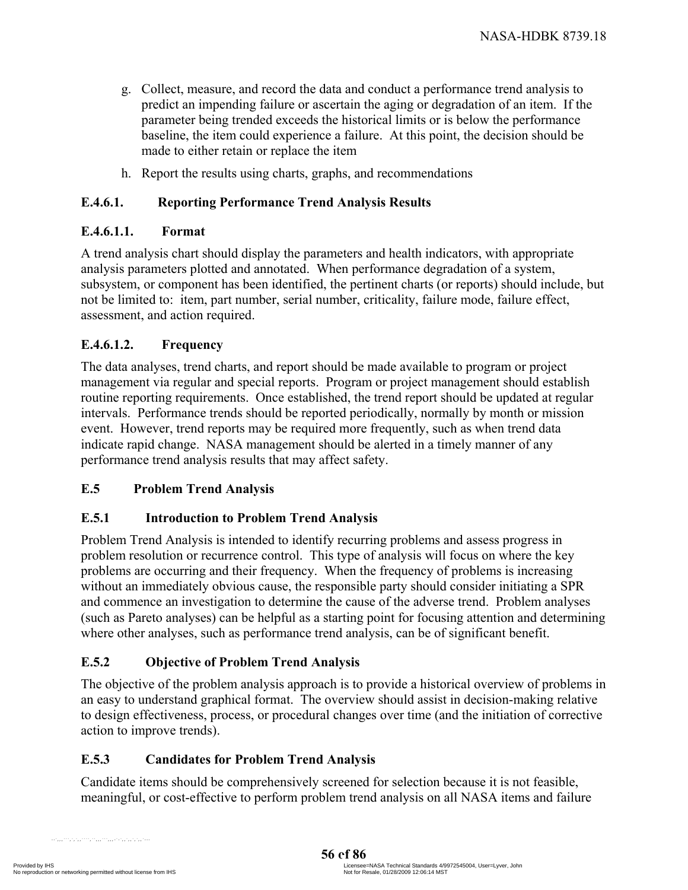- g. Collect, measure, and record the data and conduct a performance trend analysis to predict an impending failure or ascertain the aging or degradation of an item. If the parameter being trended exceeds the historical limits or is below the performance baseline, the item could experience a failure. At this point, the decision should be made to either retain or replace the item
- h. Report the results using charts, graphs, and recommendations

### **E.4.6.1. Reporting Performance Trend Analysis Results**

### **E.4.6.1.1. Format**

A trend analysis chart should display the parameters and health indicators, with appropriate analysis parameters plotted and annotated. When performance degradation of a system, subsystem, or component has been identified, the pertinent charts (or reports) should include, but not be limited to: item, part number, serial number, criticality, failure mode, failure effect, assessment, and action required.

### **E.4.6.1.2. Frequency**

The data analyses, trend charts, and report should be made available to program or project management via regular and special reports. Program or project management should establish routine reporting requirements. Once established, the trend report should be updated at regular intervals. Performance trends should be reported periodically, normally by month or mission event. However, trend reports may be required more frequently, such as when trend data indicate rapid change. NASA management should be alerted in a timely manner of any performance trend analysis results that may affect safety.

#### **E.5 Problem Trend Analysis**

### **E.5.1 Introduction to Problem Trend Analysis**

Problem Trend Analysis is intended to identify recurring problems and assess progress in problem resolution or recurrence control. This type of analysis will focus on where the key problems are occurring and their frequency. When the frequency of problems is increasing without an immediately obvious cause, the responsible party should consider initiating a SPR and commence an investigation to determine the cause of the adverse trend. Problem analyses (such as Pareto analyses) can be helpful as a starting point for focusing attention and determining where other analyses, such as performance trend analysis, can be of significant benefit.

### **E.5.2 Objective of Problem Trend Analysis**

The objective of the problem analysis approach is to provide a historical overview of problems in an easy to understand graphical format. The overview should assist in decision-making relative to design effectiveness, process, or procedural changes over time (and the initiation of corrective action to improve trends).

### **E.5.3 Candidates for Problem Trend Analysis**

Candidate items should be comprehensively screened for selection because it is not feasible, meaningful, or cost-effective to perform problem trend analysis on all NASA items and failure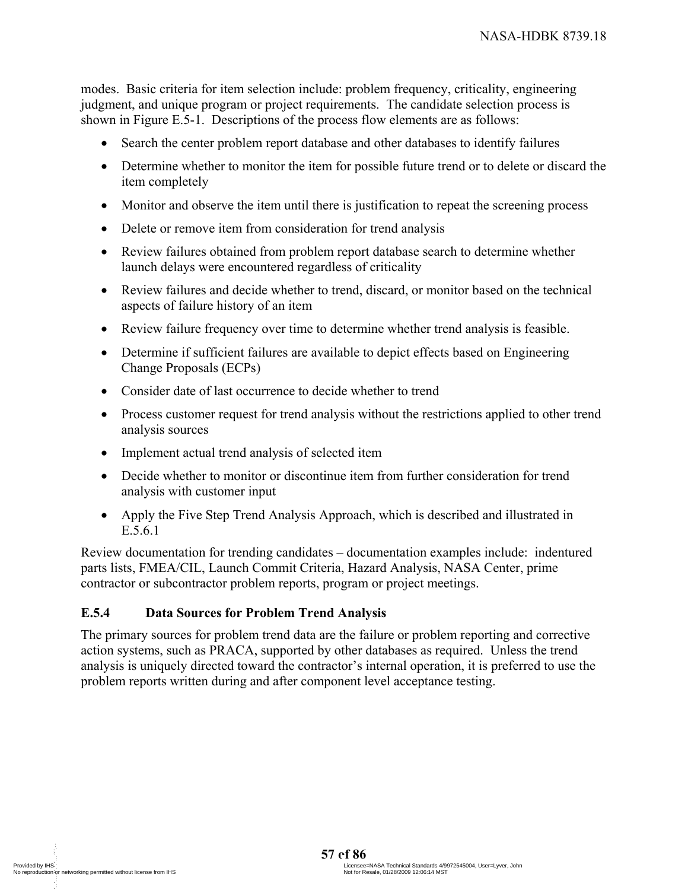modes. Basic criteria for item selection include: problem frequency, criticality, engineering judgment, and unique program or project requirements. The candidate selection process is shown in Figure E.5-1. Descriptions of the process flow elements are as follows:

- Search the center problem report database and other databases to identify failures
- Determine whether to monitor the item for possible future trend or to delete or discard the item completely
- Monitor and observe the item until there is justification to repeat the screening process
- Delete or remove item from consideration for trend analysis
- Review failures obtained from problem report database search to determine whether launch delays were encountered regardless of criticality
- Review failures and decide whether to trend, discard, or monitor based on the technical aspects of failure history of an item
- Review failure frequency over time to determine whether trend analysis is feasible.
- Determine if sufficient failures are available to depict effects based on Engineering Change Proposals (ECPs)
- Consider date of last occurrence to decide whether to trend
- Process customer request for trend analysis without the restrictions applied to other trend analysis sources
- Implement actual trend analysis of selected item
- Decide whether to monitor or discontinue item from further consideration for trend analysis with customer input
- Apply the Five Step Trend Analysis Approach, which is described and illustrated in E.5.6.1

Review documentation for trending candidates – documentation examples include: indentured parts lists, FMEA/CIL, Launch Commit Criteria, Hazard Analysis, NASA Center, prime contractor or subcontractor problem reports, program or project meetings.

#### **E.5.4 Data Sources for Problem Trend Analysis**

The primary sources for problem trend data are the failure or problem reporting and corrective action systems, such as PRACA, supported by other databases as required. Unless the trend analysis is uniquely directed toward the contractor's internal operation, it is preferred to use the problem reports written during and after component level acceptance testing.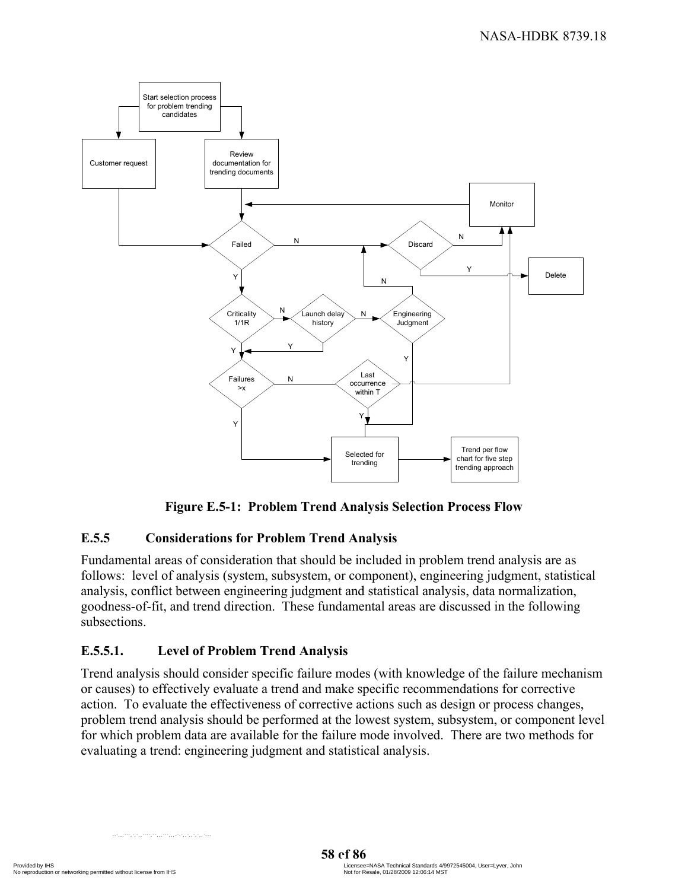

**Figure E.5-1: Problem Trend Analysis Selection Process Flow** 

### **E.5.5 Considerations for Problem Trend Analysis**

Fundamental areas of consideration that should be included in problem trend analysis are as follows: level of analysis (system, subsystem, or component), engineering judgment, statistical analysis, conflict between engineering judgment and statistical analysis, data normalization, goodness-of-fit, and trend direction. These fundamental areas are discussed in the following subsections.

# **E.5.5.1. Level of Problem Trend Analysis**

Trend analysis should consider specific failure modes (with knowledge of the failure mechanism or causes) to effectively evaluate a trend and make specific recommendations for corrective action. To evaluate the effectiveness of corrective actions such as design or process changes, problem trend analysis should be performed at the lowest system, subsystem, or component level for which problem data are available for the failure mode involved. There are two methods for evaluating a trend: engineering judgment and statistical analysis.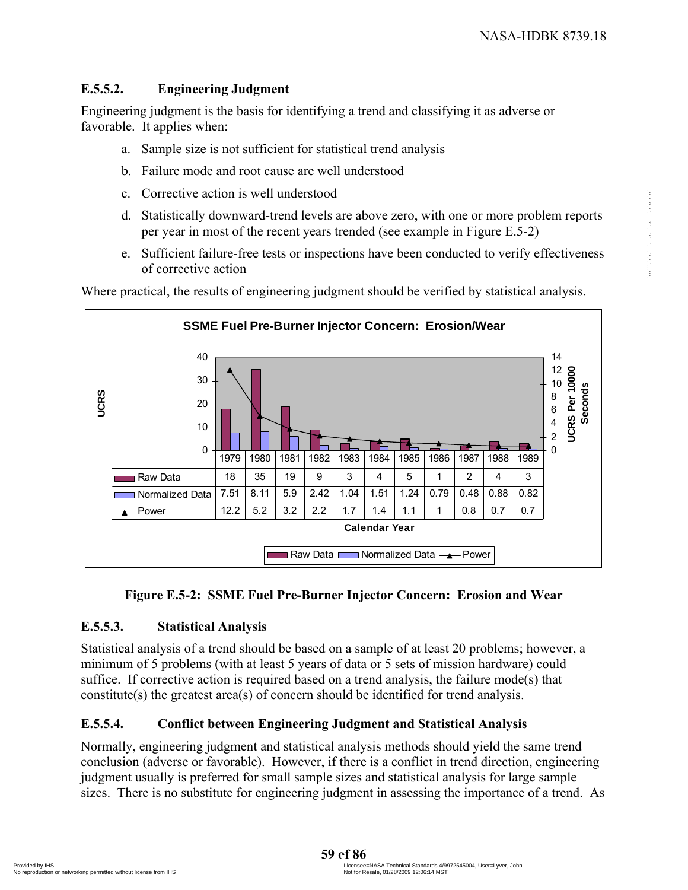# **E.5.5.2. Engineering Judgment**

Engineering judgment is the basis for identifying a trend and classifying it as adverse or favorable. It applies when:

- a. Sample size is not sufficient for statistical trend analysis
- b. Failure mode and root cause are well understood
- c. Corrective action is well understood
- d. Statistically downward-trend levels are above zero, with one or more problem reports per year in most of the recent years trended (see example in Figure E.5-2)
- e. Sufficient failure-free tests or inspections have been conducted to verify effectiveness of corrective action



Where practical, the results of engineering judgment should be verified by statistical analysis.

# **Figure E.5-2: SSME Fuel Pre-Burner Injector Concern: Erosion and Wear**

### **E.5.5.3. Statistical Analysis**

Statistical analysis of a trend should be based on a sample of at least 20 problems; however, a minimum of 5 problems (with at least 5 years of data or 5 sets of mission hardware) could suffice. If corrective action is required based on a trend analysis, the failure mode(s) that constitute(s) the greatest area(s) of concern should be identified for trend analysis.

### **E.5.5.4. Conflict between Engineering Judgment and Statistical Analysis**

Normally, engineering judgment and statistical analysis methods should yield the same trend conclusion (adverse or favorable). However, if there is a conflict in trend direction, engineering judgment usually is preferred for small sample sizes and statistical analysis for large sample sizes. There is no substitute for engineering judgment in assessing the importance of a trend. As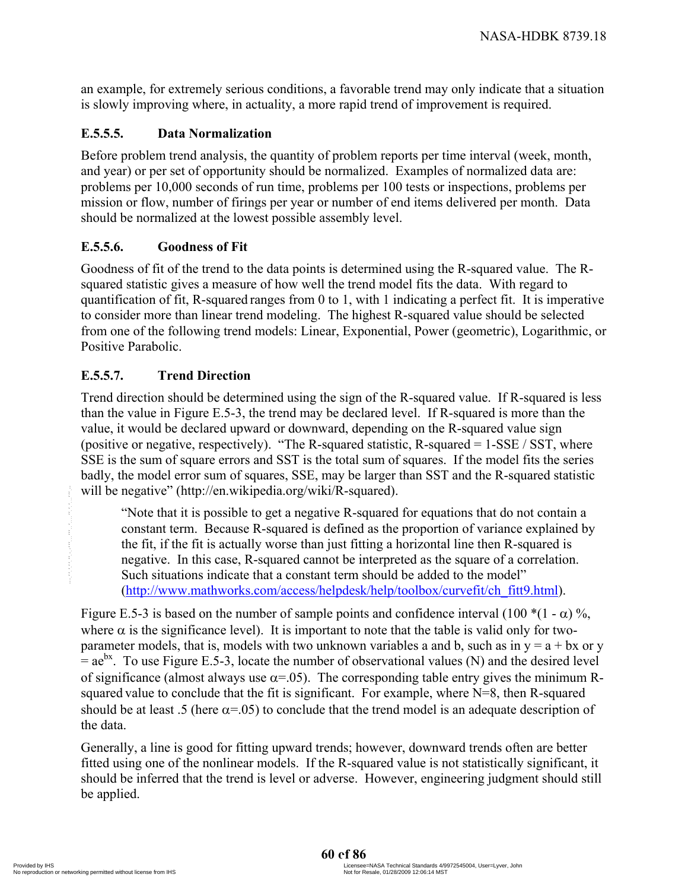an example, for extremely serious conditions, a favorable trend may only indicate that a situation is slowly improving where, in actuality, a more rapid trend of improvement is required.

### **E.5.5.5. Data Normalization**

Before problem trend analysis, the quantity of problem reports per time interval (week, month, and year) or per set of opportunity should be normalized. Examples of normalized data are: problems per 10,000 seconds of run time, problems per 100 tests or inspections, problems per mission or flow, number of firings per year or number of end items delivered per month. Data should be normalized at the lowest possible assembly level.

### **E.5.5.6. Goodness of Fit**

Goodness of fit of the trend to the data points is determined using the R-squared value. The Rsquared statistic gives a measure of how well the trend model fits the data. With regard to quantification of fit, R-squared ranges from 0 to 1, with 1 indicating a perfect fit. It is imperative to consider more than linear trend modeling. The highest R-squared value should be selected from one of the following trend models: Linear, Exponential, Power (geometric), Logarithmic, or Positive Parabolic.

### **E.5.5.7. Trend Direction**

Trend direction should be determined using the sign of the R-squared value. If R-squared is less than the value in Figure E.5-3, the trend may be declared level. If R-squared is more than the value, it would be declared upward or downward, depending on the R-squared value sign (positive or negative, respectively). "The R-squared statistic, R-squared = 1-SSE / SST, where SSE is the sum of square errors and SST is the total sum of squares. If the model fits the series badly, the model error sum of squares, SSE, may be larger than SST and the R-squared statistic will be negative" (http://en.wikipedia.org/wiki/R-squared).

"Note that it is possible to get a negative R-squared for equations that do not contain a constant term. Because R-squared is defined as the proportion of variance explained by the fit, if the fit is actually worse than just fitting a horizontal line then R-squared is negative. In this case, R-squared cannot be interpreted as the square of a correlation. Such situations indicate that a constant term should be added to the model" (http://www.mathworks.com/access/helpdesk/help/toolbox/curvefit/ch\_fitt9.html).

Figure E.5-3 is based on the number of sample points and confidence interval (100  $*(1 - \alpha)$ %, where  $\alpha$  is the significance level). It is important to note that the table is valid only for twoparameter models, that is, models with two unknown variables a and b, such as in  $y = a + bx$  or y  $=$  ae<sup>bx</sup>. To use Figure E.5-3, locate the number of observational values (N) and the desired level of significance (almost always use  $\alpha$ =.05). The corresponding table entry gives the minimum Rsquared value to conclude that the fit is significant. For example, where N=8, then R-squared should be at least .5 (here  $\alpha$ =.05) to conclude that the trend model is an adequate description of the data. will be negative" (http://en.wikipedia.org/wiki/R-squared).<br>
"Note that it is possible to get a negative R-squared for equals constant term. Because R-squared is defined as the proportion the fit, if the fit is actually w

Generally, a line is good for fitting upward trends; however, downward trends often are better fitted using one of the nonlinear models. If the R-squared value is not statistically significant, it should be inferred that the trend is level or adverse. However, engineering judgment should still be applied.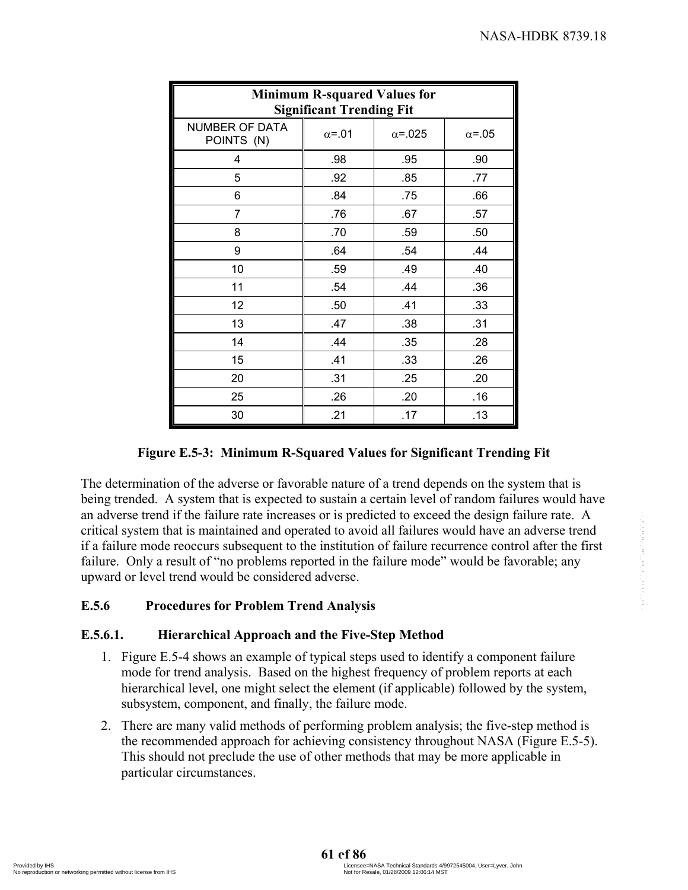| <b>Minimum R-squared Values for</b><br><b>Significant Trending Fit</b> |               |                |               |  |  |
|------------------------------------------------------------------------|---------------|----------------|---------------|--|--|
| NUMBER OF DATA<br>POINTS (N)                                           | $\alpha$ =.01 | $\alpha$ =.025 | $\alpha$ =.05 |  |  |
| 4                                                                      | .98           | .95            | .90           |  |  |
| 5                                                                      | .92           | .85            | .77           |  |  |
| 6                                                                      | .84           | .75            | .66           |  |  |
| 7                                                                      | .76           | .67            | .57           |  |  |
| 8                                                                      | .70           | .59            | .50           |  |  |
| 9                                                                      | .64           | .54            | .44           |  |  |
| 10                                                                     | .59           | .49            | .40           |  |  |
| 11                                                                     | .54           | .44            | .36           |  |  |
| 12 <sub>2</sub>                                                        | .50           | .41            | .33           |  |  |
| 13                                                                     | .47           | .38            | .31           |  |  |
| 14                                                                     | .44           | .35            | .28           |  |  |
| 15                                                                     | .41           | .33            | .26           |  |  |
| 20                                                                     | .31           | .25            | .20           |  |  |
| 25                                                                     | .26           | .20            | .16           |  |  |
| 30                                                                     | .21           | .17            | .13           |  |  |

### **Figure E.5-3: Minimum R-Squared Values for Significant Trending Fit**

The determination of the adverse or favorable nature of a trend depends on the system that is being trended. A system that is expected to sustain a certain level of random failures would have an adverse trend if the failure rate increases or is predicted to exceed the design failure rate. A critical system that is maintained and operated to avoid all failures would have an adverse trend if a failure mode reoccurs subsequent to the institution of failure recurrence control after the first failure. Only a result of "no problems reported in the failure mode" would be favorable; any upward or level trend would be considered adverse. an actors treat in the failure rate increases or is predacted to exceed the design failure indicates from IHS at fitting mode recoccurs subsequent to the institution of failure recurrence control after the first failure o

### **E.5.6 Procedures for Problem Trend Analysis**

#### **E.5.6.1. Hierarchical Approach and the Five-Step Method**

- 1. Figure E.5-4 shows an example of typical steps used to identify a component failure mode for trend analysis. Based on the highest frequency of problem reports at each hierarchical level, one might select the element (if applicable) followed by the system, subsystem, component, and finally, the failure mode.
- 2. There are many valid methods of performing problem analysis; the five-step method is the recommended approach for achieving consistency throughout NASA (Figure E.5-5). This should not preclude the use of other methods that may be more applicable in particular circumstances.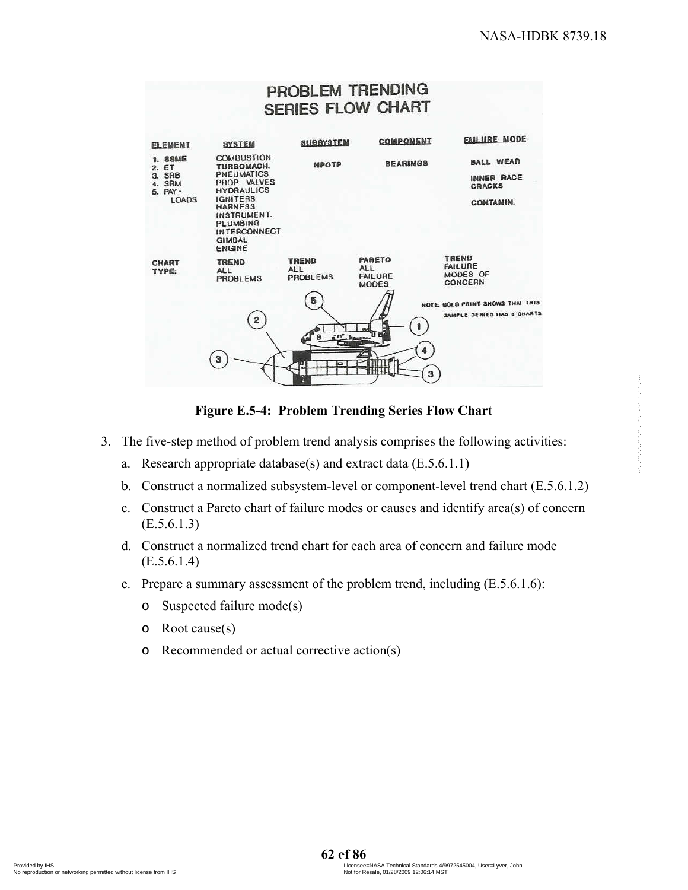

**Figure E.5-4: Problem Trending Series Flow Chart** 

- 3. The five-step method of problem trend analysis comprises the following activities:
	- a. Research appropriate database(s) and extract data  $(E.5.6.1.1)$
	- b. Construct a normalized subsystem-level or component-level trend chart (E.5.6.1.2)
- c. Construct a Pareto chart of failure modes or causes and identify area(s) of concern  $(E.5.6.1.3)$ Figure E.4: Problem Trending Series Flow Chart<br>
3. The five-step method of problem trend analysis compisses the following activities:<br>
a. Research appropriate database(s) and extract data (E.5.6.1.1)<br>
b. Construct a norma
	- d. Construct a normalized trend chart for each area of concern and failure mode (E.5.6.1.4)
	- e. Prepare a summary assessment of the problem trend, including (E.5.6.1.6):
		- o Suspected failure mode(s)
		- o Root cause(s)
		- o Recommended or actual corrective action(s)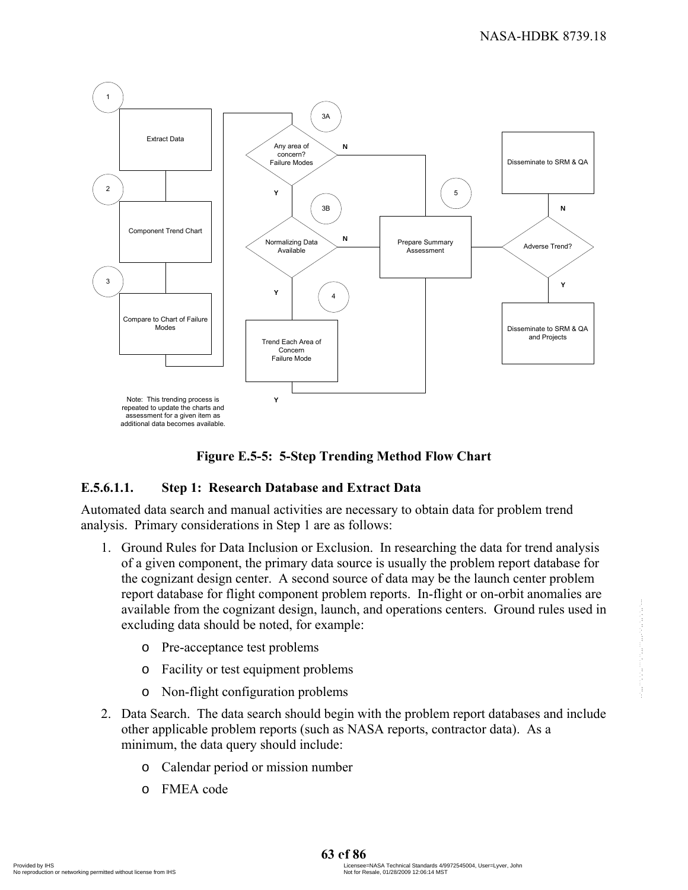

**Figure E.5-5: 5-Step Trending Method Flow Chart** 

### **E.5.6.1.1. Step 1: Research Database and Extract Data**

Automated data search and manual activities are necessary to obtain data for problem trend analysis. Primary considerations in Step 1 are as follows:

- 1. Ground Rules for Data Inclusion or Exclusion. In researching the data for trend analysis of a given component, the primary data source is usually the problem report database for the cognizant design center. A second source of data may be the launch center problem report database for flight component problem reports. In-flight or on-orbit anomalies are available from the cognizant design, launch, and operations centers. Ground rules used in excluding data should be noted, for example:
	- o Pre-acceptance test problems
	- o Facility or test equipment problems
	- o Non-flight configuration problems
- 2. Data Search. The data search should begin with the problem report databases and include other applicable problem reports (such as NASA reports, contractor data). As a minimum, the data query should include: No reproduced a reproduction or networking between the state of the state of the state of the state or networking permitted with the problem state of the state of the state of the state of the state of the state of the sta
	- o Calendar period or mission number
	- o FMEA code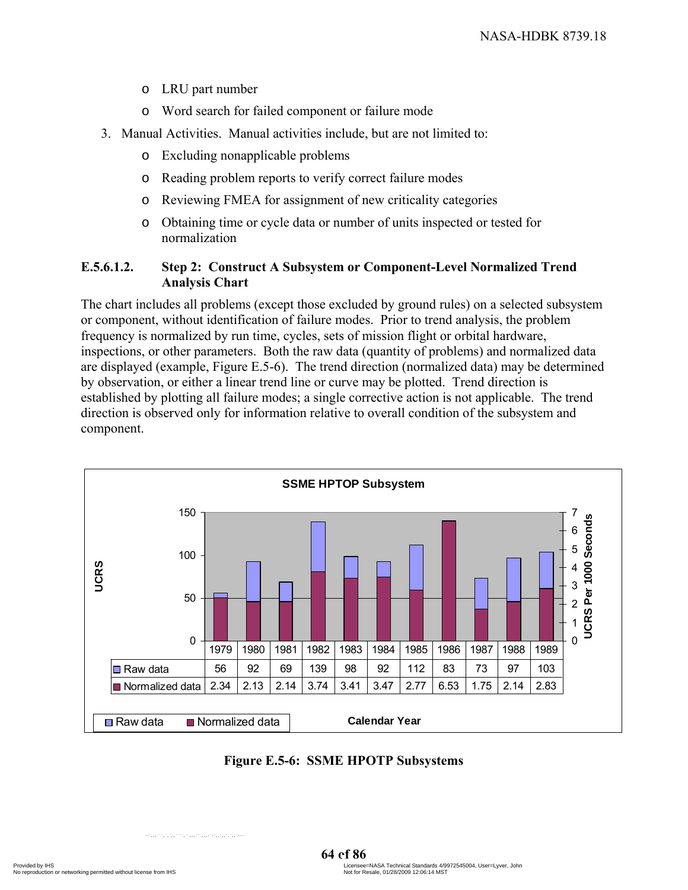- o LRU part number
- o Word search for failed component or failure mode
- 3. Manual Activities. Manual activities include, but are not limited to:
	- o Excluding nonapplicable problems
	- o Reading problem reports to verify correct failure modes
	- o Reviewing FMEA for assignment of new criticality categories
	- o Obtaining time or cycle data or number of units inspected or tested for normalization

### **E.5.6.1.2. Step 2: Construct A Subsystem or Component-Level Normalized Trend Analysis Chart**

The chart includes all problems (except those excluded by ground rules) on a selected subsystem or component, without identification of failure modes. Prior to trend analysis, the problem frequency is normalized by run time, cycles, sets of mission flight or orbital hardware, inspections, or other parameters. Both the raw data (quantity of problems) and normalized data are displayed (example, Figure E.5-6). The trend direction (normalized data) may be determined by observation, or either a linear trend line or curve may be plotted. Trend direction is established by plotting all failure modes; a single corrective action is not applicable. The trend direction is observed only for information relative to overall condition of the subsystem and component.



**Figure E.5-6: SSME HPOTP Subsystems**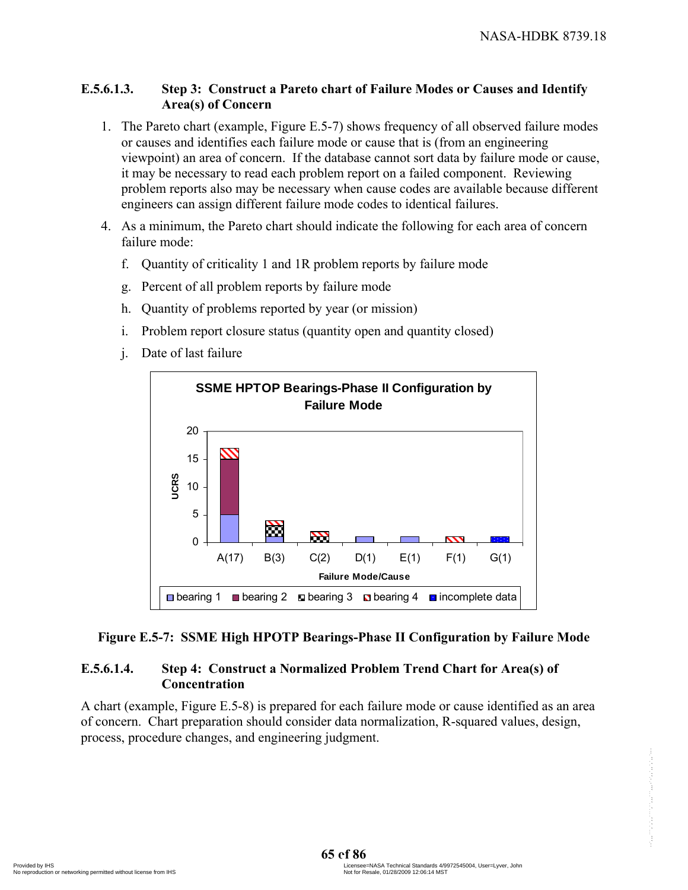### **E.5.6.1.3. Step 3: Construct a Pareto chart of Failure Modes or Causes and Identify Area(s) of Concern**

- 1. The Pareto chart (example, Figure E.5-7) shows frequency of all observed failure modes or causes and identifies each failure mode or cause that is (from an engineering viewpoint) an area of concern. If the database cannot sort data by failure mode or cause, it may be necessary to read each problem report on a failed component. Reviewing problem reports also may be necessary when cause codes are available because different engineers can assign different failure mode codes to identical failures.
- 4. As a minimum, the Pareto chart should indicate the following for each area of concern failure mode:
	- f. Quantity of criticality 1 and 1R problem reports by failure mode
	- g. Percent of all problem reports by failure mode
	- h. Quantity of problems reported by year (or mission)
	- i. Problem report closure status (quantity open and quantity closed)
	- j. Date of last failure



### **Figure E.5-7: SSME High HPOTP Bearings-Phase II Configuration by Failure Mode**

### **E.5.6.1.4. Step 4: Construct a Normalized Problem Trend Chart for Area(s) of Concentration**

A chart (example, Figure E.5-8) is prepared for each failure mode or cause identified as an area of concern. Chart preparation should consider data normalization, R-squared values, design, process, procedure changes, and engineering judgment.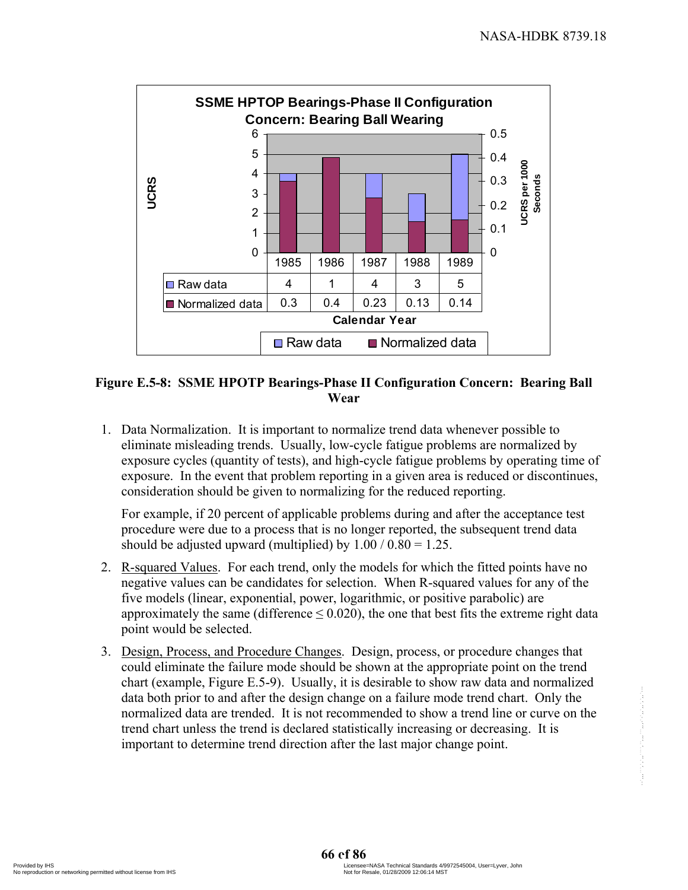

**Figure E.5-8: SSME HPOTP Bearings-Phase II Configuration Concern: Bearing Ball Wear** 

1. Data Normalization. It is important to normalize trend data whenever possible to eliminate misleading trends. Usually, low-cycle fatigue problems are normalized by exposure cycles (quantity of tests), and high-cycle fatigue problems by operating time of exposure. In the event that problem reporting in a given area is reduced or discontinues, consideration should be given to normalizing for the reduced reporting.

For example, if 20 percent of applicable problems during and after the acceptance test procedure were due to a process that is no longer reported, the subsequent trend data should be adjusted upward (multiplied) by  $1.00 / 0.80 = 1.25$ .

- 2. R-squared Values. For each trend, only the models for which the fitted points have no negative values can be candidates for selection. When R-squared values for any of the five models (linear, exponential, power, logarithmic, or positive parabolic) are approximately the same (difference  $\leq 0.020$ ), the one that best fits the extreme right data point would be selected.
- 3. Design, Process, and Procedure Changes. Design, process, or procedure changes that could eliminate the failure mode should be shown at the appropriate point on the trend chart (example, Figure E.5-9). Usually, it is desirable to show raw data and normalized data both prior to and after the design change on a failure mode trend chart. Only the normalized data are trended. It is not recommended to show a trend line or curve on the trend chart unless the trend is declared statistically increasing or decreasing. It is important to determine trend direction after the last major change point. data both prior to and after the design change on a failure mode trend chart. Only the<br>normalized data are trended. It is not recommended to show a trend line or curve on the<br>trend chart unless the trend is declared statis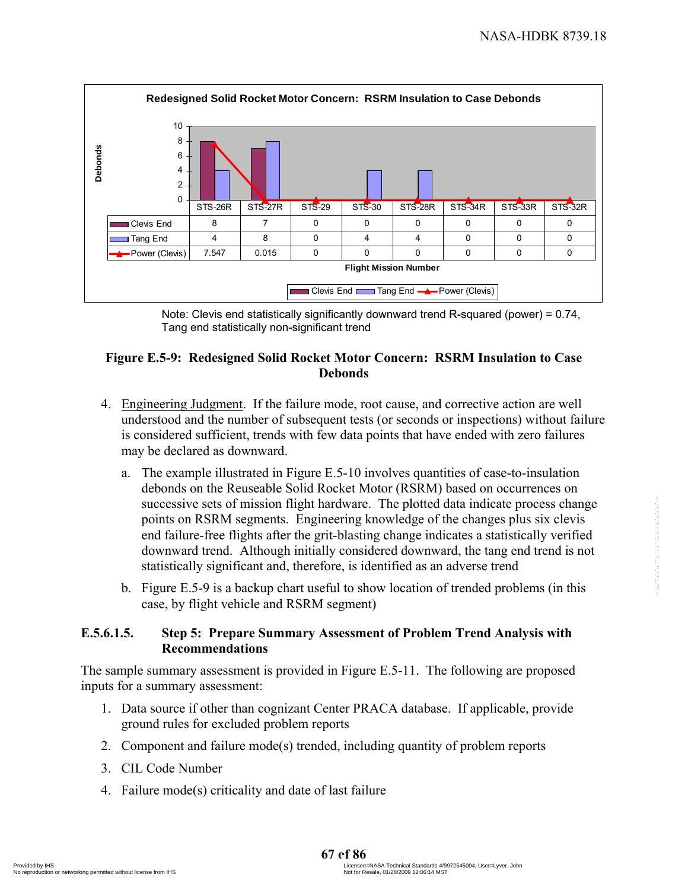

Note: Clevis end statistically significantly downward trend R-squared (power) = 0.74, Tang end statistically non-significant trend

# **Figure E.5-9: Redesigned Solid Rocket Motor Concern: RSRM Insulation to Case Debonds**

- 4. Engineering Judgment. If the failure mode, root cause, and corrective action are well understood and the number of subsequent tests (or seconds or inspections) without failure is considered sufficient, trends with few data points that have ended with zero failures may be declared as downward.
- a. The example illustrated in Figure E.5-10 involves quantities of case-to-insulation debonds on the Reuseable Solid Rocket Motor (RSRM) based on occurrences on successive sets of mission flight hardware. The plotted data indicate process change points on RSRM segments. Engineering knowledge of the changes plus six clevis end failure-free flights after the grit-blasting change indicates a statistically verified downward trend. Although initially considered downward, the tang end trend is not statistically significant and, therefore, is identified as an adverse trend successive sets of mission flight hardware. The plotted data indicate process change<br>coints on RSRM segments. Engineering knowledge of the changes plus six clevis<br>condition-from Although initially considered downward, the
	- b. Figure E.5-9 is a backup chart useful to show location of trended problems (in this case, by flight vehicle and RSRM segment)

### **E.5.6.1.5. Step 5: Prepare Summary Assessment of Problem Trend Analysis with Recommendations**

The sample summary assessment is provided in Figure E.5-11. The following are proposed inputs for a summary assessment:

- 1. Data source if other than cognizant Center PRACA database. If applicable, provide ground rules for excluded problem reports
- 2. Component and failure mode(s) trended, including quantity of problem reports
- 3. CIL Code Number
- 4. Failure mode(s) criticality and date of last failure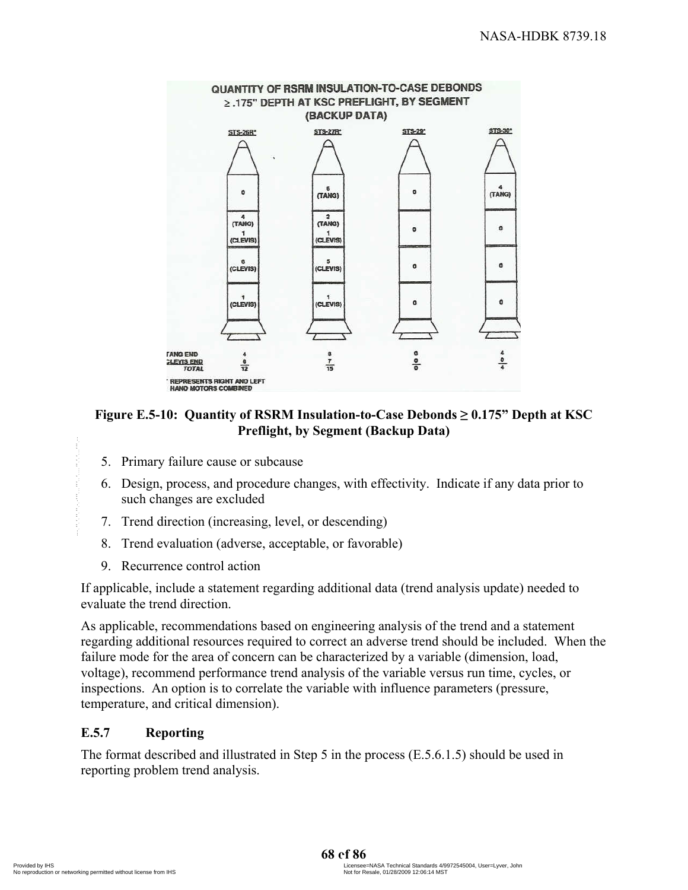

**Figure E.5-10: Quantity of RSRM Insulation-to-Case Debonds**  $\geq 0.175$ **" Depth at KSC Preflight, by Segment (Backup Data)** 

- 5. Primary failure cause or subcause
- 6. Design, process, and procedure changes, with effectivity. Indicate if any data prior to such changes are excluded
- 7. Trend direction (increasing, level, or descending)
- 8. Trend evaluation (adverse, acceptable, or favorable)
- 9. Recurrence control action

If applicable, include a statement regarding additional data (trend analysis update) needed to evaluate the trend direction.

As applicable, recommendations based on engineering analysis of the trend and a statement regarding additional resources required to correct an adverse trend should be included. When the failure mode for the area of concern can be characterized by a variable (dimension, load, voltage), recommend performance trend analysis of the variable versus run time, cycles, or inspections. An option is to correlate the variable with influence parameters (pressure, temperature, and critical dimension). S. Primary failure cause or subcause<br>
6. Design, process, and procedure changes, with effectivity. In<br>
such changes are excluded<br>
7. Trend direction (increasing, level, or descending)<br>
8. Trend direction (increasing, leve

# **E.5.7 Reporting**

The format described and illustrated in Step 5 in the process (E.5.6.1.5) should be used in reporting problem trend analysis.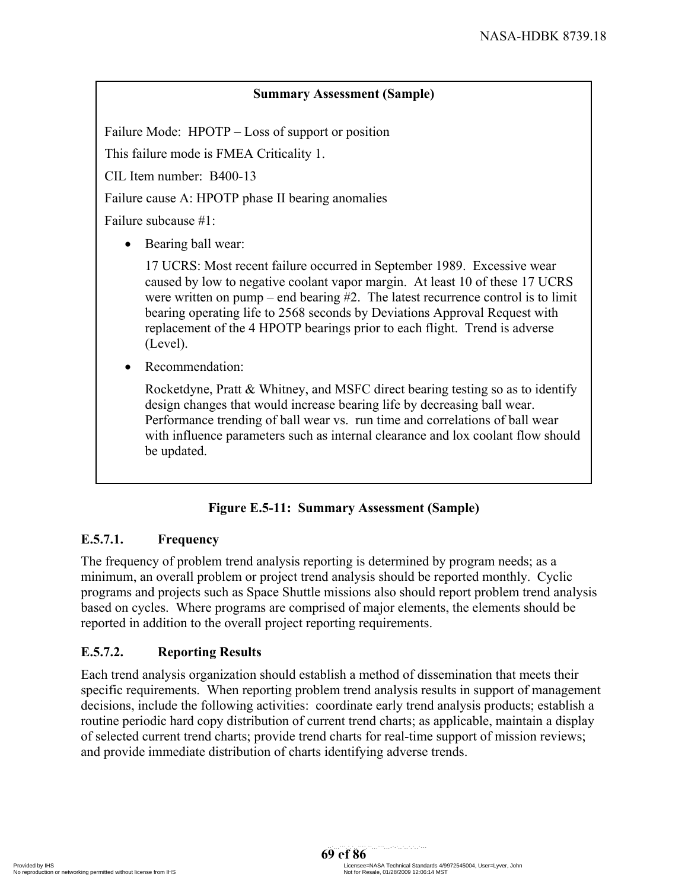#### **Summary Assessment (Sample)**

Failure Mode: HPOTP – Loss of support or position

This failure mode is FMEA Criticality 1.

CIL Item number: B400-13

Failure cause A: HPOTP phase II bearing anomalies

Failure subcause #1:

• Bearing ball wear:

17 UCRS: Most recent failure occurred in September 1989. Excessive wear caused by low to negative coolant vapor margin. At least 10 of these 17 UCRS were written on pump – end bearing #2. The latest recurrence control is to limit bearing operating life to 2568 seconds by Deviations Approval Request with replacement of the 4 HPOTP bearings prior to each flight. Trend is adverse (Level).

• Recommendation:

Rocketdyne, Pratt & Whitney, and MSFC direct bearing testing so as to identify design changes that would increase bearing life by decreasing ball wear. Performance trending of ball wear vs. run time and correlations of ball wear with influence parameters such as internal clearance and lox coolant flow should be updated.

# **Figure E.5-11: Summary Assessment (Sample)**

# **E.5.7.1. Frequency**

The frequency of problem trend analysis reporting is determined by program needs; as a minimum, an overall problem or project trend analysis should be reported monthly. Cyclic programs and projects such as Space Shuttle missions also should report problem trend analysis based on cycles. Where programs are comprised of major elements, the elements should be reported in addition to the overall project reporting requirements.

# **E.5.7.2. Reporting Results**

Each trend analysis organization should establish a method of dissemination that meets their specific requirements. When reporting problem trend analysis results in support of management decisions, include the following activities: coordinate early trend analysis products; establish a routine periodic hard copy distribution of current trend charts; as applicable, maintain a display of selected current trend charts; provide trend charts for real-time support of mission reviews; and provide immediate distribution of charts identifying adverse trends.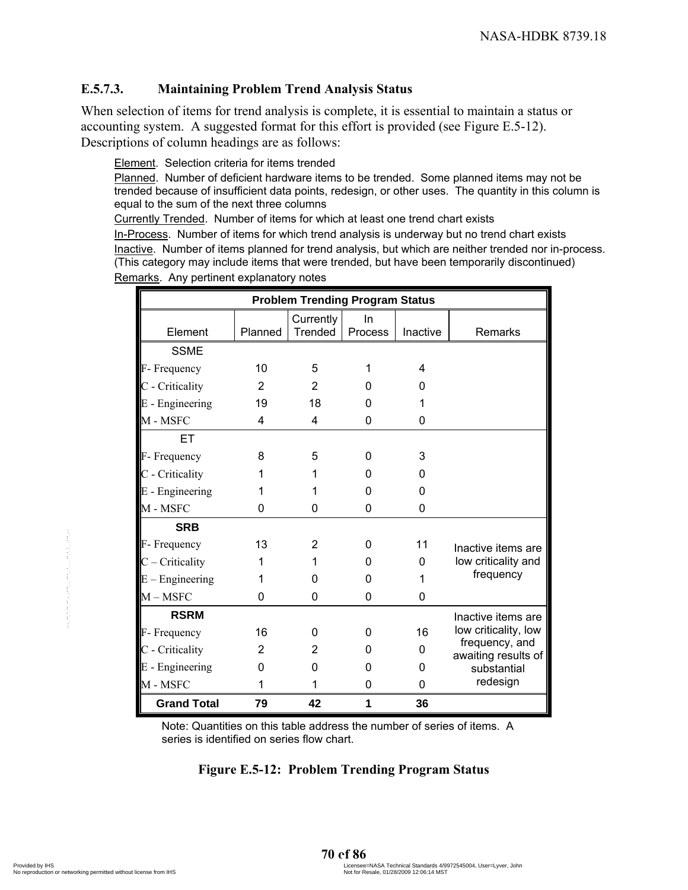### **E.5.7.3. Maintaining Problem Trend Analysis Status**

When selection of items for trend analysis is complete, it is essential to maintain a status or accounting system. A suggested format for this effort is provided (see Figure E.5-12). Descriptions of column headings are as follows:

Element. Selection criteria for items trended

Planned. Number of deficient hardware items to be trended. Some planned items may not be trended because of insufficient data points, redesign, or other uses. The quantity in this column is equal to the sum of the next three columns

Currently Trended. Number of items for which at least one trend chart exists

In-Process. Number of items for which trend analysis is underway but no trend chart exists Inactive. Number of items planned for trend analysis, but which are neither trended nor in-process. (This category may include items that were trended, but have been temporarily discontinued) Remarks. Any pertinent explanatory notes

|                    | <b>Problem Trending Program Status</b> |                         |          |             |                                        |
|--------------------|----------------------------------------|-------------------------|----------|-------------|----------------------------------------|
|                    |                                        | Currently               | In       |             |                                        |
| Element            | Planned                                | Trended                 | Process  | Inactive    | Remarks                                |
| <b>SSME</b>        |                                        |                         |          |             |                                        |
| F- Frequency       | 10                                     | 5                       | 1        | 4           |                                        |
| C - Criticality    | 2                                      | $\overline{2}$          | 0        | 0           |                                        |
| E - Engineering    | 19                                     | 18                      | 0        | 1           |                                        |
| M - MSFC           | 4                                      | $\overline{\mathbf{4}}$ | 0        | 0           |                                        |
| ET                 |                                        |                         |          |             |                                        |
| F- Frequency       | 8                                      | 5                       | 0        | 3           |                                        |
| C - Criticality    | 1                                      | 1                       | 0        | 0           |                                        |
| E - Engineering    | 1                                      | 1                       | 0        | 0           |                                        |
| M - MSFC           | $\mathbf 0$                            | 0                       | 0        | $\mathbf 0$ |                                        |
| <b>SRB</b>         |                                        |                         |          |             |                                        |
| F- Frequency       | 13                                     | $\overline{2}$          | 0        | 11          | Inactive items are                     |
| $C$ – Criticality  | 1                                      | 1                       | 0        | 0           | low criticality and<br>frequency       |
| $E$ – Engineering  | 1                                      | 0                       | $\Omega$ | 1           |                                        |
| $M - MSFC$         | 0                                      | 0                       | 0        | 0           |                                        |
| <b>RSRM</b>        |                                        |                         |          |             | Inactive items are                     |
| F- Frequency       | 16                                     | 0                       | 0        | 16          | low criticality, low<br>frequency, and |
| C - Criticality    | 2                                      | 2                       | 0        | 0           | awaiting results of                    |
| E - Engineering    | 0                                      | 0                       | 0        | 0           | substantial                            |
| M - MSFC           | 1                                      | 1                       | 0        | 0           | redesign                               |
| <b>Grand Total</b> | 79                                     | 42                      | 1        | 36          |                                        |

### **Figure E.5-12: Problem Trending Program Status**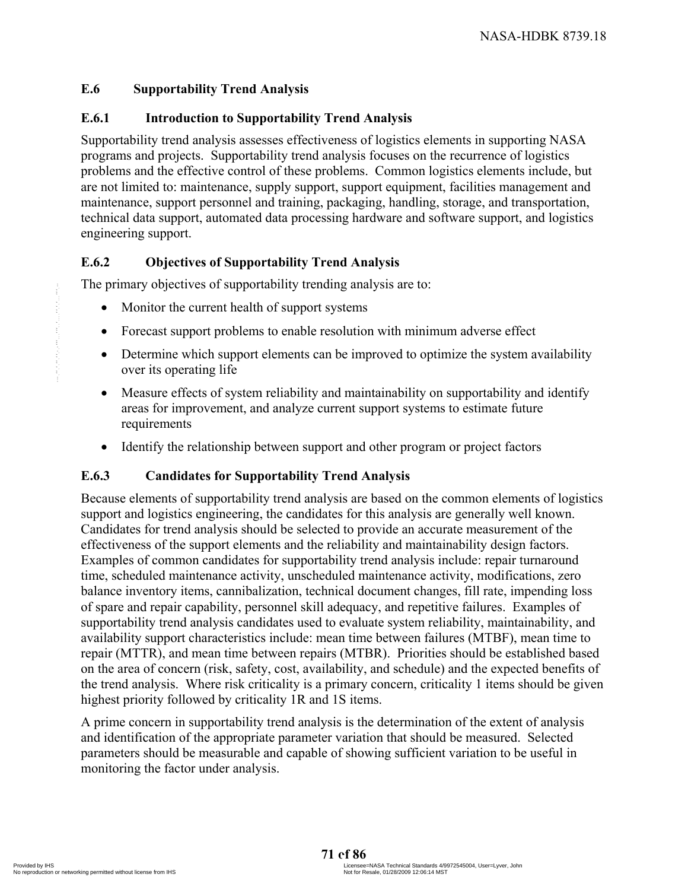### **E.6 Supportability Trend Analysis**

### **E.6.1 Introduction to Supportability Trend Analysis**

Supportability trend analysis assesses effectiveness of logistics elements in supporting NASA programs and projects. Supportability trend analysis focuses on the recurrence of logistics problems and the effective control of these problems. Common logistics elements include, but are not limited to: maintenance, supply support, support equipment, facilities management and maintenance, support personnel and training, packaging, handling, storage, and transportation, technical data support, automated data processing hardware and software support, and logistics engineering support.

### **E.6.2 Objectives of Supportability Trend Analysis**

The primary objectives of supportability trending analysis are to:

- Monitor the current health of support systems
- Forecast support problems to enable resolution with minimum adverse effect
- Determine which support elements can be improved to optimize the system availability over its operating life
- Measure effects of system reliability and maintainability on supportability and identify areas for improvement, and analyze current support systems to estimate future requirements
- Identify the relationship between support and other program or project factors

#### **E.6.3 Candidates for Supportability Trend Analysis**

Because elements of supportability trend analysis are based on the common elements of logistics support and logistics engineering, the candidates for this analysis are generally well known. Candidates for trend analysis should be selected to provide an accurate measurement of the effectiveness of the support elements and the reliability and maintainability design factors. Examples of common candidates for supportability trend analysis include: repair turnaround time, scheduled maintenance activity, unscheduled maintenance activity, modifications, zero balance inventory items, cannibalization, technical document changes, fill rate, impending loss of spare and repair capability, personnel skill adequacy, and repetitive failures. Examples of supportability trend analysis candidates used to evaluate system reliability, maintainability, and availability support characteristics include: mean time between failures (MTBF), mean time to repair (MTTR), and mean time between repairs (MTBR). Priorities should be established based on the area of concern (risk, safety, cost, availability, and schedule) and the expected benefits of the trend analysis. Where risk criticality is a primary concern, criticality 1 items should be given highest priority followed by criticality 1R and 1S items. No represent the current health of support any spectrum in the summer than the summer than the summer than the summer than the summer than the summer of the Section or any areas for improvement, and analyze current suppor

A prime concern in supportability trend analysis is the determination of the extent of analysis and identification of the appropriate parameter variation that should be measured. Selected parameters should be measurable and capable of showing sufficient variation to be useful in monitoring the factor under analysis.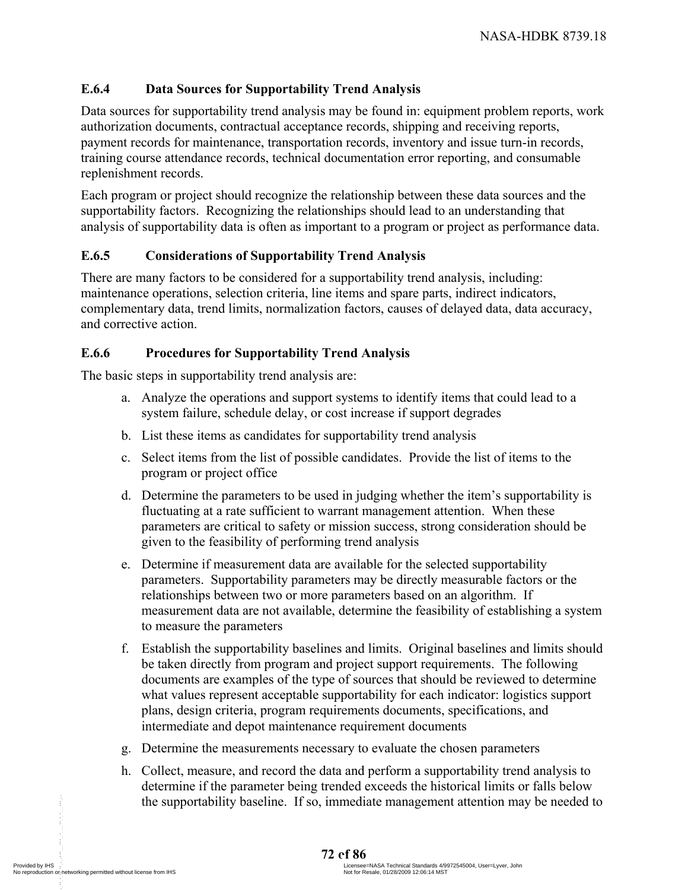### **E.6.4 Data Sources for Supportability Trend Analysis**

Data sources for supportability trend analysis may be found in: equipment problem reports, work authorization documents, contractual acceptance records, shipping and receiving reports, payment records for maintenance, transportation records, inventory and issue turn-in records, training course attendance records, technical documentation error reporting, and consumable replenishment records.

Each program or project should recognize the relationship between these data sources and the supportability factors. Recognizing the relationships should lead to an understanding that analysis of supportability data is often as important to a program or project as performance data.

#### **E.6.5 Considerations of Supportability Trend Analysis**

There are many factors to be considered for a supportability trend analysis, including: maintenance operations, selection criteria, line items and spare parts, indirect indicators, complementary data, trend limits, normalization factors, causes of delayed data, data accuracy, and corrective action.

### **E.6.6 Procedures for Supportability Trend Analysis**

The basic steps in supportability trend analysis are:

- a. Analyze the operations and support systems to identify items that could lead to a system failure, schedule delay, or cost increase if support degrades
- b. List these items as candidates for supportability trend analysis
- c. Select items from the list of possible candidates. Provide the list of items to the program or project office
- d. Determine the parameters to be used in judging whether the item's supportability is fluctuating at a rate sufficient to warrant management attention. When these parameters are critical to safety or mission success, strong consideration should be given to the feasibility of performing trend analysis
- e. Determine if measurement data are available for the selected supportability parameters. Supportability parameters may be directly measurable factors or the relationships between two or more parameters based on an algorithm. If measurement data are not available, determine the feasibility of establishing a system to measure the parameters
- f. Establish the supportability baselines and limits. Original baselines and limits should be taken directly from program and project support requirements. The following documents are examples of the type of sources that should be reviewed to determine what values represent acceptable supportability for each indicator: logistics support plans, design criteria, program requirements documents, specifications, and intermediate and depot maintenance requirement documents
- g. Determine the measurements necessary to evaluate the chosen parameters
- h. Collect, measure, and record the data and perform a supportability trend analysis to determine if the parameter being trended exceeds the historical limits or falls below the supportability baseline. If so, immediate management attention may be needed to the supportability baseline. If so, immediate managemer<br>
No reproduction or networking permitted without license from IHS<br>
Not for Resale, 01/28/2009 12:06:14 MST -----,,<br>
Not for Resale, 01/28/2009 12:06:14 MST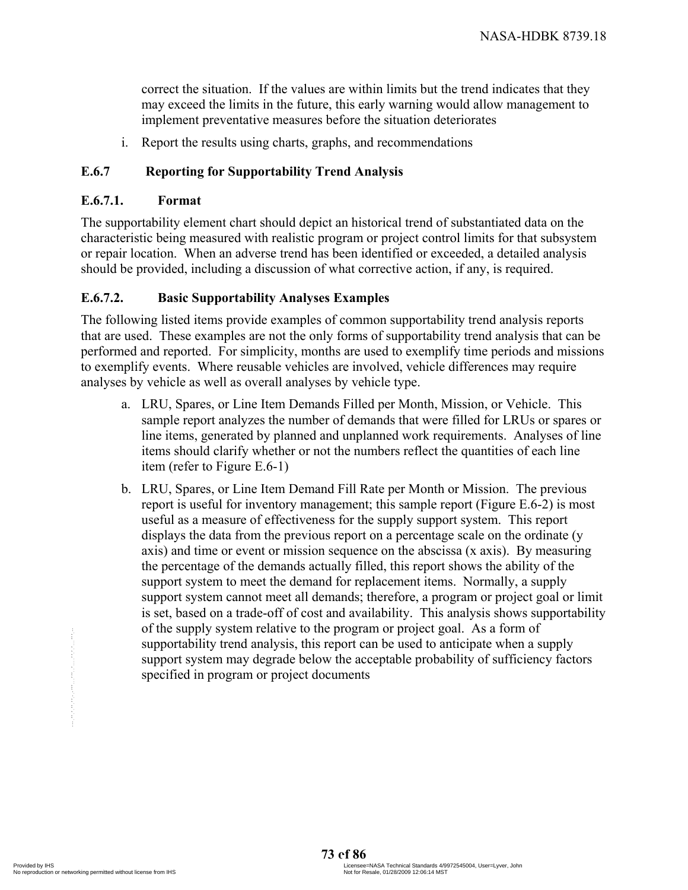correct the situation. If the values are within limits but the trend indicates that they may exceed the limits in the future, this early warning would allow management to implement preventative measures before the situation deteriorates

i. Report the results using charts, graphs, and recommendations

#### **E.6.7 Reporting for Supportability Trend Analysis**

#### **E.6.7.1. Format**

The supportability element chart should depict an historical trend of substantiated data on the characteristic being measured with realistic program or project control limits for that subsystem or repair location. When an adverse trend has been identified or exceeded, a detailed analysis should be provided, including a discussion of what corrective action, if any, is required.

#### **E.6.7.2. Basic Supportability Analyses Examples**

The following listed items provide examples of common supportability trend analysis reports that are used. These examples are not the only forms of supportability trend analysis that can be performed and reported. For simplicity, months are used to exemplify time periods and missions to exemplify events. Where reusable vehicles are involved, vehicle differences may require analyses by vehicle as well as overall analyses by vehicle type.

- a. LRU, Spares, or Line Item Demands Filled per Month, Mission, or Vehicle. This sample report analyzes the number of demands that were filled for LRUs or spares or line items, generated by planned and unplanned work requirements. Analyses of line items should clarify whether or not the numbers reflect the quantities of each line item (refer to Figure E.6-1)
- b. LRU, Spares, or Line Item Demand Fill Rate per Month or Mission. The previous report is useful for inventory management; this sample report (Figure E.6-2) is most useful as a measure of effectiveness for the supply support system. This report displays the data from the previous report on a percentage scale on the ordinate (y axis) and time or event or mission sequence on the abscissa (x axis). By measuring the percentage of the demands actually filled, this report shows the ability of the support system to meet the demand for replacement items. Normally, a supply support system cannot meet all demands; therefore, a program or project goal or limit is set, based on a trade-off of cost and availability. This analysis shows supportability of the supply system relative to the program or project goal. As a form of supportability trend analysis, this report can be used to anticipate when a supply support system may degrade below the acceptable probability of sufficiency factors specified in program or project documents Not reproduction or networking permitted without license from IHS<br>
No reproduction or networking permitted without license from IHS<br>
Not for Resale, 01/28/2009 12:06:14 MST<br>
Not for Resale, 01/28/2009 12:06:14 MST<br>
Not for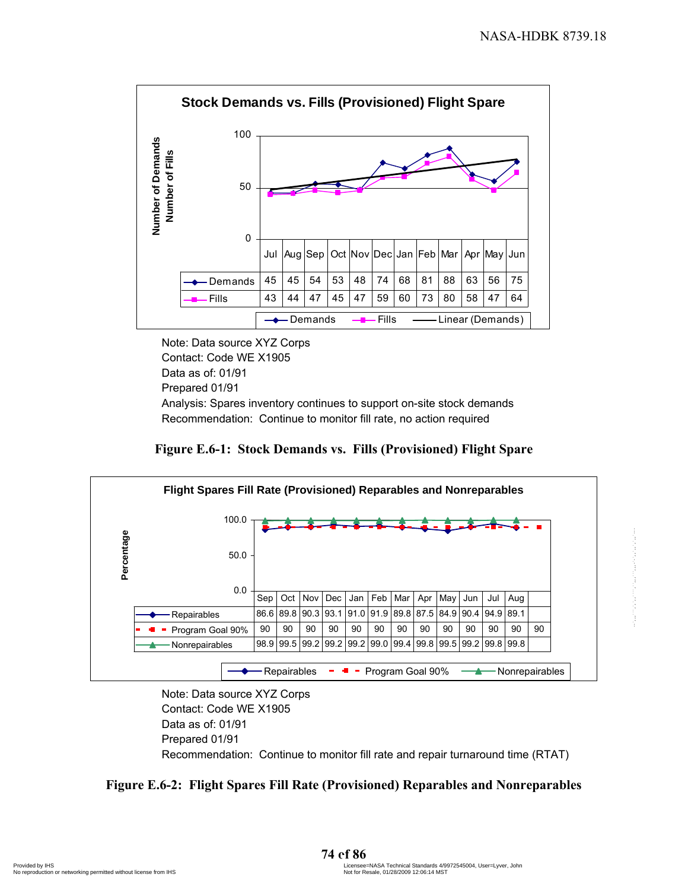

Note: Data source XYZ Corps Contact: Code WE X1905 Data as of: 01/91 Prepared 01/91 Analysis: Spares inventory continues to support on-site stock demands Recommendation: Continue to monitor fill rate, no action required

#### **Figure E.6-1: Stock Demands vs. Fills (Provisioned) Flight Spare**



Note: Data source XYZ Corps Contact: Code WE X1905 Data as of: 01/91 Prepared 01/91 Recommendation: Continue to monitor fill rate and repair turnaround time (RTAT)

## **Figure E.6-2: Flight Spares Fill Rate (Provisioned) Reparables and Nonreparables**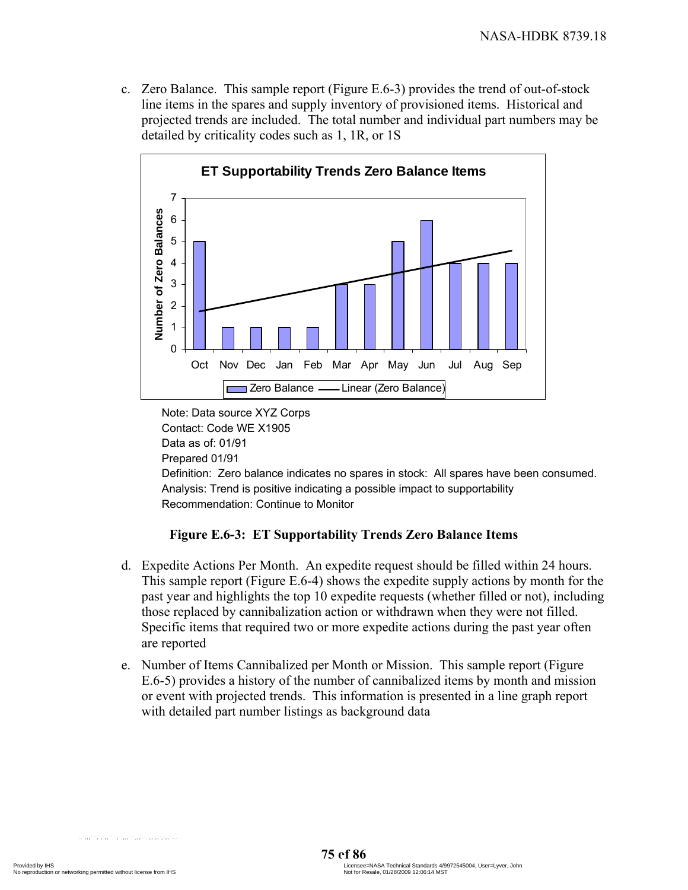c. Zero Balance. This sample report (Figure E.6-3) provides the trend of out-of-stock line items in the spares and supply inventory of provisioned items. Historical and projected trends are included. The total number and individual part numbers may be detailed by criticality codes such as 1, 1R, or 1S



Note: Data source XYZ Corps Contact: Code WE X1905 Data as of: 01/91 Prepared 01/91 Definition: Zero balance indicates no spares in stock: All spares have been consumed. Analysis: Trend is positive indicating a possible impact to supportability Recommendation: Continue to Monitor

#### **Figure E.6-3: ET Supportability Trends Zero Balance Items**

- d. Expedite Actions Per Month. An expedite request should be filled within 24 hours. This sample report (Figure E.6-4) shows the expedite supply actions by month for the past year and highlights the top 10 expedite requests (whether filled or not), including those replaced by cannibalization action or withdrawn when they were not filled. Specific items that required two or more expedite actions during the past year often are reported
- e. Number of Items Cannibalized per Month or Mission. This sample report (Figure E.6-5) provides a history of the number of cannibalized items by month and mission or event with projected trends. This information is presented in a line graph report with detailed part number listings as background data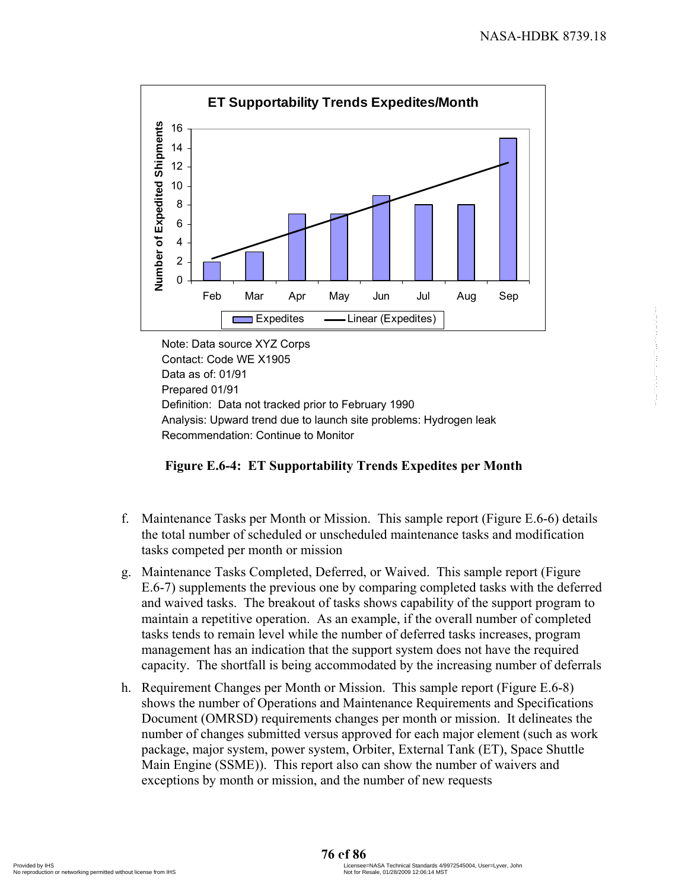

Note: Data source XYZ Corps Contact: Code WE X1905 Data as of: 01/91 Prepared 01/91 Definition: Data not tracked prior to February 1990 Analysis: Upward trend due to launch site problems: Hydrogen leak Recommendation: Continue to Monitor

# **Figure E.6-4: ET Supportability Trends Expedites per Month**

- f. Maintenance Tasks per Month or Mission. This sample report (Figure E.6-6) details the total number of scheduled or unscheduled maintenance tasks and modification tasks competed per month or mission
- g. Maintenance Tasks Completed, Deferred, or Waived. This sample report (Figure E.6-7) supplements the previous one by comparing completed tasks with the deferred and waived tasks. The breakout of tasks shows capability of the support program to maintain a repetitive operation. As an example, if the overall number of completed tasks tends to remain level while the number of deferred tasks increases, program management has an indication that the support system does not have the required capacity. The shortfall is being accommodated by the increasing number of deferrals Expedites  $\frac{\boxed{\text{model:} \text{Lengthed}}{\text{Content}}$  Contact: Code WE X72009<br>
Contact: Code WE X72009<br>
Dras as of 01/31<br>
Derivative diverse for Gebruary 1990<br>
Proporeed 01/31<br>
Derivative diverse for Gebruary 1990<br>
Analysis: Usward tend due
	- h. Requirement Changes per Month or Mission. This sample report (Figure E.6-8) shows the number of Operations and Maintenance Requirements and Specifications Document (OMRSD) requirements changes per month or mission. It delineates the number of changes submitted versus approved for each major element (such as work package, major system, power system, Orbiter, External Tank (ET), Space Shuttle Main Engine (SSME)). This report also can show the number of waivers and exceptions by month or mission, and the number of new requests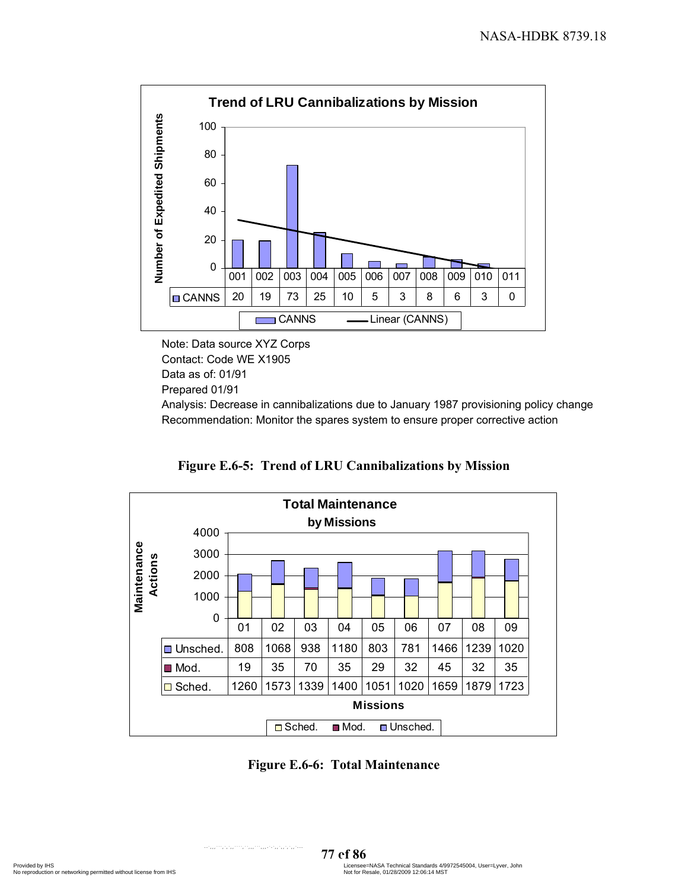

Note: Data source XYZ Corps Contact: Code WE X1905 Data as of: 01/91 Prepared 01/91 Analysis: Decrease in cannibalizations due to January 1987 provisioning policy change Recommendation: Monitor the spares system to ensure proper corrective action





**Figure E.6-6: Total Maintenance**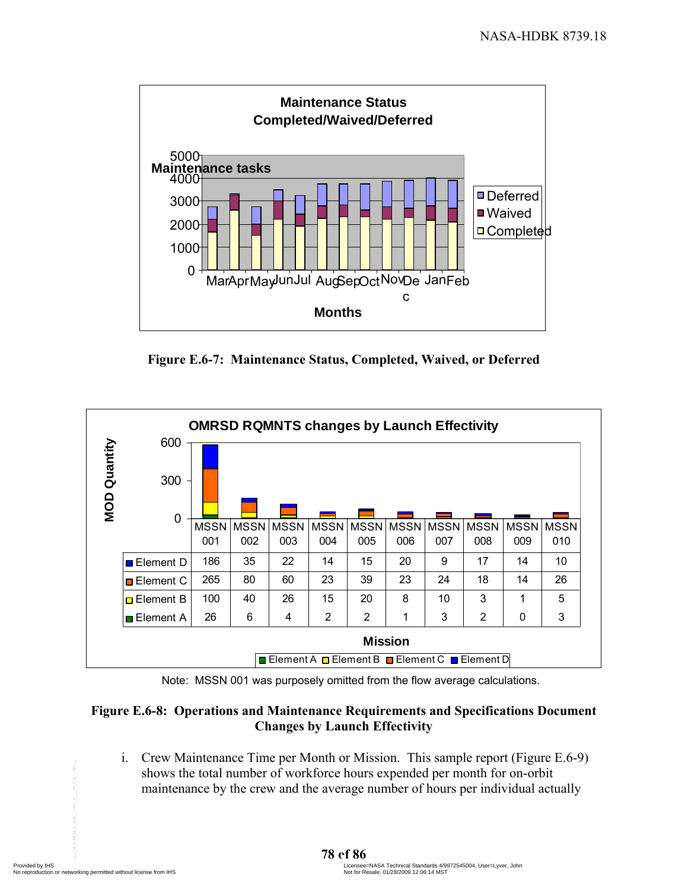

**Figure E.6-7: Maintenance Status, Completed, Waived, or Deferred** 



Note: MSSN 001 was purposely omitted from the flow average calculations.

#### **Figure E.6-8: Operations and Maintenance Requirements and Specifications Document Changes by Launch Effectivity**

i. Crew Maintenance Time per Month or Mission. This sample report (Figure E.6-9) shows the total number of workforce hours expended per month for on-orbit maintenance by the crew and the average number of hours per individual actually No reproduction or networking permitted without license from IHS<br>No reproduction or networking permitted without license from IHS<br>Not for Resale, 01/28/2009 12:06:14 MST<br>Not for Resale, 01/28/2009 12:06:14 MST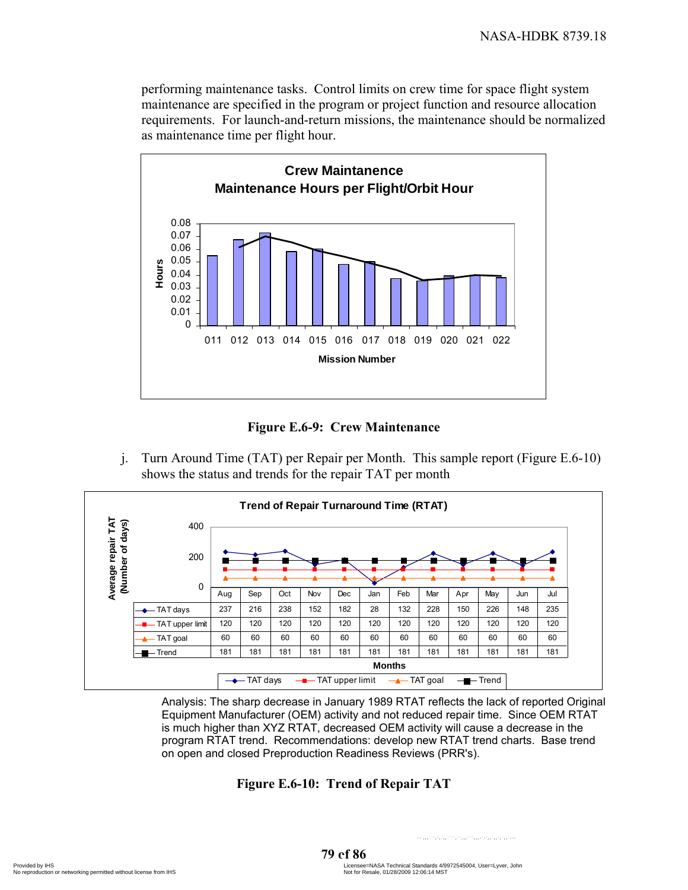performing maintenance tasks. Control limits on crew time for space flight system maintenance are specified in the program or project function and resource allocation requirements. For launch-and-return missions, the maintenance should be normalized as maintenance time per flight hour.



**Figure E.6-9: Crew Maintenance** 

j. Turn Around Time (TAT) per Repair per Month. This sample report (Figure E.6-10) shows the status and trends for the repair TAT per month



Analysis: The sharp decrease in January 1989 RTAT reflects the lack of reported Original Equipment Manufacturer (OEM) activity and not reduced repair time. Since OEM RTAT is much higher than XYZ RTAT, decreased OEM activity will cause a decrease in the program RTAT trend. Recommendations: develop new RTAT trend charts. Base trend on open and closed Preproduction Readiness Reviews (PRR's).

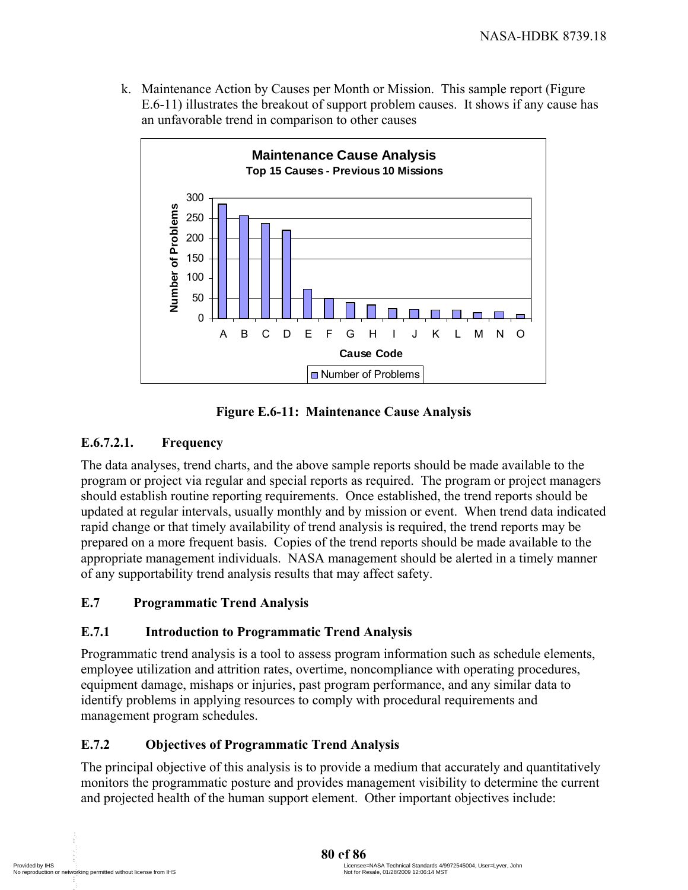k. Maintenance Action by Causes per Month or Mission. This sample report (Figure E.6-11) illustrates the breakout of support problem causes. It shows if any cause has an unfavorable trend in comparison to other causes



## **Figure E.6-11: Maintenance Cause Analysis**

## **E.6.7.2.1. Frequency**

The data analyses, trend charts, and the above sample reports should be made available to the program or project via regular and special reports as required. The program or project managers should establish routine reporting requirements. Once established, the trend reports should be updated at regular intervals, usually monthly and by mission or event. When trend data indicated rapid change or that timely availability of trend analysis is required, the trend reports may be prepared on a more frequent basis. Copies of the trend reports should be made available to the appropriate management individuals. NASA management should be alerted in a timely manner of any supportability trend analysis results that may affect safety.

## **E.7 Programmatic Trend Analysis**

#### **E.7.1 Introduction to Programmatic Trend Analysis**

Programmatic trend analysis is a tool to assess program information such as schedule elements, employee utilization and attrition rates, overtime, noncompliance with operating procedures, equipment damage, mishaps or injuries, past program performance, and any similar data to identify problems in applying resources to comply with procedural requirements and management program schedules.

## **E.7.2 Objectives of Programmatic Trend Analysis**

The principal objective of this analysis is to provide a medium that accurately and quantitatively monitors the programmatic posture and provides management visibility to determine the current and projected health of the human support element. Other important objectives include: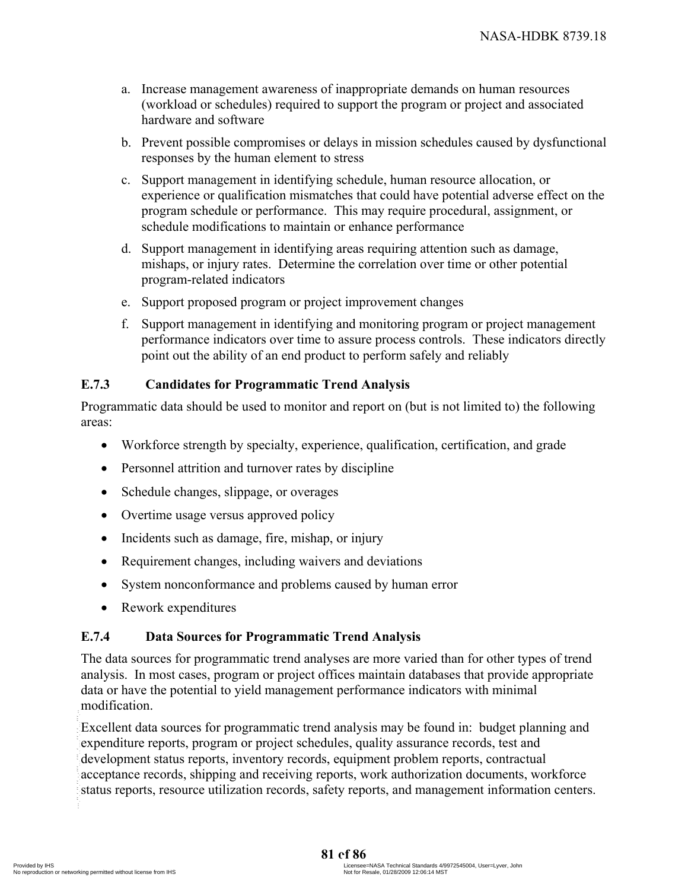- a. Increase management awareness of inappropriate demands on human resources (workload or schedules) required to support the program or project and associated hardware and software
- b. Prevent possible compromises or delays in mission schedules caused by dysfunctional responses by the human element to stress
- c. Support management in identifying schedule, human resource allocation, or experience or qualification mismatches that could have potential adverse effect on the program schedule or performance. This may require procedural, assignment, or schedule modifications to maintain or enhance performance
- d. Support management in identifying areas requiring attention such as damage, mishaps, or injury rates. Determine the correlation over time or other potential program-related indicators
- e. Support proposed program or project improvement changes
- f. Support management in identifying and monitoring program or project management performance indicators over time to assure process controls. These indicators directly point out the ability of an end product to perform safely and reliably

#### **E.7.3 Candidates for Programmatic Trend Analysis**

Programmatic data should be used to monitor and report on (but is not limited to) the following areas:

- Workforce strength by specialty, experience, qualification, certification, and grade
- Personnel attrition and turnover rates by discipline
- Schedule changes, slippage, or overages
- Overtime usage versus approved policy
- Incidents such as damage, fire, mishap, or injury
- Requirement changes, including waivers and deviations
- System nonconformance and problems caused by human error
- Rework expenditures

#### **E.7.4 Data Sources for Programmatic Trend Analysis**

The data sources for programmatic trend analyses are more varied than for other types of trend analysis. In most cases, program or project offices maintain databases that provide appropriate data or have the potential to yield management performance indicators with minimal modification.

Excellent data sources for programmatic trend analysis may be found in: budget planning and expenditure reports, program or project schedules, quality assurance records, test and development status reports, inventory records, equipment problem reports, contractual acceptance records, shipping and receiving reports, work authorization documents, workforce status reports, resource utilization records, safety reports, and management information centers. No reproduction or networking permitted without license from IHS<br>
No reproduction or networking permitted without license from IHS<br>
Not for Resale, 01/28/2009 12:06:14 MST<br>
Not for Resale, 01/28/2009 12:06:14 MST<br>
Not for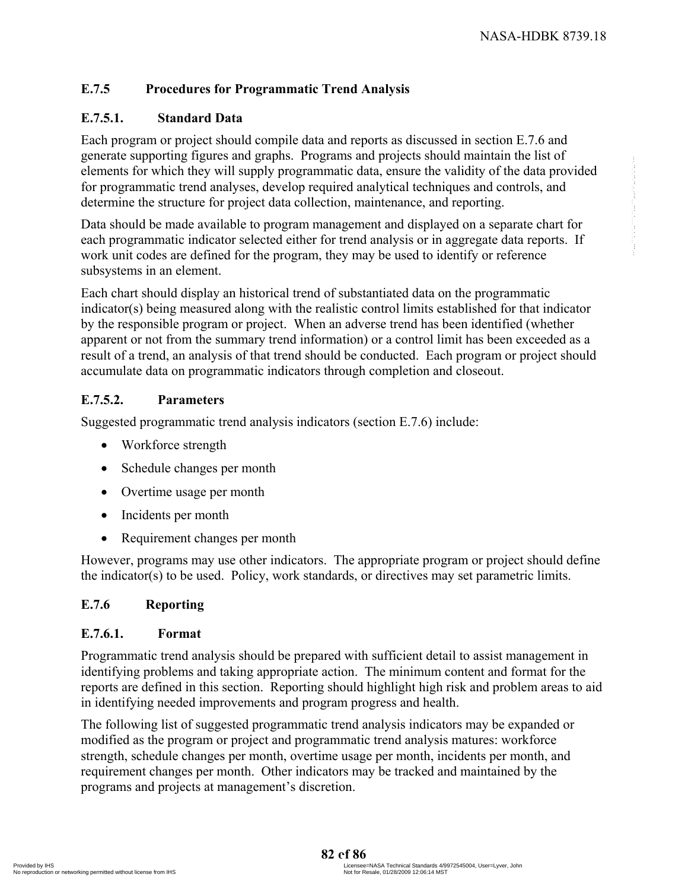# **E.7.5 Procedures for Programmatic Trend Analysis**

## **E.7.5.1. Standard Data**

Each program or project should compile data and reports as discussed in section E.7.6 and generate supporting figures and graphs. Programs and projects should maintain the list of elements for which they will supply programmatic data, ensure the validity of the data provided for programmatic trend analyses, develop required analytical techniques and controls, and determine the structure for project data collection, maintenance, and reporting.

Data should be made available to program management and displayed on a separate chart for each programmatic indicator selected either for trend analysis or in aggregate data reports. If work unit codes are defined for the program, they may be used to identify or reference subsystems in an element.

Each chart should display an historical trend of substantiated data on the programmatic indicator(s) being measured along with the realistic control limits established for that indicator by the responsible program or project. When an adverse trend has been identified (whether apparent or not from the summary trend information) or a control limit has been exceeded as a result of a trend, an analysis of that trend should be conducted. Each program or project should accumulate data on programmatic indicators through completion and closeout. Notes that the streaments in the streament of the restriction of the streament of the streament of the streament of the streament of the streament of the streament of the streament of the streament of the streament of the

## **E.7.5.2. Parameters**

Suggested programmatic trend analysis indicators (section E.7.6) include:

- Workforce strength
- Schedule changes per month
- Overtime usage per month
- Incidents per month
- Requirement changes per month

However, programs may use other indicators. The appropriate program or project should define the indicator(s) to be used. Policy, work standards, or directives may set parametric limits.

## **E.7.6 Reporting**

#### **E.7.6.1. Format**

Programmatic trend analysis should be prepared with sufficient detail to assist management in identifying problems and taking appropriate action. The minimum content and format for the reports are defined in this section. Reporting should highlight high risk and problem areas to aid in identifying needed improvements and program progress and health.

The following list of suggested programmatic trend analysis indicators may be expanded or modified as the program or project and programmatic trend analysis matures: workforce strength, schedule changes per month, overtime usage per month, incidents per month, and requirement changes per month. Other indicators may be tracked and maintained by the programs and projects at management's discretion.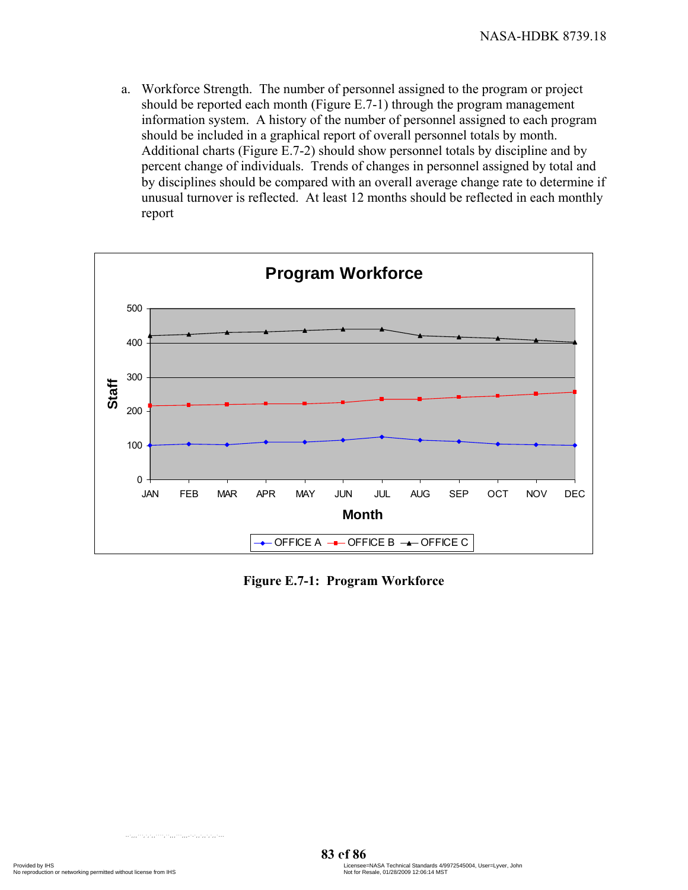a. Workforce Strength. The number of personnel assigned to the program or project should be reported each month (Figure E.7-1) through the program management information system. A history of the number of personnel assigned to each program should be included in a graphical report of overall personnel totals by month. Additional charts (Figure E.7-2) should show personnel totals by discipline and by percent change of individuals. Trends of changes in personnel assigned by total and by disciplines should be compared with an overall average change rate to determine if unusual turnover is reflected. At least 12 months should be reflected in each monthly report



**Figure E.7-1: Program Workforce**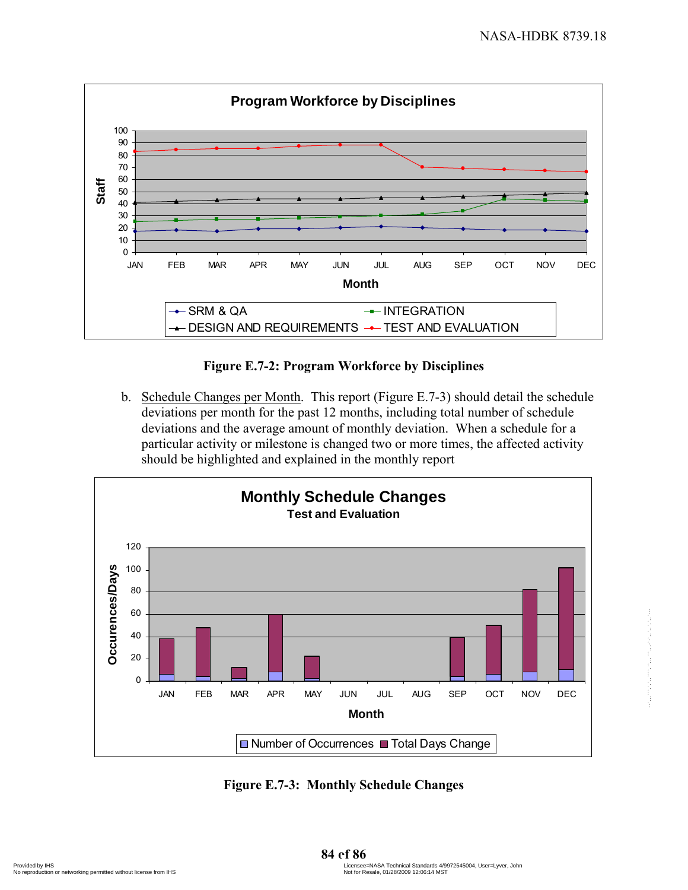

## **Figure E.7-2: Program Workforce by Disciplines**

b. Schedule Changes per Month. This report (Figure E.7-3) should detail the schedule deviations per month for the past 12 months, including total number of schedule deviations and the average amount of monthly deviation. When a schedule for a particular activity or milestone is changed two or more times, the affected activity should be highlighted and explained in the monthly report



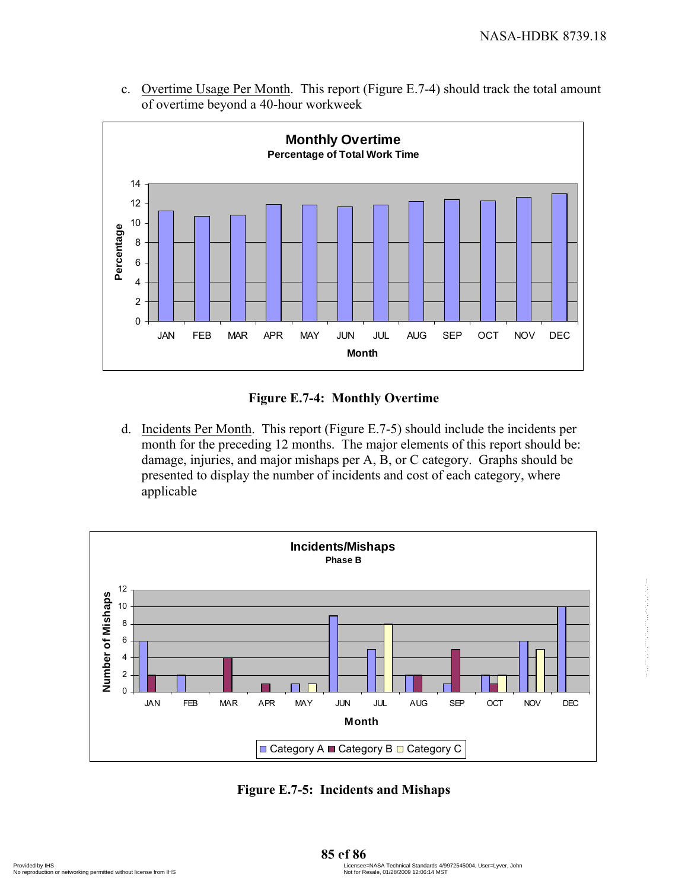c. Overtime Usage Per Month. This report (Figure E.7-4) should track the total amount of overtime beyond a 40-hour workweek





d. Incidents Per Month. This report (Figure E.7-5) should include the incidents per month for the preceding 12 months. The major elements of this report should be: damage, injuries, and major mishaps per A, B, or C category. Graphs should be presented to display the number of incidents and cost of each category, where applicable